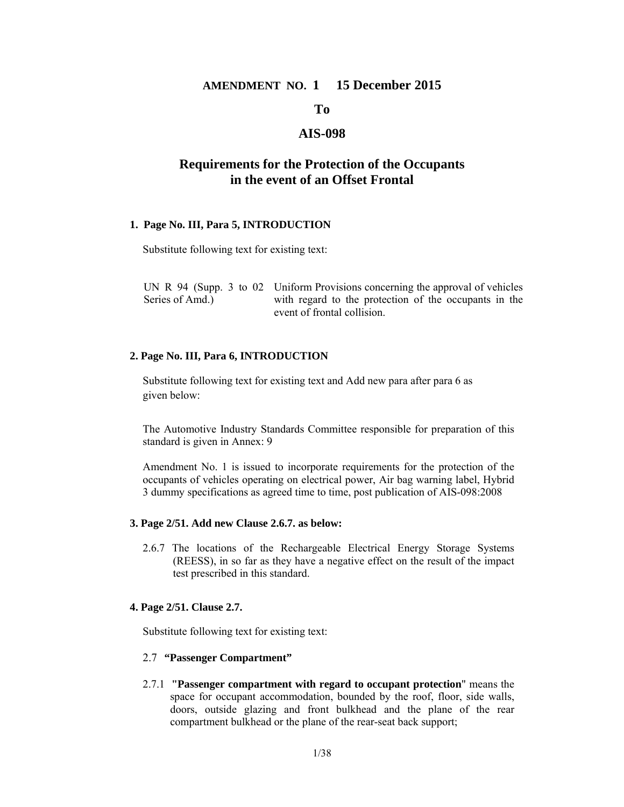### **AMENDMENT NO. 1 15 December 2015**

### **To**

## **AIS-098**

## **Requirements for the Protection of the Occupants in the event of an Offset Frontal**

#### **1. Page No. III, Para 5, INTRODUCTION**

Substitute following text for existing text:

|                 | UN R $94$ (Supp. 3 to 02 Uniform Provisions concerning the approval of vehicles |  |
|-----------------|---------------------------------------------------------------------------------|--|
| Series of Amd.) | with regard to the protection of the occupants in the                           |  |
|                 | event of frontal collision.                                                     |  |

#### **2. Page No. III, Para 6, INTRODUCTION**

Substitute following text for existing text and Add new para after para 6 as given below:

The Automotive Industry Standards Committee responsible for preparation of this standard is given in Annex: 9

Amendment No. 1 is issued to incorporate requirements for the protection of the occupants of vehicles operating on electrical power, Air bag warning label, Hybrid 3 dummy specifications as agreed time to time, post publication of AIS-098:2008

#### **3. Page 2/51. Add new Clause 2.6.7. as below:**

2.6.7 The locations of the Rechargeable Electrical Energy Storage Systems (REESS), in so far as they have a negative effect on the result of the impact test prescribed in this standard.

### **4. Page 2/51. Clause 2.7.**

Substitute following text for existing text:

#### 2.7 **"Passenger Compartment"**

2.7.1 **"Passenger compartment with regard to occupant protection**" means the space for occupant accommodation, bounded by the roof, floor, side walls, doors, outside glazing and front bulkhead and the plane of the rear compartment bulkhead or the plane of the rear-seat back support;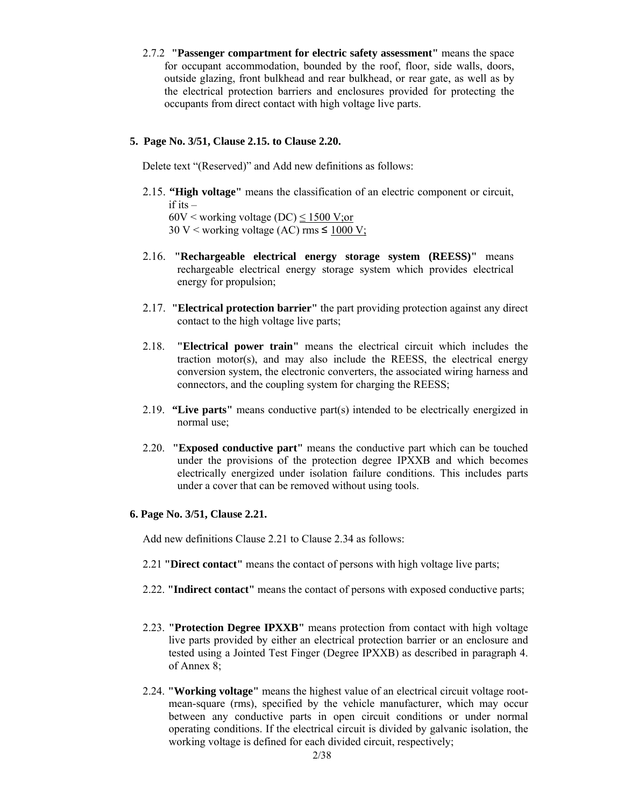2.7.2 **"Passenger compartment for electric safety assessment"** means the space for occupant accommodation, bounded by the roof, floor, side walls, doors, outside glazing, front bulkhead and rear bulkhead, or rear gate, as well as by the electrical protection barriers and enclosures provided for protecting the occupants from direct contact with high voltage live parts.

### **5. Page No. 3/51, Clause 2.15. to Clause 2.20.**

Delete text "(Reserved)" and Add new definitions as follows:

- 2.15. **"High voltage"** means the classification of an electric component or circuit,  $if$  its  $-$ 60V < working voltage (DC)  $\leq$  1500 V; or 30 V < working voltage (AC) rms  $\leq$  1000 V;
- 2.16. **"Rechargeable electrical energy storage system (REESS)"** means rechargeable electrical energy storage system which provides electrical energy for propulsion;
- 2.17. **"Electrical protection barrier"** the part providing protection against any direct contact to the high voltage live parts;
- 2.18. **"Electrical power train"** means the electrical circuit which includes the traction motor(s), and may also include the REESS, the electrical energy conversion system, the electronic converters, the associated wiring harness and connectors, and the coupling system for charging the REESS;
- 2.19. **"Live parts"** means conductive part(s) intended to be electrically energized in normal use;
- 2.20. **"Exposed conductive part"** means the conductive part which can be touched under the provisions of the protection degree IPXXB and which becomes electrically energized under isolation failure conditions. This includes parts under a cover that can be removed without using tools.

### **6. Page No. 3/51, Clause 2.21.**

Add new definitions Clause 2.21 to Clause 2.34 as follows:

- 2.21 **"Direct contact"** means the contact of persons with high voltage live parts;
- 2.22. **"Indirect contact"** means the contact of persons with exposed conductive parts;
- 2.23. **"Protection Degree IPXXB"** means protection from contact with high voltage live parts provided by either an electrical protection barrier or an enclosure and tested using a Jointed Test Finger (Degree IPXXB) as described in paragraph 4. of Annex 8;
- 2.24. **"Working voltage"** means the highest value of an electrical circuit voltage rootmean-square (rms), specified by the vehicle manufacturer, which may occur between any conductive parts in open circuit conditions or under normal operating conditions. If the electrical circuit is divided by galvanic isolation, the working voltage is defined for each divided circuit, respectively;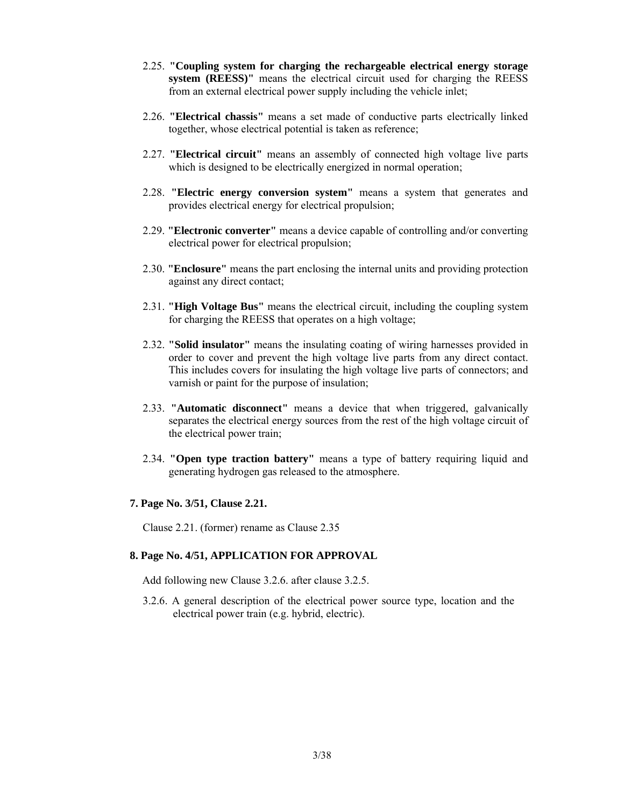- 2.25. **"Coupling system for charging the rechargeable electrical energy storage system (REESS)"** means the electrical circuit used for charging the REESS from an external electrical power supply including the vehicle inlet;
- 2.26. **"Electrical chassis"** means a set made of conductive parts electrically linked together, whose electrical potential is taken as reference;
- 2.27. **"Electrical circuit"** means an assembly of connected high voltage live parts which is designed to be electrically energized in normal operation;
- 2.28. **"Electric energy conversion system"** means a system that generates and provides electrical energy for electrical propulsion;
- 2.29. **"Electronic converter"** means a device capable of controlling and/or converting electrical power for electrical propulsion;
- 2.30. **"Enclosure"** means the part enclosing the internal units and providing protection against any direct contact;
- 2.31. **"High Voltage Bus"** means the electrical circuit, including the coupling system for charging the REESS that operates on a high voltage;
- 2.32. **"Solid insulator"** means the insulating coating of wiring harnesses provided in order to cover and prevent the high voltage live parts from any direct contact. This includes covers for insulating the high voltage live parts of connectors; and varnish or paint for the purpose of insulation;
- 2.33. **"Automatic disconnect"** means a device that when triggered, galvanically separates the electrical energy sources from the rest of the high voltage circuit of the electrical power train;
- 2.34. **"Open type traction battery"** means a type of battery requiring liquid and generating hydrogen gas released to the atmosphere.

#### **7. Page No. 3/51, Clause 2.21.**

Clause 2.21. (former) rename as Clause 2.35

### **8. Page No. 4/51, APPLICATION FOR APPROVAL**

Add following new Clause 3.2.6. after clause 3.2.5.

3.2.6. A general description of the electrical power source type, location and the electrical power train (e.g. hybrid, electric).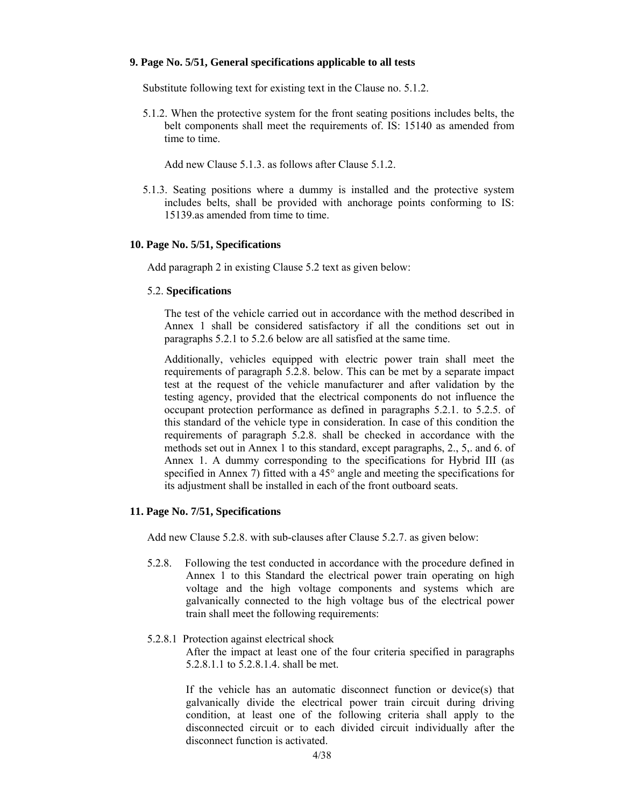#### **9. Page No. 5/51, General specifications applicable to all tests**

Substitute following text for existing text in the Clause no. 5.1.2.

5.1.2. When the protective system for the front seating positions includes belts, the belt components shall meet the requirements of. IS: 15140 as amended from time to time.

Add new Clause 5.1.3. as follows after Clause 5.1.2.

5.1.3. Seating positions where a dummy is installed and the protective system includes belts, shall be provided with anchorage points conforming to IS: 15139.as amended from time to time.

#### **10. Page No. 5/51, Specifications**

Add paragraph 2 in existing Clause 5.2 text as given below:

#### 5.2. **Specifications**

The test of the vehicle carried out in accordance with the method described in Annex 1 shall be considered satisfactory if all the conditions set out in paragraphs 5.2.1 to 5.2.6 below are all satisfied at the same time.

Additionally, vehicles equipped with electric power train shall meet the requirements of paragraph 5.2.8. below. This can be met by a separate impact test at the request of the vehicle manufacturer and after validation by the testing agency, provided that the electrical components do not influence the occupant protection performance as defined in paragraphs 5.2.1. to 5.2.5. of this standard of the vehicle type in consideration. In case of this condition the requirements of paragraph 5.2.8. shall be checked in accordance with the methods set out in Annex 1 to this standard, except paragraphs, 2., 5,. and 6. of Annex 1. A dummy corresponding to the specifications for Hybrid III (as specified in Annex 7) fitted with a  $45^{\circ}$  angle and meeting the specifications for its adjustment shall be installed in each of the front outboard seats.

#### **11. Page No. 7/51, Specifications**

Add new Clause 5.2.8. with sub-clauses after Clause 5.2.7. as given below:

5.2.8. Following the test conducted in accordance with the procedure defined in Annex 1 to this Standard the electrical power train operating on high voltage and the high voltage components and systems which are galvanically connected to the high voltage bus of the electrical power train shall meet the following requirements:

### 5.2.8.1 Protection against electrical shock

 After the impact at least one of the four criteria specified in paragraphs 5.2.8.1.1 to 5.2.8.1.4. shall be met.

 If the vehicle has an automatic disconnect function or device(s) that galvanically divide the electrical power train circuit during driving condition, at least one of the following criteria shall apply to the disconnected circuit or to each divided circuit individually after the disconnect function is activated.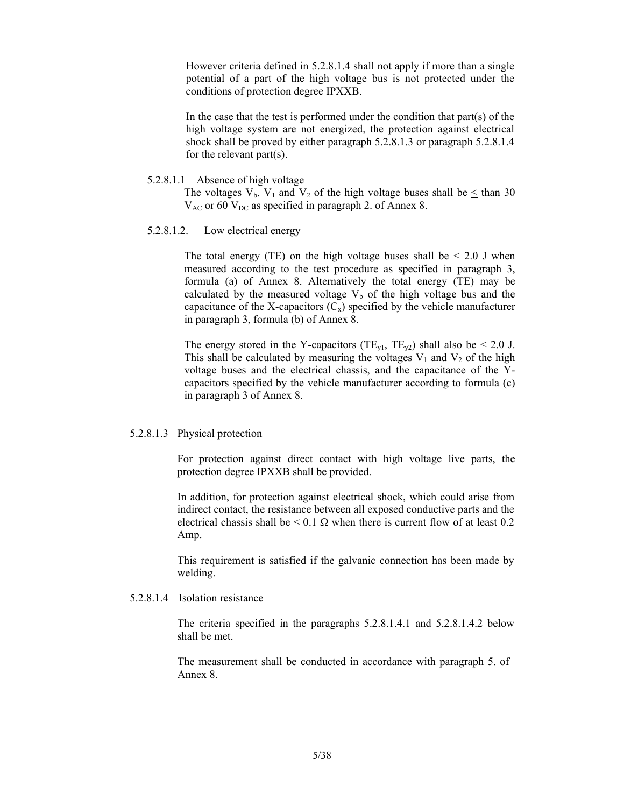However criteria defined in 5.2.8.1.4 shall not apply if more than a single potential of a part of the high voltage bus is not protected under the conditions of protection degree IPXXB.

 In the case that the test is performed under the condition that part(s) of the high voltage system are not energized, the protection against electrical shock shall be proved by either paragraph 5.2.8.1.3 or paragraph 5.2.8.1.4 for the relevant part(s).

#### 5.2.8.1.1 Absence of high voltage

The voltages  $V_b$ ,  $V_1$  and  $V_2$  of the high voltage buses shall be  $\leq$  than 30  $V_{AC}$  or 60  $V_{DC}$  as specified in paragraph 2. of Annex 8.

#### 5.2.8.1.2. Low electrical energy

The total energy (TE) on the high voltage buses shall be  $\leq 2.0$  J when measured according to the test procedure as specified in paragraph 3, formula (a) of Annex 8. Alternatively the total energy (TE) may be calculated by the measured voltage  $V_b$  of the high voltage bus and the capacitance of the X-capacitors  $(C_x)$  specified by the vehicle manufacturer in paragraph 3, formula (b) of Annex 8.

The energy stored in the Y-capacitors (TE<sub>v1</sub>, TE<sub>v2</sub>) shall also be < 2.0 J. This shall be calculated by measuring the voltages  $V_1$  and  $V_2$  of the high voltage buses and the electrical chassis, and the capacitance of the Ycapacitors specified by the vehicle manufacturer according to formula (c) in paragraph 3 of Annex 8.

#### 5.2.8.1.3 Physical protection

For protection against direct contact with high voltage live parts, the protection degree IPXXB shall be provided.

In addition, for protection against electrical shock, which could arise from indirect contact, the resistance between all exposed conductive parts and the electrical chassis shall be  $\leq 0.1 \Omega$  when there is current flow of at least 0.2 Amp.

This requirement is satisfied if the galvanic connection has been made by welding.

#### 5.2.8.1.4 Isolation resistance

 The criteria specified in the paragraphs 5.2.8.1.4.1 and 5.2.8.1.4.2 below shall be met.

 The measurement shall be conducted in accordance with paragraph 5. of Annex 8.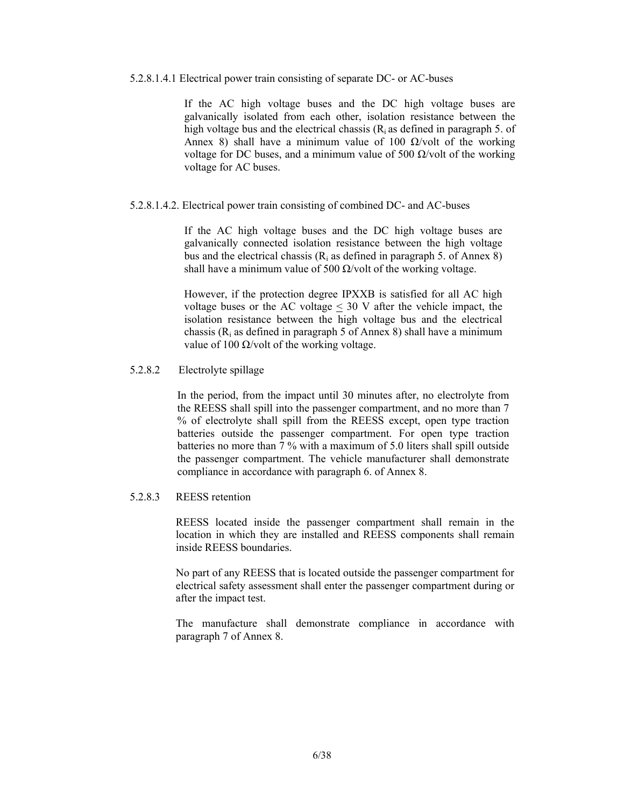#### 5.2.8.1.4.1 Electrical power train consisting of separate DC- or AC-buses

If the AC high voltage buses and the DC high voltage buses are galvanically isolated from each other, isolation resistance between the high voltage bus and the electrical chassis  $(R<sub>i</sub>$  as defined in paragraph 5. of Annex 8) shall have a minimum value of 100  $\Omega$ /volt of the working voltage for DC buses, and a minimum value of 500  $\Omega$ /volt of the working voltage for AC buses.

#### 5.2.8.1.4.2. Electrical power train consisting of combined DC- and AC-buses

If the AC high voltage buses and the DC high voltage buses are galvanically connected isolation resistance between the high voltage bus and the electrical chassis ( $R_i$  as defined in paragraph 5. of Annex 8) shall have a minimum value of 500  $\Omega$ /volt of the working voltage.

However, if the protection degree IPXXB is satisfied for all AC high voltage buses or the AC voltage  $\leq$  30 V after the vehicle impact, the isolation resistance between the high voltage bus and the electrical chassis  $(R<sub>i</sub>$  as defined in paragraph 5 of Annex 8) shall have a minimum value of 100  $\Omega$ /volt of the working voltage.

### 5.2.8.2 Electrolyte spillage

In the period, from the impact until 30 minutes after, no electrolyte from the REESS shall spill into the passenger compartment, and no more than 7 % of electrolyte shall spill from the REESS except, open type traction batteries outside the passenger compartment. For open type traction batteries no more than 7 % with a maximum of 5.0 liters shall spill outside the passenger compartment. The vehicle manufacturer shall demonstrate compliance in accordance with paragraph 6. of Annex 8.

#### 5.2.8.3 REESS retention

 REESS located inside the passenger compartment shall remain in the location in which they are installed and REESS components shall remain inside REESS boundaries.

 No part of any REESS that is located outside the passenger compartment for electrical safety assessment shall enter the passenger compartment during or after the impact test.

 The manufacture shall demonstrate compliance in accordance with paragraph 7 of Annex 8.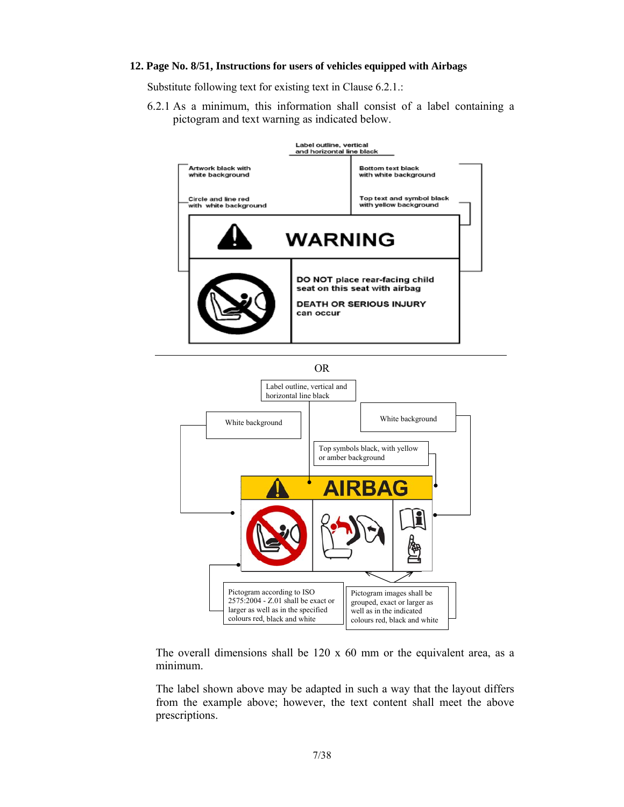#### **12. Page No. 8/51, Instructions for users of vehicles equipped with Airbags**

Substitute following text for existing text in Clause 6.2.1.:

6.2.1 As a minimum, this information shall consist of a label containing a pictogram and text warning as indicated below.





The overall dimensions shall be 120 x 60 mm or the equivalent area, as a minimum.

The label shown above may be adapted in such a way that the layout differs from the example above; however, the text content shall meet the above prescriptions.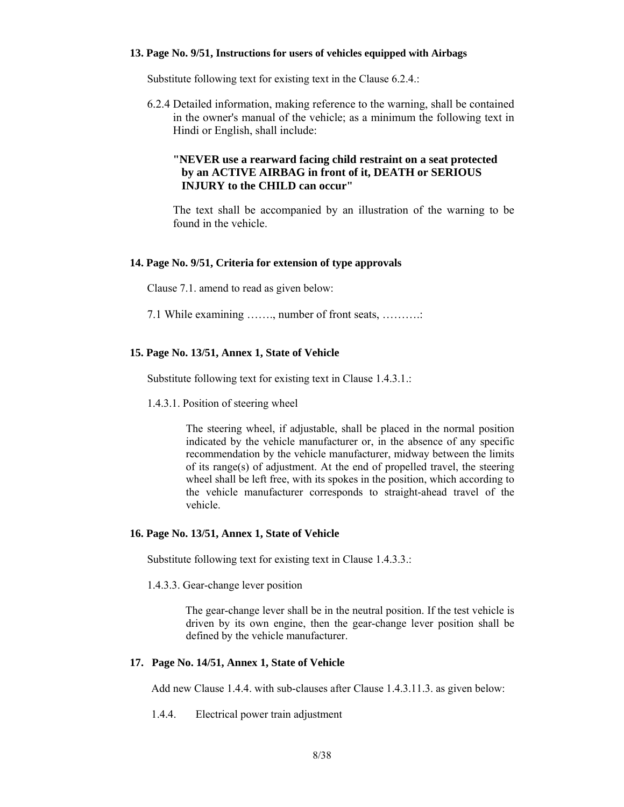#### **13. Page No. 9/51, Instructions for users of vehicles equipped with Airbags**

Substitute following text for existing text in the Clause 6.2.4.:

6.2.4 Detailed information, making reference to the warning, shall be contained in the owner's manual of the vehicle; as a minimum the following text in Hindi or English, shall include:

### **"NEVER use a rearward facing child restraint on a seat protected by an ACTIVE AIRBAG in front of it, DEATH or SERIOUS INJURY to the CHILD can occur"**

The text shall be accompanied by an illustration of the warning to be found in the vehicle.

#### **14. Page No. 9/51, Criteria for extension of type approvals**

Clause 7.1. amend to read as given below:

7.1 While examining ……., number of front seats, ……….:

#### **15. Page No. 13/51, Annex 1, State of Vehicle**

Substitute following text for existing text in Clause 1.4.3.1.:

1.4.3.1. Position of steering wheel

The steering wheel, if adjustable, shall be placed in the normal position indicated by the vehicle manufacturer or, in the absence of any specific recommendation by the vehicle manufacturer, midway between the limits of its range(s) of adjustment. At the end of propelled travel, the steering wheel shall be left free, with its spokes in the position, which according to the vehicle manufacturer corresponds to straight-ahead travel of the vehicle.

### **16. Page No. 13/51, Annex 1, State of Vehicle**

Substitute following text for existing text in Clause 1.4.3.3.:

1.4.3.3. Gear-change lever position

 The gear-change lever shall be in the neutral position. If the test vehicle is driven by its own engine, then the gear-change lever position shall be defined by the vehicle manufacturer.

#### **17. Page No. 14/51, Annex 1, State of Vehicle**

Add new Clause 1.4.4. with sub-clauses after Clause 1.4.3.11.3. as given below:

1.4.4. Electrical power train adjustment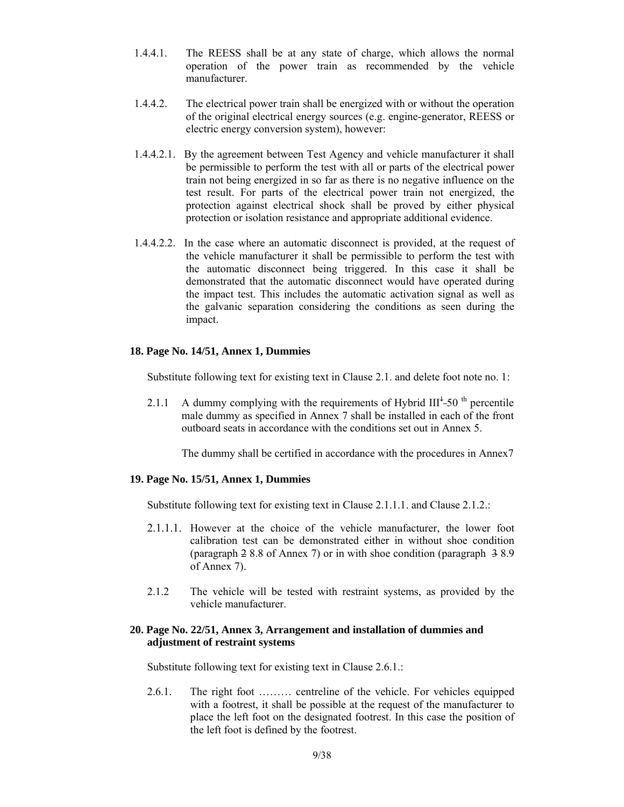- 1.4.4.1. The REESS shall be at any state of charge, which allows the normal operation of the power train as recommended by the vehicle manufacturer.
- 1.4.4.2. The electrical power train shall be energized with or without the operation of the original electrical energy sources (e.g. engine-generator, REESS or electric energy conversion system), however:
- 1.4.4.2.1. By the agreement between Test Agency and vehicle manufacturer it shall be permissible to perform the test with all or parts of the electrical power train not being energized in so far as there is no negative influence on the test result. For parts of the electrical power train not energized, the protection against electrical shock shall be proved by either physical protection or isolation resistance and appropriate additional evidence.
- 1.4.4.2.2. In the case where an automatic disconnect is provided, at the request of the vehicle manufacturer it shall be permissible to perform the test with the automatic disconnect being triggered. In this case it shall be demonstrated that the automatic disconnect would have operated during the impact test. This includes the automatic activation signal as well as the galvanic separation considering the conditions as seen during the impact.

### **18. Page No. 14/51, Annex 1, Dummies**

Substitute following text for existing text in Clause 2.1. and delete foot note no. 1:

2.1.1 A dummy complying with the requirements of Hybrid  $III<sup>1</sup>$ -50<sup>th</sup> percentile male dummy as specified in Annex 7 shall be installed in each of the front outboard seats in accordance with the conditions set out in Annex 5.

The dummy shall be certified in accordance with the procedures in Annex7

#### **19. Page No. 15/51, Annex 1, Dummies**

Substitute following text for existing text in Clause 2.1.1.1. and Clause 2.1.2.:

- 2.1.1.1. However at the choice of the vehicle manufacturer, the lower foot calibration test can be demonstrated either in without shoe condition (paragraph 2 8.8 of Annex 7) or in with shoe condition (paragraph 3 8.9 of Annex 7).
- 2.1.2 The vehicle will be tested with restraint systems, as provided by the vehicle manufacturer.

#### **20. Page No. 22/51, Annex 3, Arrangement and installation of dummies and adjustment of restraint systems**

Substitute following text for existing text in Clause 2.6.1.:

2.6.1. The right foot ……… centreline of the vehicle. For vehicles equipped with a footrest, it shall be possible at the request of the manufacturer to place the left foot on the designated footrest. In this case the position of the left foot is defined by the footrest.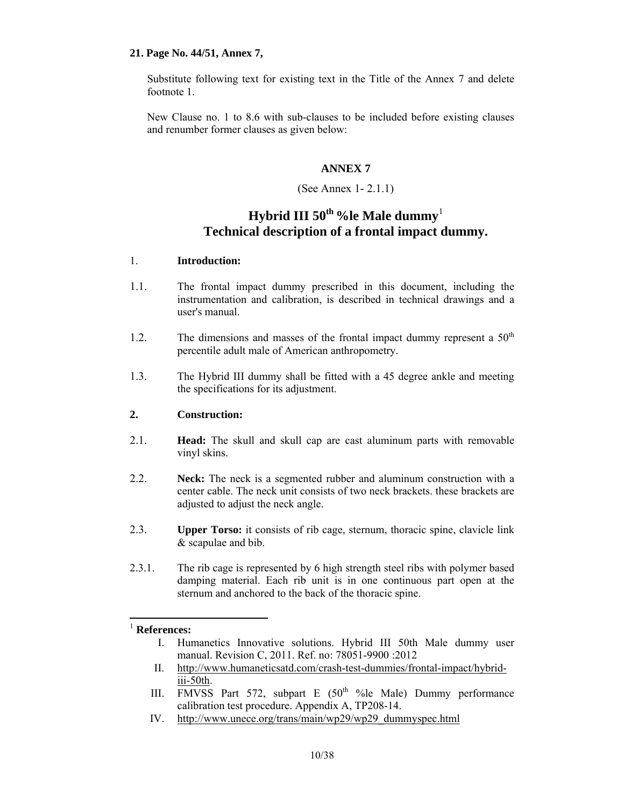### **21. Page No. 44/51, Annex 7,**

Substitute following text for existing text in the Title of the Annex 7 and delete footnote 1.

New Clause no. 1 to 8.6 with sub-clauses to be included before existing clauses and renumber former clauses as given below:

### **ANNEX 7**

### (See Annex 1- 2.1.1)

# **Hybrid III 50th %le Male dummy**<sup>1</sup> **Technical description of a frontal impact dummy.**

### 1. **Introduction:**

- 1.1. The frontal impact dummy prescribed in this document, including the instrumentation and calibration, is described in technical drawings and a user's manual.
- 1.2. The dimensions and masses of the frontal impact dummy represent a  $50<sup>th</sup>$ percentile adult male of American anthropometry.
- 1.3. The Hybrid III dummy shall be fitted with a 45 degree ankle and meeting the specifications for its adjustment.

### **2. Construction:**

- 2.1. **Head:** The skull and skull cap are cast aluminum parts with removable vinyl skins.
- 2.2. **Neck:** The neck is a segmented rubber and aluminum construction with a center cable. The neck unit consists of two neck brackets. these brackets are adjusted to adjust the neck angle.
- 2.3. **Upper Torso:** it consists of rib cage, sternum, thoracic spine, clavicle link & scapulae and bib.
- 2.3.1. The rib cage is represented by 6 high strength steel ribs with polymer based damping material. Each rib unit is in one continuous part open at the sternum and anchored to the back of the thoracic spine.

## <sup>1</sup> **References:**

l

- I. Humanetics Innovative solutions. Hybrid III 50th Male dummy user manual. Revision C, 2011. Ref. no: 78051-9900 :2012
- II. http://www.humaneticsatd.com/crash-test-dummies/frontal-impact/hybridiii-50th.
- III. FMVSS Part 572, subpart E  $(50<sup>th</sup> %  $\frac{1}{2}$  Male) Dummy performance$ calibration test procedure. Appendix A, TP208-14.
- IV. http://www.unece.org/trans/main/wp29/wp29\_dummyspec.html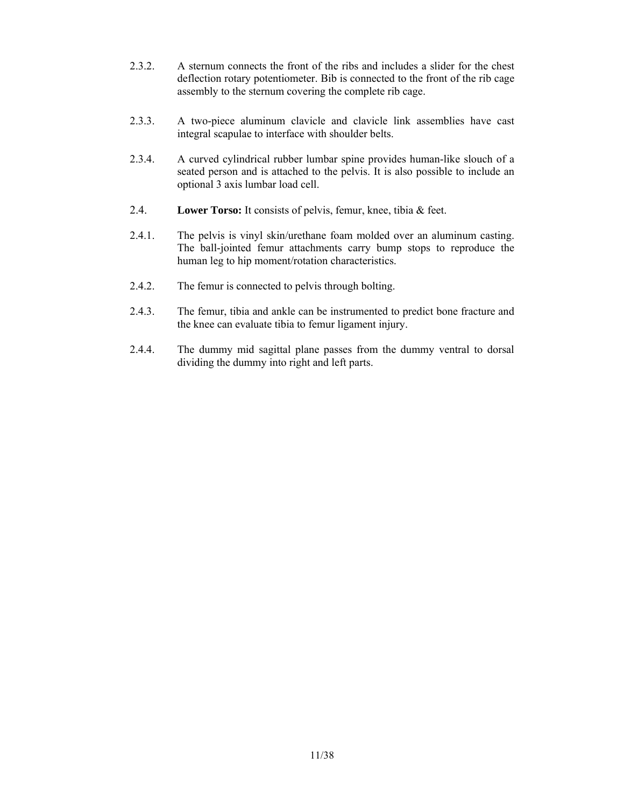- 2.3.2. A sternum connects the front of the ribs and includes a slider for the chest deflection rotary potentiometer. Bib is connected to the front of the rib cage assembly to the sternum covering the complete rib cage.
- 2.3.3. A two-piece aluminum clavicle and clavicle link assemblies have cast integral scapulae to interface with shoulder belts.
- 2.3.4. A curved cylindrical rubber lumbar spine provides human-like slouch of a seated person and is attached to the pelvis. It is also possible to include an optional 3 axis lumbar load cell.
- 2.4. **Lower Torso:** It consists of pelvis, femur, knee, tibia & feet.
- 2.4.1. The pelvis is vinyl skin/urethane foam molded over an aluminum casting. The ball-jointed femur attachments carry bump stops to reproduce the human leg to hip moment/rotation characteristics.
- 2.4.2. The femur is connected to pelvis through bolting.
- 2.4.3. The femur, tibia and ankle can be instrumented to predict bone fracture and the knee can evaluate tibia to femur ligament injury.
- 2.4.4. The dummy mid sagittal plane passes from the dummy ventral to dorsal dividing the dummy into right and left parts.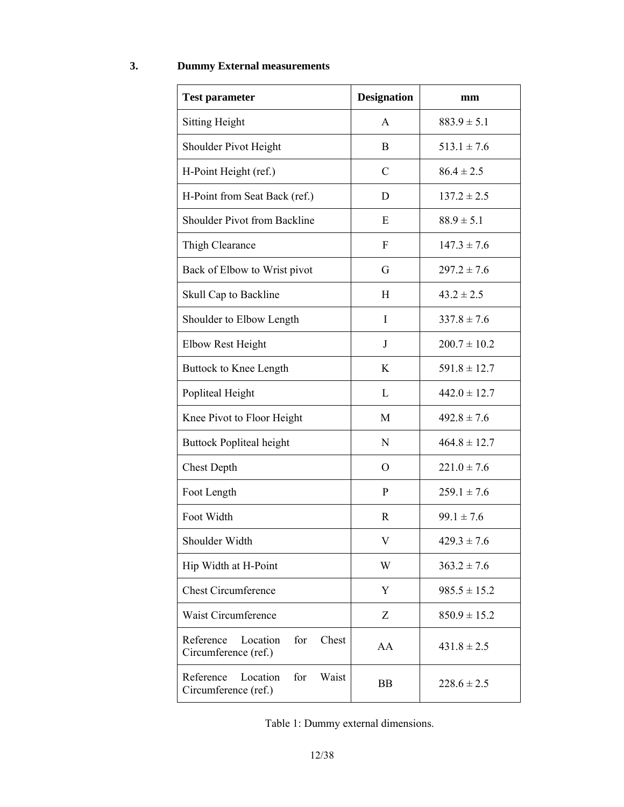## **3. Dummy External measurements**

| <b>Test parameter</b>                                         | <b>Designation</b> | mm               |
|---------------------------------------------------------------|--------------------|------------------|
| <b>Sitting Height</b>                                         | A                  | $883.9 \pm 5.1$  |
| Shoulder Pivot Height                                         | B                  | $513.1 \pm 7.6$  |
| H-Point Height (ref.)                                         | $\mathcal{C}$      | $86.4 \pm 2.5$   |
| H-Point from Seat Back (ref.)                                 | D                  | $137.2 \pm 2.5$  |
| Shoulder Pivot from Backline                                  | E                  | $88.9 \pm 5.1$   |
| Thigh Clearance                                               | $\boldsymbol{F}$   | $147.3 \pm 7.6$  |
| Back of Elbow to Wrist pivot                                  | G                  | $297.2 \pm 7.6$  |
| Skull Cap to Backline                                         | H                  | $43.2 \pm 2.5$   |
| Shoulder to Elbow Length                                      | I                  | $337.8 \pm 7.6$  |
| <b>Elbow Rest Height</b>                                      | $\mathbf{J}$       | $200.7 \pm 10.2$ |
| Buttock to Knee Length                                        | K                  | $591.8 \pm 12.7$ |
| Popliteal Height                                              | L                  | $442.0 \pm 12.7$ |
| Knee Pivot to Floor Height                                    | M                  | $492.8 \pm 7.6$  |
| <b>Buttock Popliteal height</b>                               | $\mathbf N$        | $464.8 \pm 12.7$ |
| <b>Chest Depth</b>                                            | $\Omega$           | $221.0 \pm 7.6$  |
| Foot Length                                                   | $\mathbf{P}$       | $259.1 \pm 7.6$  |
| Foot Width                                                    | R                  | $99.1 \pm 7.6$   |
| Shoulder Width                                                | V                  | $429.3 \pm 7.6$  |
| Hip Width at H-Point                                          | W                  | $363.2 \pm 7.6$  |
| <b>Chest Circumference</b>                                    | Y                  | $985.5 \pm 15.2$ |
| Waist Circumference                                           | Z                  | $850.9 \pm 15.2$ |
| Reference<br>Location<br>for<br>Chest<br>Circumference (ref.) | AA                 | $431.8 \pm 2.5$  |
| Reference<br>Location<br>for<br>Waist<br>Circumference (ref.) | <b>BB</b>          | $228.6 \pm 2.5$  |

| Table 1: Dummy external dimensions. |  |
|-------------------------------------|--|
|-------------------------------------|--|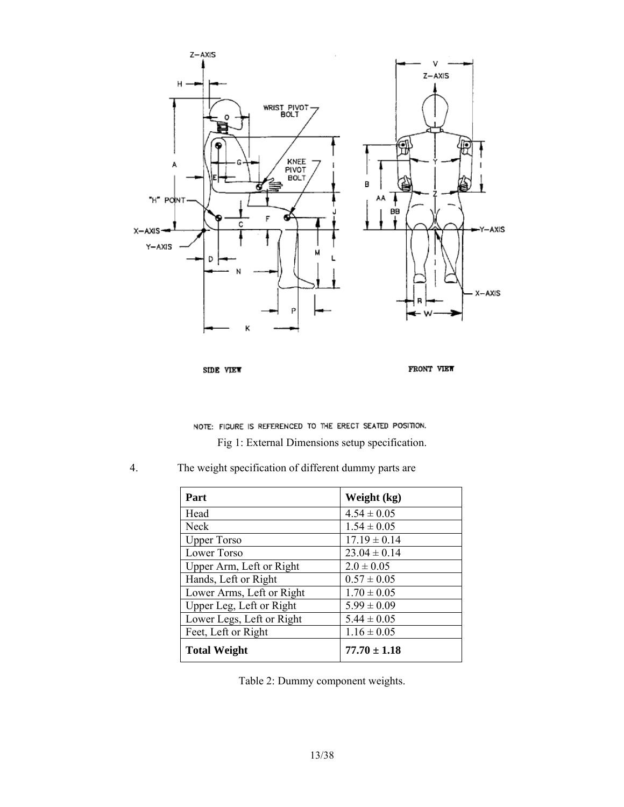

SIDE VIEW

FRONT VIEW

NOTE: FIGURE IS REFERENCED TO THE ERECT SEATED POSITION.

Fig 1: External Dimensions setup specification.

4. The weight specification of different dummy parts are

| Part                      | Weight (kg)      |
|---------------------------|------------------|
| Head                      | $4.54 \pm 0.05$  |
| Neck                      | $1.54 \pm 0.05$  |
| <b>Upper Torso</b>        | $17.19 \pm 0.14$ |
| Lower Torso               | $23.04 \pm 0.14$ |
| Upper Arm, Left or Right  | $2.0 \pm 0.05$   |
| Hands, Left or Right      | $0.57 \pm 0.05$  |
| Lower Arms, Left or Right | $1.70 \pm 0.05$  |
| Upper Leg, Left or Right  | $5.99 \pm 0.09$  |
| Lower Legs, Left or Right | $5.44 \pm 0.05$  |
| Feet, Left or Right       | $1.16 \pm 0.05$  |
| <b>Total Weight</b>       | $77.70 \pm 1.18$ |

Table 2: Dummy component weights.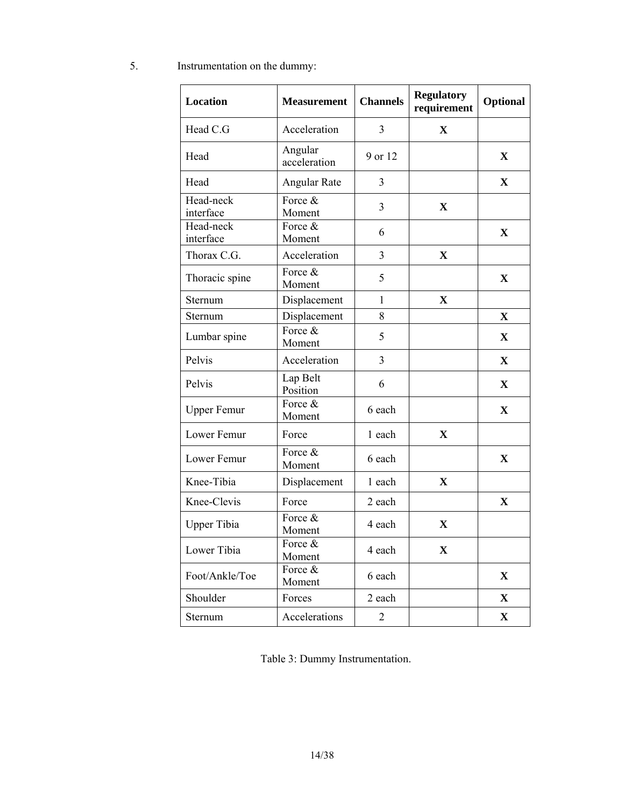5. Instrumentation on the dummy:

| Location               | <b>Measurement</b>      | <b>Channels</b> | <b>Regulatory</b><br>requirement | Optional     |
|------------------------|-------------------------|-----------------|----------------------------------|--------------|
| Head C.G               | Acceleration            | 3               | X                                |              |
| Head                   | Angular<br>acceleration | 9 or 12         |                                  | $\mathbf X$  |
| Head                   | Angular Rate            | 3               |                                  | $\mathbf X$  |
| Head-neck<br>interface | Force &<br>Moment       | $\overline{3}$  | $\mathbf X$                      |              |
| Head-neck<br>interface | Force &<br>Moment       | 6               |                                  | $\mathbf X$  |
| Thorax C.G.            | Acceleration            | 3               | $\mathbf X$                      |              |
| Thoracic spine         | Force &<br>Moment       | 5               |                                  | $\mathbf X$  |
| Sternum                | Displacement            | $\mathbf{1}$    | $\mathbf X$                      |              |
| Sternum                | Displacement            | 8               |                                  | $\mathbf X$  |
| Lumbar spine           | Force &<br>Moment       | 5               |                                  | $\mathbf X$  |
| Pelvis                 | Acceleration            | 3               |                                  | $\mathbf{X}$ |
| Pelvis                 | Lap Belt<br>Position    | 6               |                                  | $\mathbf X$  |
| <b>Upper Femur</b>     | Force &<br>Moment       | 6 each          |                                  | $\mathbf X$  |
| Lower Femur            | Force                   | 1 each          | $\mathbf{X}$                     |              |
| Lower Femur            | Force &<br>Moment       | 6 each          |                                  | $\mathbf X$  |
| Knee-Tibia             | Displacement            | 1 each          | X                                |              |
| Knee-Clevis            | Force                   | 2 each          |                                  | $\mathbf X$  |
| <b>Upper Tibia</b>     | Force &<br>Moment       | 4 each          | $\mathbf X$                      |              |
| Lower Tibia            | Force &<br>Moment       | 4 each          | $\mathbf X$                      |              |
| Foot/Ankle/Toe         | Force &<br>Moment       | 6 each          |                                  | $\mathbf X$  |
| Shoulder               | Forces                  | 2 each          |                                  | $\mathbf{X}$ |
| Sternum                | Accelerations           | $\overline{2}$  |                                  | $\mathbf{X}$ |

Table 3: Dummy Instrumentation.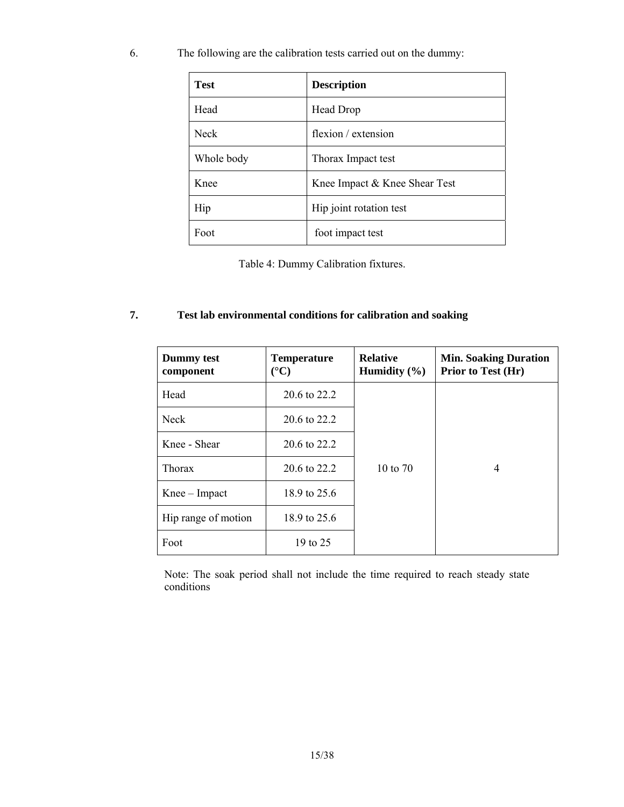6. The following are the calibration tests carried out on the dummy:

| <b>Test</b> | <b>Description</b>            |
|-------------|-------------------------------|
| Head        | Head Drop                     |
| <b>Neck</b> | flexion / extension           |
| Whole body  | Thorax Impact test            |
| Knee        | Knee Impact & Knee Shear Test |
| Hip         | Hip joint rotation test       |
| Foot        | foot impact test              |

Table 4: Dummy Calibration fixtures.

## **7. Test lab environmental conditions for calibration and soaking**

| Dummy test<br>component | <b>Temperature</b><br>$({}^{\circ}C)$ | <b>Relative</b><br>Humidity $(\% )$ | <b>Min. Soaking Duration</b><br>Prior to Test (Hr) |
|-------------------------|---------------------------------------|-------------------------------------|----------------------------------------------------|
| Head                    | 20.6 to 22.2                          |                                     |                                                    |
| <b>Neck</b>             | 20.6 to 22.2                          |                                     |                                                    |
| Knee - Shear            | 20.6 to 22.2                          |                                     |                                                    |
| <b>Thorax</b>           | 20.6 to 22.2                          | 10 to 70                            | 4                                                  |
| $Knee - Impact$         | 18.9 to 25.6                          |                                     |                                                    |
| Hip range of motion     | 18.9 to 25.6                          |                                     |                                                    |
| Foot                    | 19 to 25                              |                                     |                                                    |

Note: The soak period shall not include the time required to reach steady state conditions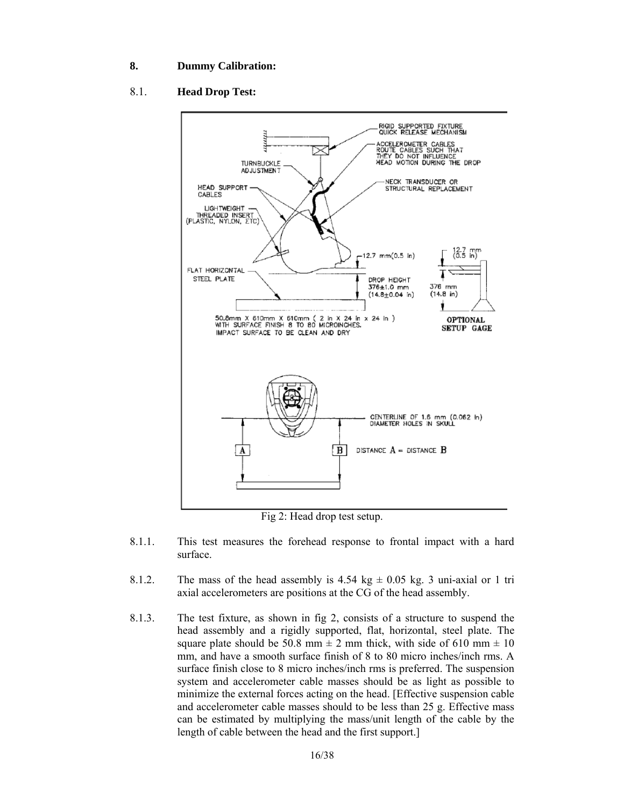#### **8. Dummy Calibration:**

### 8.1. **Head Drop Test:**



Fig 2: Head drop test setup.

- 8.1.1. This test measures the forehead response to frontal impact with a hard surface.
- 8.1.2. The mass of the head assembly is 4.54 kg  $\pm$  0.05 kg. 3 uni-axial or 1 tri axial accelerometers are positions at the CG of the head assembly.
- 8.1.3. The test fixture, as shown in fig 2, consists of a structure to suspend the head assembly and a rigidly supported, flat, horizontal, steel plate. The square plate should be 50.8 mm  $\pm$  2 mm thick, with side of 610 mm  $\pm$  10 mm, and have a smooth surface finish of 8 to 80 micro inches/inch rms. A surface finish close to 8 micro inches/inch rms is preferred. The suspension system and accelerometer cable masses should be as light as possible to minimize the external forces acting on the head. [Effective suspension cable and accelerometer cable masses should to be less than 25 g. Effective mass can be estimated by multiplying the mass/unit length of the cable by the length of cable between the head and the first support.]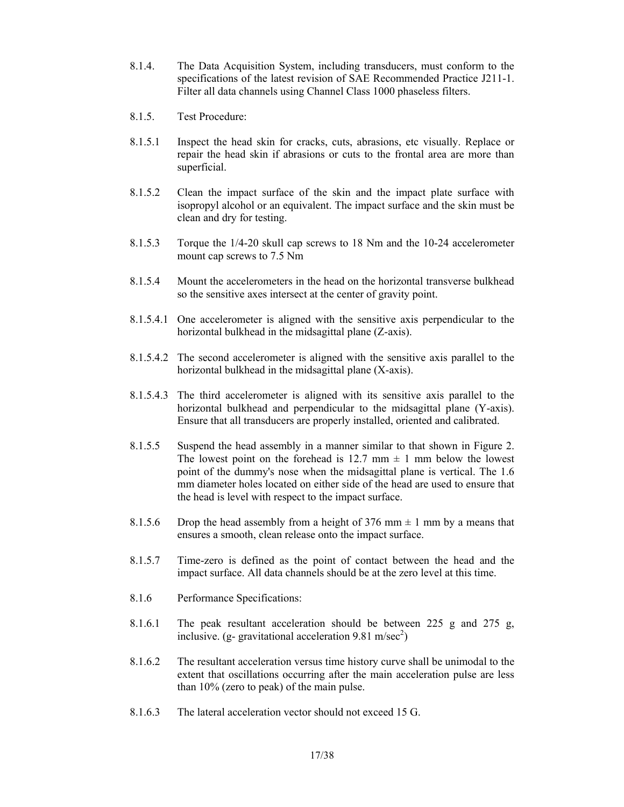- 8.1.4. The Data Acquisition System, including transducers, must conform to the specifications of the latest revision of SAE Recommended Practice J211-1. Filter all data channels using Channel Class 1000 phaseless filters.
- 8.1.5. Test Procedure:
- 8.1.5.1 Inspect the head skin for cracks, cuts, abrasions, etc visually. Replace or repair the head skin if abrasions or cuts to the frontal area are more than superficial.
- 8.1.5.2 Clean the impact surface of the skin and the impact plate surface with isopropyl alcohol or an equivalent. The impact surface and the skin must be clean and dry for testing.
- 8.1.5.3 Torque the 1/4-20 skull cap screws to 18 Nm and the 10-24 accelerometer mount cap screws to 7.5 Nm
- 8.1.5.4 Mount the accelerometers in the head on the horizontal transverse bulkhead so the sensitive axes intersect at the center of gravity point.
- 8.1.5.4.1 One accelerometer is aligned with the sensitive axis perpendicular to the horizontal bulkhead in the midsagittal plane (Z-axis).
- 8.1.5.4.2 The second accelerometer is aligned with the sensitive axis parallel to the horizontal bulkhead in the midsagittal plane (X-axis).
- 8.1.5.4.3 The third accelerometer is aligned with its sensitive axis parallel to the horizontal bulkhead and perpendicular to the midsagittal plane (Y-axis). Ensure that all transducers are properly installed, oriented and calibrated.
- 8.1.5.5 Suspend the head assembly in a manner similar to that shown in Figure 2. The lowest point on the forehead is 12.7 mm  $\pm$  1 mm below the lowest point of the dummy's nose when the midsagittal plane is vertical. The 1.6 mm diameter holes located on either side of the head are used to ensure that the head is level with respect to the impact surface.
- 8.1.5.6 Drop the head assembly from a height of 376 mm  $\pm$  1 mm by a means that ensures a smooth, clean release onto the impact surface.
- 8.1.5.7 Time-zero is defined as the point of contact between the head and the impact surface. All data channels should be at the zero level at this time.
- 8.1.6 Performance Specifications:
- 8.1.6.1 The peak resultant acceleration should be between 225 g and 275 g, inclusive. (g- gravitational acceleration 9.81 m/sec<sup>2</sup>)
- 8.1.6.2 The resultant acceleration versus time history curve shall be unimodal to the extent that oscillations occurring after the main acceleration pulse are less than 10% (zero to peak) of the main pulse.
- 8.1.6.3 The lateral acceleration vector should not exceed 15 G.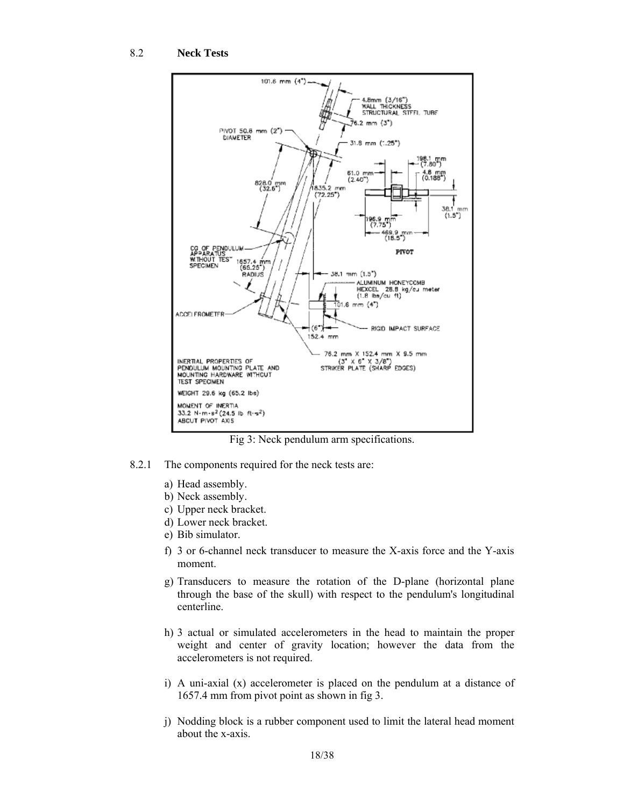

Fig 3: Neck pendulum arm specifications.

- 8.2.1 The components required for the neck tests are:
	- a) Head assembly.
	- b) Neck assembly.
	- c) Upper neck bracket.
	- d) Lower neck bracket.
	- e) Bib simulator.
	- f) 3 or 6-channel neck transducer to measure the X-axis force and the Y-axis moment.
	- g) Transducers to measure the rotation of the D-plane (horizontal plane through the base of the skull) with respect to the pendulum's longitudinal centerline.
	- h) 3 actual or simulated accelerometers in the head to maintain the proper weight and center of gravity location; however the data from the accelerometers is not required.
	- i) A uni-axial (x) accelerometer is placed on the pendulum at a distance of 1657.4 mm from pivot point as shown in fig 3.
	- j) Nodding block is a rubber component used to limit the lateral head moment about the x-axis.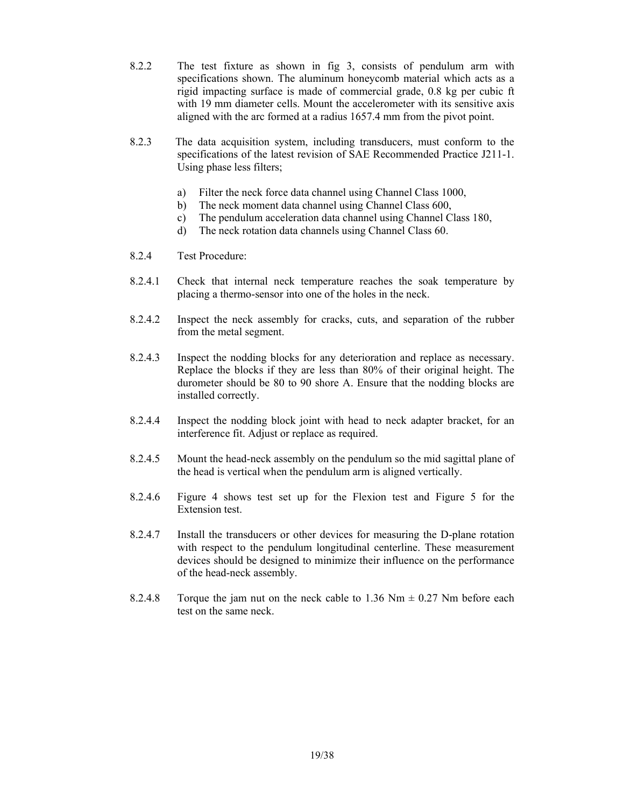- 8.2.2 The test fixture as shown in fig 3, consists of pendulum arm with specifications shown. The aluminum honeycomb material which acts as a rigid impacting surface is made of commercial grade, 0.8 kg per cubic ft with 19 mm diameter cells. Mount the accelerometer with its sensitive axis aligned with the arc formed at a radius 1657.4 mm from the pivot point.
- 8.2.3 The data acquisition system, including transducers, must conform to the specifications of the latest revision of SAE Recommended Practice J211-1. Using phase less filters;
	- a) Filter the neck force data channel using Channel Class 1000,
	- b) The neck moment data channel using Channel Class 600,
	- c) The pendulum acceleration data channel using Channel Class 180,
	- d) The neck rotation data channels using Channel Class 60.
- 8.2.4 Test Procedure:
- 8.2.4.1 Check that internal neck temperature reaches the soak temperature by placing a thermo-sensor into one of the holes in the neck.
- 8.2.4.2 Inspect the neck assembly for cracks, cuts, and separation of the rubber from the metal segment.
- 8.2.4.3 Inspect the nodding blocks for any deterioration and replace as necessary. Replace the blocks if they are less than 80% of their original height. The durometer should be 80 to 90 shore A. Ensure that the nodding blocks are installed correctly.
- 8.2.4.4 Inspect the nodding block joint with head to neck adapter bracket, for an interference fit. Adjust or replace as required.
- 8.2.4.5 Mount the head-neck assembly on the pendulum so the mid sagittal plane of the head is vertical when the pendulum arm is aligned vertically.
- 8.2.4.6 Figure 4 shows test set up for the Flexion test and Figure 5 for the Extension test.
- 8.2.4.7 Install the transducers or other devices for measuring the D-plane rotation with respect to the pendulum longitudinal centerline. These measurement devices should be designed to minimize their influence on the performance of the head-neck assembly.
- 8.2.4.8 Torque the jam nut on the neck cable to 1.36 Nm  $\pm$  0.27 Nm before each test on the same neck.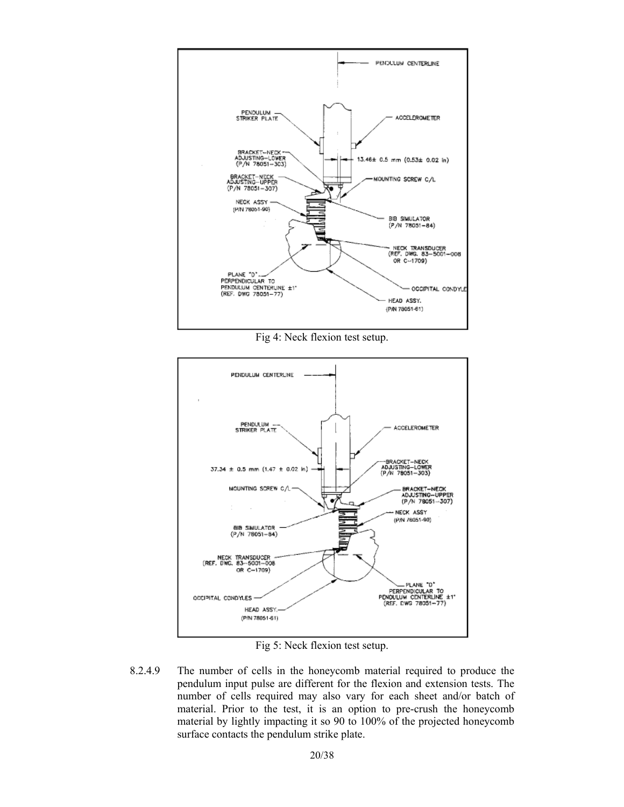

Fig 4: Neck flexion test setup.



Fig 5: Neck flexion test setup.

8.2.4.9 The number of cells in the honeycomb material required to produce the pendulum input pulse are different for the flexion and extension tests. The number of cells required may also vary for each sheet and/or batch of material. Prior to the test, it is an option to pre-crush the honeycomb material by lightly impacting it so 90 to 100% of the projected honeycomb surface contacts the pendulum strike plate.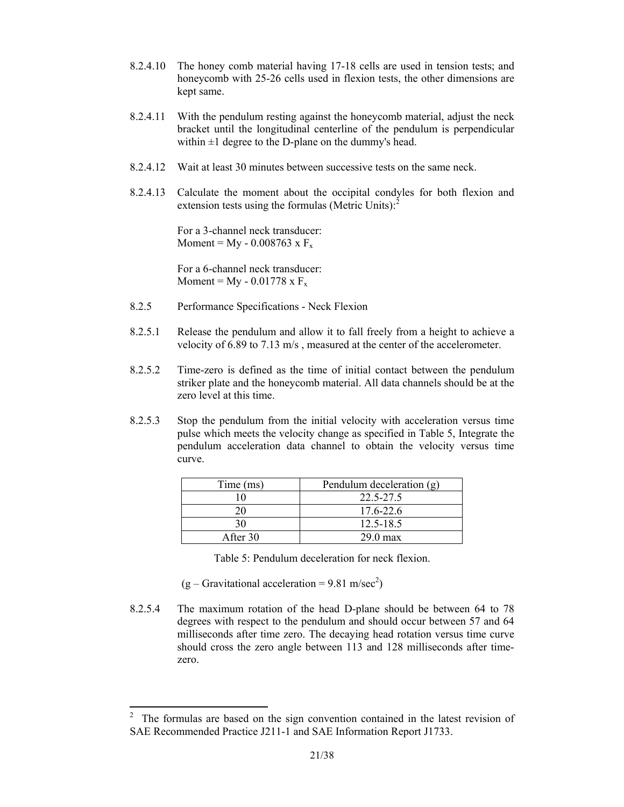- 8.2.4.10 The honey comb material having 17-18 cells are used in tension tests; and honeycomb with 25-26 cells used in flexion tests, the other dimensions are kept same.
- 8.2.4.11 With the pendulum resting against the honeycomb material, adjust the neck bracket until the longitudinal centerline of the pendulum is perpendicular within  $\pm 1$  degree to the D-plane on the dummy's head.
- 8.2.4.12 Wait at least 30 minutes between successive tests on the same neck.
- 8.2.4.13 Calculate the moment about the occipital condyles for both flexion and extension tests using the formulas (Metric Units): $2^2$

For a 3-channel neck transducer: Moment =  $M_y$  - 0.008763 x  $F_x$ 

For a 6-channel neck transducer: Moment =  $My - 0.01778$  x  $F_x$ 

- 8.2.5 Performance Specifications Neck Flexion
- 8.2.5.1 Release the pendulum and allow it to fall freely from a height to achieve a velocity of 6.89 to 7.13 m/s , measured at the center of the accelerometer.
- 8.2.5.2 Time-zero is defined as the time of initial contact between the pendulum striker plate and the honeycomb material. All data channels should be at the zero level at this time.
- 8.2.5.3 Stop the pendulum from the initial velocity with acceleration versus time pulse which meets the velocity change as specified in Table 5, Integrate the pendulum acceleration data channel to obtain the velocity versus time curve.

| Time (ms) | Pendulum deceleration (g) |
|-----------|---------------------------|
|           | 22 5-27 5                 |
|           | $17.6 - 22.6$             |
| 30        | $12.5 - 18.5$             |
| After 30  | $29.0$ max                |

Table 5: Pendulum deceleration for neck flexion.

 $(g - Gravitational acceleration = 9.81 m/sec<sup>2</sup>)$ 

l

8.2.5.4 The maximum rotation of the head D-plane should be between 64 to 78 degrees with respect to the pendulum and should occur between 57 and 64 milliseconds after time zero. The decaying head rotation versus time curve should cross the zero angle between 113 and 128 milliseconds after timezero.

<sup>&</sup>lt;sup>2</sup> The formulas are based on the sign convention contained in the latest revision of SAE Recommended Practice J211-1 and SAE Information Report J1733.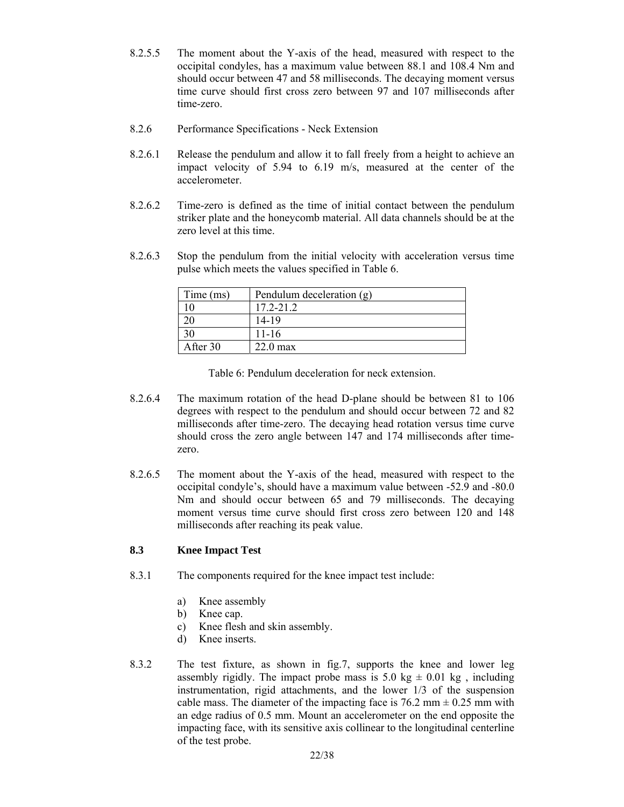- 8.2.5.5 The moment about the Y-axis of the head, measured with respect to the occipital condyles, has a maximum value between 88.1 and 108.4 Nm and should occur between 47 and 58 milliseconds. The decaying moment versus time curve should first cross zero between 97 and 107 milliseconds after time-zero.
- 8.2.6 Performance Specifications Neck Extension
- 8.2.6.1 Release the pendulum and allow it to fall freely from a height to achieve an impact velocity of 5.94 to 6.19 m/s, measured at the center of the accelerometer.
- 8.2.6.2 Time-zero is defined as the time of initial contact between the pendulum striker plate and the honeycomb material. All data channels should be at the zero level at this time.
- 8.2.6.3 Stop the pendulum from the initial velocity with acceleration versus time pulse which meets the values specified in Table 6.

| Time (ms) | Pendulum deceleration (g) |
|-----------|---------------------------|
|           | $17.2 - 21.2$             |
|           | 14-19                     |
| 30        | $11 - 16$                 |
| After 30  | $22.0 \text{ max}$        |

Table 6: Pendulum deceleration for neck extension.

- 8.2.6.4 The maximum rotation of the head D-plane should be between 81 to 106 degrees with respect to the pendulum and should occur between 72 and 82 milliseconds after time-zero. The decaying head rotation versus time curve should cross the zero angle between 147 and 174 milliseconds after timezero.
- 8.2.6.5 The moment about the Y-axis of the head, measured with respect to the occipital condyle's, should have a maximum value between -52.9 and -80.0 Nm and should occur between 65 and 79 milliseconds. The decaying moment versus time curve should first cross zero between 120 and 148 milliseconds after reaching its peak value.

## **8.3 Knee Impact Test**

- 8.3.1 The components required for the knee impact test include:
	- a) Knee assembly
	- b) Knee cap.
	- c) Knee flesh and skin assembly.
	- d) Knee inserts.
- 8.3.2 The test fixture, as shown in fig.7, supports the knee and lower leg assembly rigidly. The impact probe mass is 5.0 kg  $\pm$  0.01 kg, including instrumentation, rigid attachments, and the lower 1/3 of the suspension cable mass. The diameter of the impacting face is  $76.2$  mm  $\pm$  0.25 mm with an edge radius of 0.5 mm. Mount an accelerometer on the end opposite the impacting face, with its sensitive axis collinear to the longitudinal centerline of the test probe.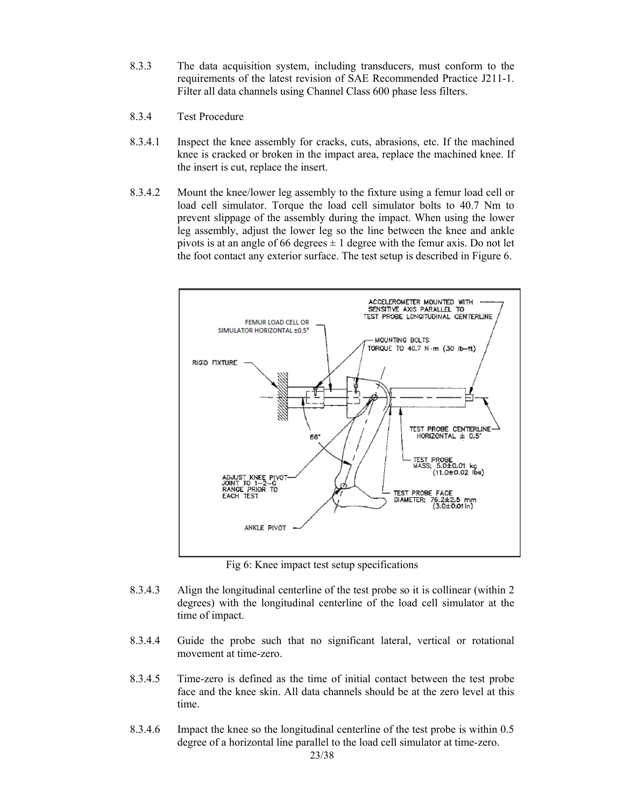- 8.3.3 The data acquisition system, including transducers, must conform to the requirements of the latest revision of SAE Recommended Practice J211-1. Filter all data channels using Channel Class 600 phase less filters.
- 8.3.4 Test Procedure
- 8.3.4.1 Inspect the knee assembly for cracks, cuts, abrasions, etc. If the machined knee is cracked or broken in the impact area, replace the machined knee. If the insert is cut, replace the insert.
- 8.3.4.2 Mount the knee/lower leg assembly to the fixture using a femur load cell or load cell simulator. Torque the load cell simulator bolts to 40.7 Nm to prevent slippage of the assembly during the impact. When using the lower leg assembly, adjust the lower leg so the line between the knee and ankle pivots is at an angle of 66 degrees  $\pm$  1 degree with the femur axis. Do not let the foot contact any exterior surface. The test setup is described in Figure 6.



Fig 6: Knee impact test setup specifications

- 8.3.4.3 Align the longitudinal centerline of the test probe so it is collinear (within 2 degrees) with the longitudinal centerline of the load cell simulator at the time of impact.
- 8.3.4.4 Guide the probe such that no significant lateral, vertical or rotational movement at time-zero.
- 8.3.4.5 Time-zero is defined as the time of initial contact between the test probe face and the knee skin. All data channels should be at the zero level at this time.
- 8.3.4.6 Impact the knee so the longitudinal centerline of the test probe is within 0.5 degree of a horizontal line parallel to the load cell simulator at time-zero.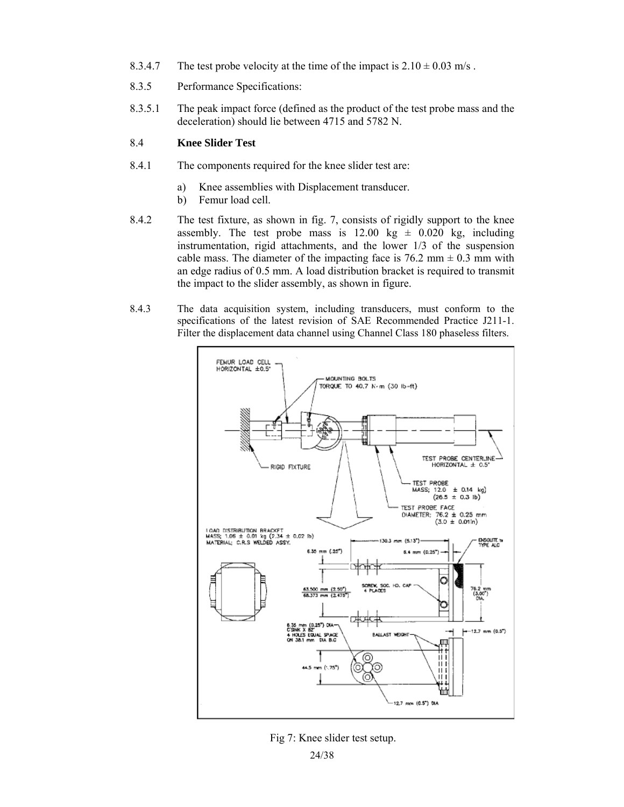- 8.3.4.7 The test probe velocity at the time of the impact is  $2.10 \pm 0.03$  m/s.
- 8.3.5 Performance Specifications:
- 8.3.5.1 The peak impact force (defined as the product of the test probe mass and the deceleration) should lie between 4715 and 5782 N.

#### 8.4 **Knee Slider Test**

- 8.4.1 The components required for the knee slider test are:
	- a) Knee assemblies with Displacement transducer.
	- b) Femur load cell.
- 8.4.2 The test fixture, as shown in fig. 7, consists of rigidly support to the knee assembly. The test probe mass is  $12.00 \text{ kg} \pm 0.020 \text{ kg}$ , including instrumentation, rigid attachments, and the lower 1/3 of the suspension cable mass. The diameter of the impacting face is  $76.2$  mm  $\pm$  0.3 mm with an edge radius of 0.5 mm. A load distribution bracket is required to transmit the impact to the slider assembly, as shown in figure.
- 8.4.3 The data acquisition system, including transducers, must conform to the specifications of the latest revision of SAE Recommended Practice J211-1. Filter the displacement data channel using Channel Class 180 phaseless filters.



Fig 7: Knee slider test setup.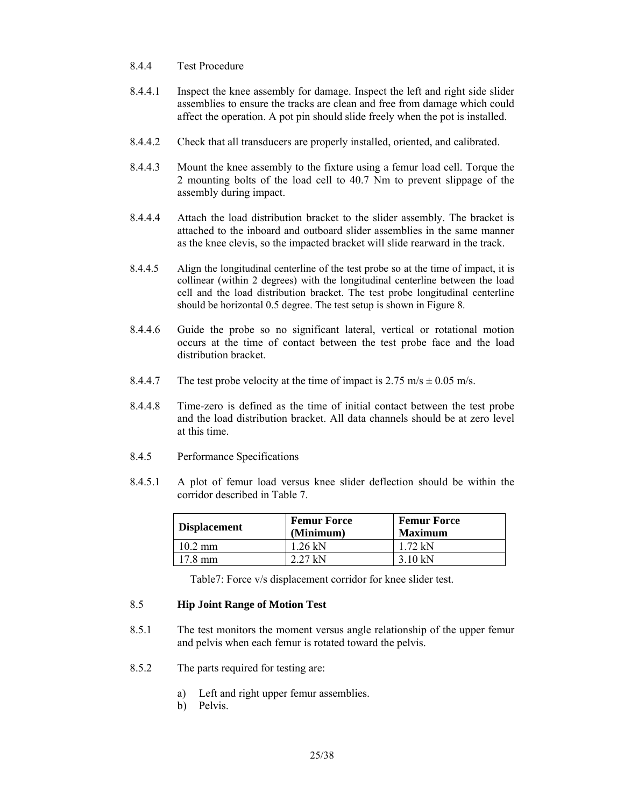- 8.4.4 Test Procedure
- 8.4.4.1 Inspect the knee assembly for damage. Inspect the left and right side slider assemblies to ensure the tracks are clean and free from damage which could affect the operation. A pot pin should slide freely when the pot is installed.
- 8.4.4.2 Check that all transducers are properly installed, oriented, and calibrated.
- 8.4.4.3 Mount the knee assembly to the fixture using a femur load cell. Torque the 2 mounting bolts of the load cell to 40.7 Nm to prevent slippage of the assembly during impact.
- 8.4.4.4 Attach the load distribution bracket to the slider assembly. The bracket is attached to the inboard and outboard slider assemblies in the same manner as the knee clevis, so the impacted bracket will slide rearward in the track.
- 8.4.4.5 Align the longitudinal centerline of the test probe so at the time of impact, it is collinear (within 2 degrees) with the longitudinal centerline between the load cell and the load distribution bracket. The test probe longitudinal centerline should be horizontal 0.5 degree. The test setup is shown in Figure 8.
- 8.4.4.6 Guide the probe so no significant lateral, vertical or rotational motion occurs at the time of contact between the test probe face and the load distribution bracket.
- 8.4.4.7 The test probe velocity at the time of impact is  $2.75 \text{ m/s} \pm 0.05 \text{ m/s}$ .
- 8.4.4.8 Time-zero is defined as the time of initial contact between the test probe and the load distribution bracket. All data channels should be at zero level at this time.
- 8.4.5 Performance Specifications
- 8.4.5.1 A plot of femur load versus knee slider deflection should be within the corridor described in Table 7.

| Displacement | <b>Femur Force</b><br>(Minimum) | <b>Femur Force</b><br><b>Maximum</b> |
|--------------|---------------------------------|--------------------------------------|
| 10.2 mm      | 1.26 kN                         | $1.72 \text{ kN}$                    |
| 17 8 mm      | 2 27 kN                         | 3.10 kN                              |

Table7: Force v/s displacement corridor for knee slider test.

### 8.5 **Hip Joint Range of Motion Test**

- 8.5.1 The test monitors the moment versus angle relationship of the upper femur and pelvis when each femur is rotated toward the pelvis.
- 8.5.2 The parts required for testing are:
	- a) Left and right upper femur assemblies.
	- b) Pelvis.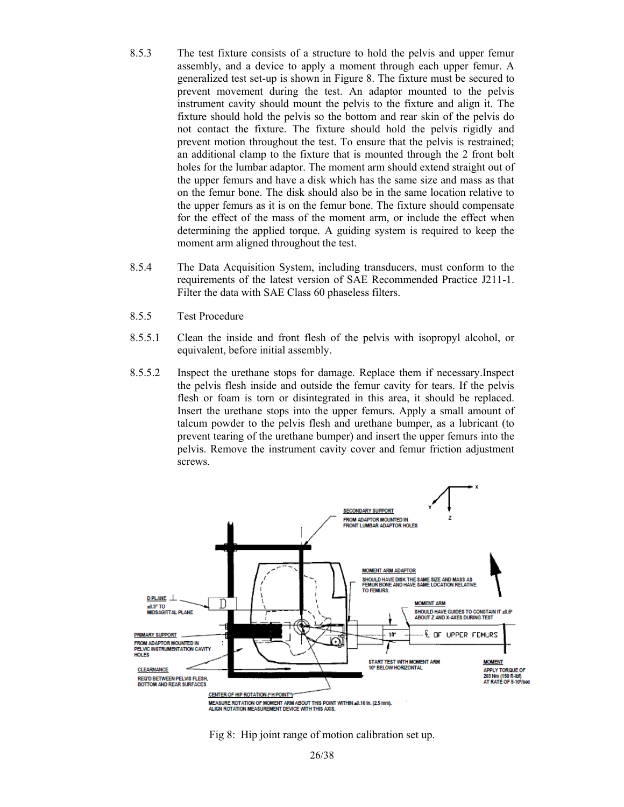- 8.5.3 The test fixture consists of a structure to hold the pelvis and upper femur assembly, and a device to apply a moment through each upper femur. A generalized test set-up is shown in Figure 8. The fixture must be secured to prevent movement during the test. An adaptor mounted to the pelvis instrument cavity should mount the pelvis to the fixture and align it. The fixture should hold the pelvis so the bottom and rear skin of the pelvis do not contact the fixture. The fixture should hold the pelvis rigidly and prevent motion throughout the test. To ensure that the pelvis is restrained; an additional clamp to the fixture that is mounted through the 2 front bolt holes for the lumbar adaptor. The moment arm should extend straight out of the upper femurs and have a disk which has the same size and mass as that on the femur bone. The disk should also be in the same location relative to the upper femurs as it is on the femur bone. The fixture should compensate for the effect of the mass of the moment arm, or include the effect when determining the applied torque*.* A guiding system is required to keep the moment arm aligned throughout the test.
- 8.5.4 The Data Acquisition System, including transducers, must conform to the requirements of the latest version of SAE Recommended Practice J211-1. Filter the data with SAE Class 60 phaseless filters.
- 8.5.5 Test Procedure
- 8.5.5.1 Clean the inside and front flesh of the pelvis with isopropyl alcohol, or equivalent, before initial assembly.
- 8.5.5.2 Inspect the urethane stops for damage. Replace them if necessary.Inspect the pelvis flesh inside and outside the femur cavity for tears. If the pelvis flesh or foam is torn or disintegrated in this area, it should be replaced. Insert the urethane stops into the upper femurs. Apply a small amount of talcum powder to the pelvis flesh and urethane bumper, as a lubricant (to prevent tearing of the urethane bumper) and insert the upper femurs into the pelvis. Remove the instrument cavity cover and femur friction adjustment screws.



Fig 8: Hip joint range of motion calibration set up.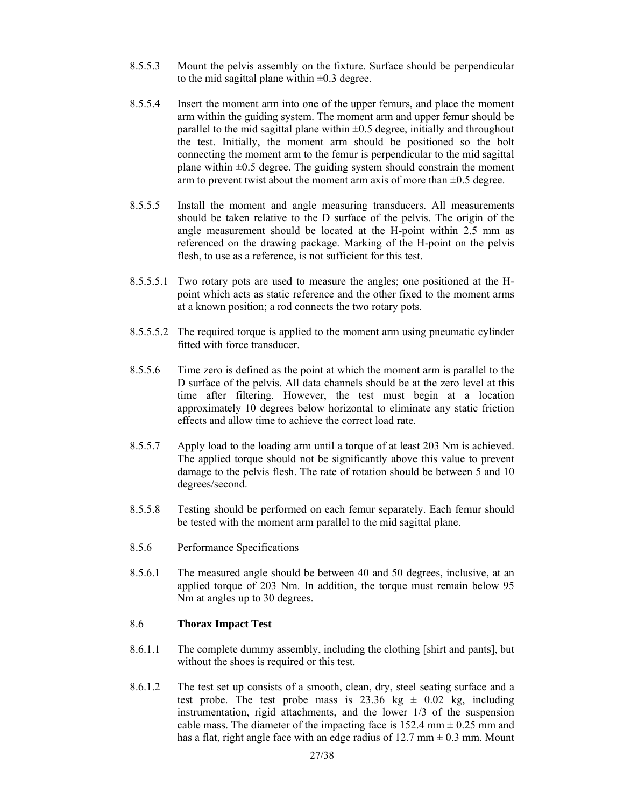- 8.5.5.3 Mount the pelvis assembly on the fixture. Surface should be perpendicular to the mid sagittal plane within  $\pm 0.3$  degree.
- 8.5.5.4 Insert the moment arm into one of the upper femurs, and place the moment arm within the guiding system. The moment arm and upper femur should be parallel to the mid sagittal plane within  $\pm 0.5$  degree, initially and throughout the test. Initially, the moment arm should be positioned so the bolt connecting the moment arm to the femur is perpendicular to the mid sagittal plane within  $\pm 0.5$  degree. The guiding system should constrain the moment arm to prevent twist about the moment arm axis of more than  $\pm 0.5$  degree.
- 8.5.5.5 Install the moment and angle measuring transducers. All measurements should be taken relative to the D surface of the pelvis. The origin of the angle measurement should be located at the H-point within 2.5 mm as referenced on the drawing package. Marking of the H-point on the pelvis flesh, to use as a reference, is not sufficient for this test.
- 8.5.5.5.1 Two rotary pots are used to measure the angles; one positioned at the Hpoint which acts as static reference and the other fixed to the moment arms at a known position; a rod connects the two rotary pots.
- 8.5.5.5.2 The required torque is applied to the moment arm using pneumatic cylinder fitted with force transducer.
- 8.5.5.6 Time zero is defined as the point at which the moment arm is parallel to the D surface of the pelvis. All data channels should be at the zero level at this time after filtering. However, the test must begin at a location approximately 10 degrees below horizontal to eliminate any static friction effects and allow time to achieve the correct load rate.
- 8.5.5.7 Apply load to the loading arm until a torque of at least 203 Nm is achieved. The applied torque should not be significantly above this value to prevent damage to the pelvis flesh. The rate of rotation should be between 5 and 10 degrees/second.
- 8.5.5.8 Testing should be performed on each femur separately. Each femur should be tested with the moment arm parallel to the mid sagittal plane.
- 8.5.6 Performance Specifications
- 8.5.6.1 The measured angle should be between 40 and 50 degrees, inclusive, at an applied torque of 203 Nm. In addition, the torque must remain below 95 Nm at angles up to 30 degrees.

### 8.6 **Thorax Impact Test**

- 8.6.1.1 The complete dummy assembly, including the clothing [shirt and pants], but without the shoes is required or this test.
- 8.6.1.2 The test set up consists of a smooth, clean, dry, steel seating surface and a test probe. The test probe mass is  $23.36 \text{ kg } \pm 0.02 \text{ kg}$ , including instrumentation, rigid attachments, and the lower 1/3 of the suspension cable mass. The diameter of the impacting face is 152.4 mm  $\pm$  0.25 mm and has a flat, right angle face with an edge radius of  $12.7 \text{ mm} \pm 0.3 \text{ mm}$ . Mount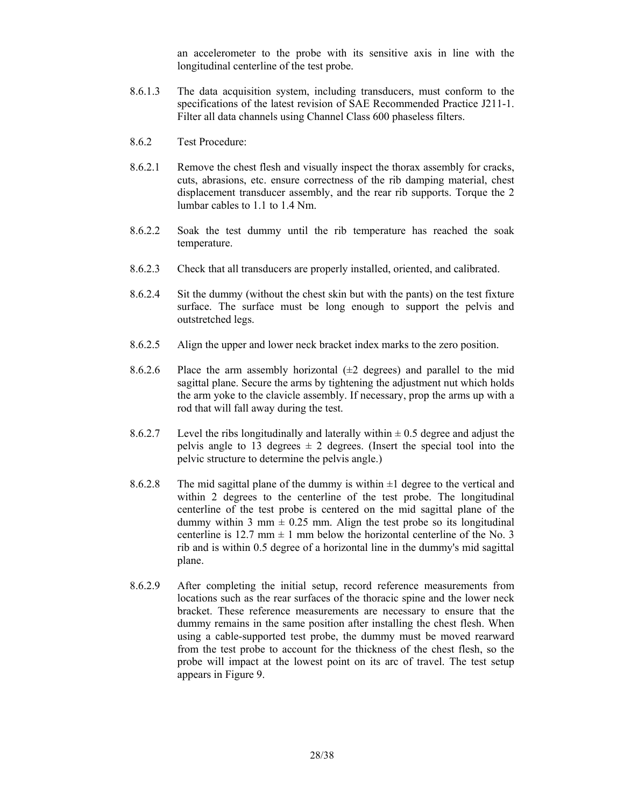an accelerometer to the probe with its sensitive axis in line with the longitudinal centerline of the test probe.

- 8.6.1.3 The data acquisition system, including transducers, must conform to the specifications of the latest revision of SAE Recommended Practice J211-1. Filter all data channels using Channel Class 600 phaseless filters.
- 8.6.2 Test Procedure:
- 8.6.2.1 Remove the chest flesh and visually inspect the thorax assembly for cracks, cuts, abrasions, etc. ensure correctness of the rib damping material, chest displacement transducer assembly, and the rear rib supports. Torque the 2 lumbar cables to 1.1 to 1.4 Nm.
- 8.6.2.2 Soak the test dummy until the rib temperature has reached the soak temperature.
- 8.6.2.3 Check that all transducers are properly installed, oriented, and calibrated.
- 8.6.2.4 Sit the dummy (without the chest skin but with the pants) on the test fixture surface. The surface must be long enough to support the pelvis and outstretched legs.
- 8.6.2.5 Align the upper and lower neck bracket index marks to the zero position.
- 8.6.2.6 Place the arm assembly horizontal  $(\pm 2$  degrees) and parallel to the mid sagittal plane. Secure the arms by tightening the adjustment nut which holds the arm yoke to the clavicle assembly. If necessary, prop the arms up with a rod that will fall away during the test.
- 8.6.2.7 Level the ribs longitudinally and laterally within  $\pm$  0.5 degree and adjust the pelvis angle to 13 degrees  $\pm$  2 degrees. (Insert the special tool into the pelvic structure to determine the pelvis angle.)
- 8.6.2.8 The mid sagittal plane of the dummy is within  $\pm 1$  degree to the vertical and within 2 degrees to the centerline of the test probe. The longitudinal centerline of the test probe is centered on the mid sagittal plane of the dummy within 3 mm  $\pm$  0.25 mm. Align the test probe so its longitudinal centerline is 12.7 mm  $\pm$  1 mm below the horizontal centerline of the No. 3 rib and is within 0.5 degree of a horizontal line in the dummy's mid sagittal plane.
- 8.6.2.9 After completing the initial setup, record reference measurements from locations such as the rear surfaces of the thoracic spine and the lower neck bracket. These reference measurements are necessary to ensure that the dummy remains in the same position after installing the chest flesh. When using a cable-supported test probe, the dummy must be moved rearward from the test probe to account for the thickness of the chest flesh, so the probe will impact at the lowest point on its arc of travel. The test setup appears in Figure 9.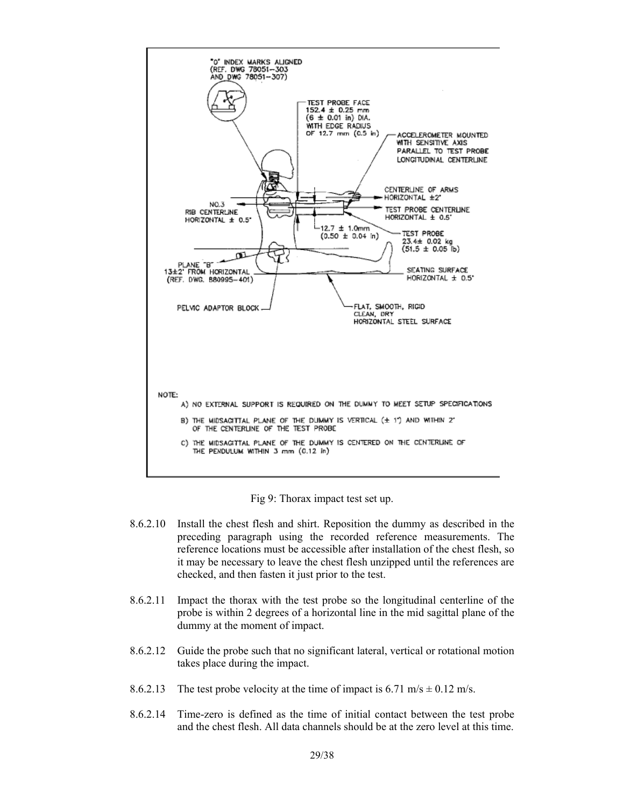

Fig 9: Thorax impact test set up.

- 8.6.2.10 Install the chest flesh and shirt. Reposition the dummy as described in the preceding paragraph using the recorded reference measurements. The reference locations must be accessible after installation of the chest flesh, so it may be necessary to leave the chest flesh unzipped until the references are checked, and then fasten it just prior to the test.
- 8.6.2.11 Impact the thorax with the test probe so the longitudinal centerline of the probe is within 2 degrees of a horizontal line in the mid sagittal plane of the dummy at the moment of impact.
- 8.6.2.12 Guide the probe such that no significant lateral, vertical or rotational motion takes place during the impact.
- 8.6.2.13 The test probe velocity at the time of impact is 6.71 m/s  $\pm$  0.12 m/s.
- 8.6.2.14 Time-zero is defined as the time of initial contact between the test probe and the chest flesh. All data channels should be at the zero level at this time.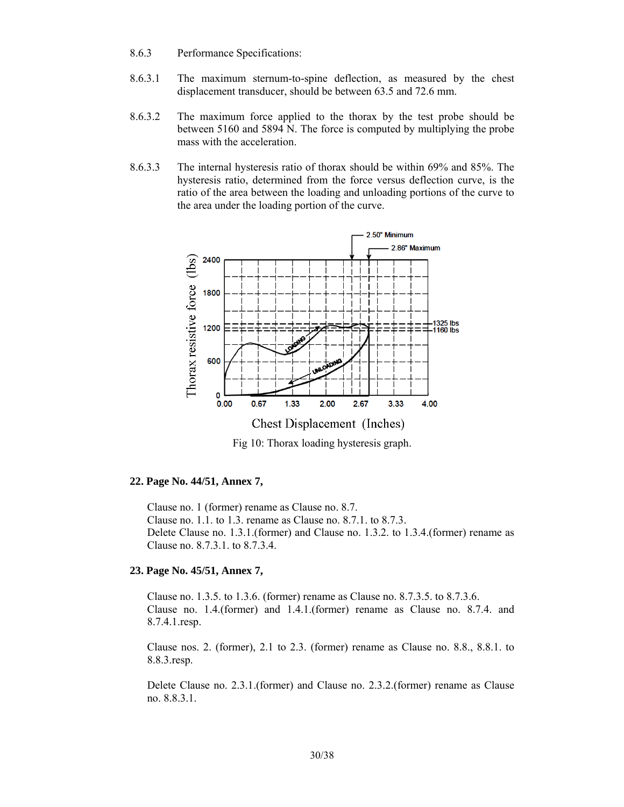- 8.6.3 Performance Specifications:
- 8.6.3.1 The maximum sternum-to-spine deflection, as measured by the chest displacement transducer, should be between 63.5 and 72.6 mm.
- 8.6.3.2 The maximum force applied to the thorax by the test probe should be between 5160 and 5894 N. The force is computed by multiplying the probe mass with the acceleration.
- 8.6.3.3 The internal hysteresis ratio of thorax should be within 69% and 85%. The hysteresis ratio, determined from the force versus deflection curve, is the ratio of the area between the loading and unloading portions of the curve to the area under the loading portion of the curve.



Fig 10: Thorax loading hysteresis graph.

#### **22. Page No. 44/51, Annex 7,**

Clause no. 1 (former) rename as Clause no. 8.7. Clause no. 1.1. to 1.3. rename as Clause no. 8.7.1. to 8.7.3. Delete Clause no. 1.3.1.(former) and Clause no. 1.3.2. to 1.3.4.(former) rename as Clause no. 8.7.3.1. to 8.7.3.4.

### **23. Page No. 45/51, Annex 7,**

Clause no. 1.3.5. to 1.3.6. (former) rename as Clause no. 8.7.3.5. to 8.7.3.6. Clause no. 1.4.(former) and 1.4.1.(former) rename as Clause no. 8.7.4. and 8.7.4.1.resp.

Clause nos. 2. (former), 2.1 to 2.3. (former) rename as Clause no. 8.8., 8.8.1. to 8.8.3.resp.

Delete Clause no. 2.3.1.(former) and Clause no. 2.3.2.(former) rename as Clause no. 8.8.3.1.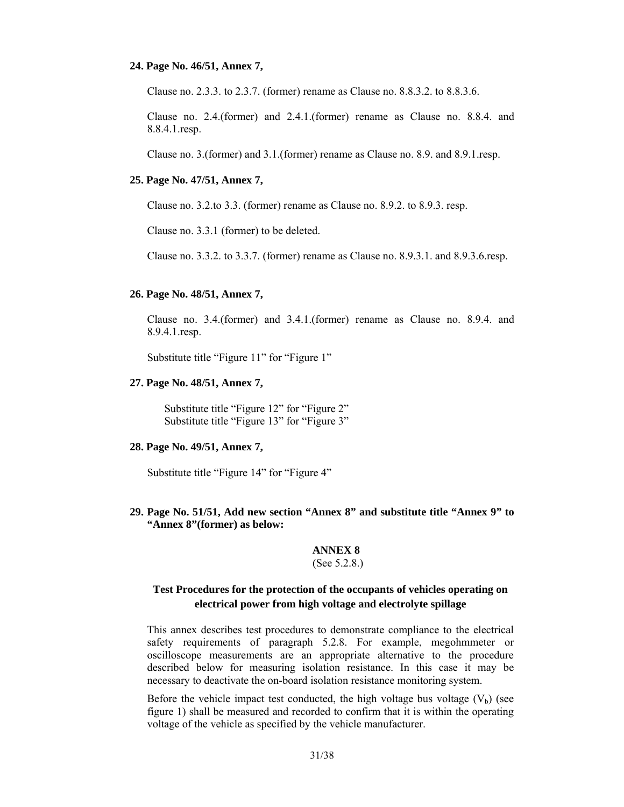#### **24. Page No. 46/51, Annex 7,**

Clause no. 2.3.3. to 2.3.7. (former) rename as Clause no. 8.8.3.2. to 8.8.3.6.

Clause no. 2.4.(former) and 2.4.1.(former) rename as Clause no. 8.8.4. and 8.8.4.1.resp.

Clause no. 3.(former) and 3.1.(former) rename as Clause no. 8.9. and 8.9.1.resp.

#### **25. Page No. 47/51, Annex 7,**

Clause no. 3.2.to 3.3. (former) rename as Clause no. 8.9.2. to 8.9.3. resp.

Clause no. 3.3.1 (former) to be deleted.

Clause no. 3.3.2. to 3.3.7. (former) rename as Clause no. 8.9.3.1. and 8.9.3.6.resp.

#### **26. Page No. 48/51, Annex 7,**

Clause no. 3.4.(former) and 3.4.1.(former) rename as Clause no. 8.9.4. and 8.9.4.1.resp.

Substitute title "Figure 11" for "Figure 1"

#### **27. Page No. 48/51, Annex 7,**

Substitute title "Figure 12" for "Figure 2" Substitute title "Figure 13" for "Figure 3"

#### **28. Page No. 49/51, Annex 7,**

Substitute title "Figure 14" for "Figure 4"

**29. Page No. 51/51, Add new section "Annex 8" and substitute title "Annex 9" to "Annex 8"(former) as below:** 

## **ANNEX 8**

### (See 5.2.8.)

### **Test Procedures for the protection of the occupants of vehicles operating on electrical power from high voltage and electrolyte spillage**

This annex describes test procedures to demonstrate compliance to the electrical safety requirements of paragraph 5.2.8. For example, megohmmeter or oscilloscope measurements are an appropriate alternative to the procedure described below for measuring isolation resistance. In this case it may be necessary to deactivate the on-board isolation resistance monitoring system.

Before the vehicle impact test conducted, the high voltage bus voltage  $(V_b)$  (see figure 1) shall be measured and recorded to confirm that it is within the operating voltage of the vehicle as specified by the vehicle manufacturer.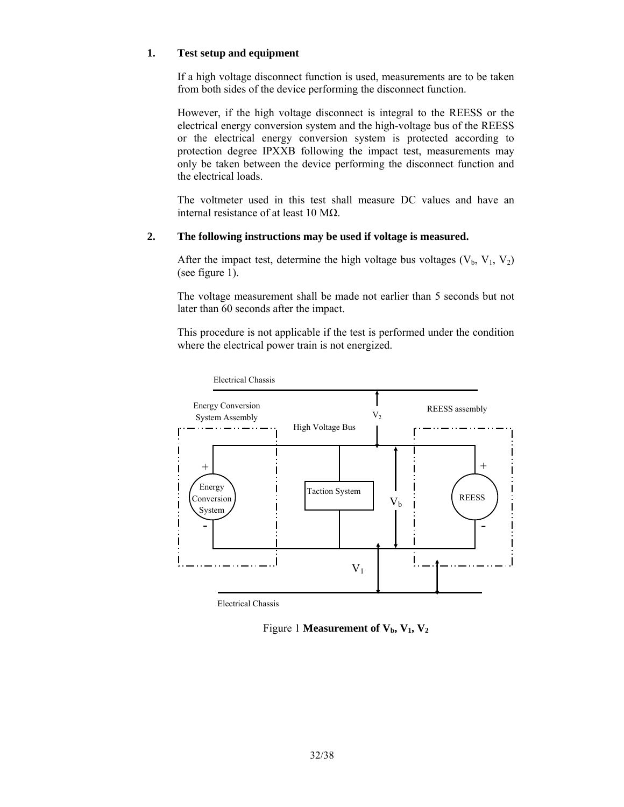### **1. Test setup and equipment**

If a high voltage disconnect function is used, measurements are to be taken from both sides of the device performing the disconnect function.

However, if the high voltage disconnect is integral to the REESS or the electrical energy conversion system and the high-voltage bus of the REESS or the electrical energy conversion system is protected according to protection degree IPXXB following the impact test, measurements may only be taken between the device performing the disconnect function and the electrical loads.

The voltmeter used in this test shall measure DC values and have an internal resistance of at least 10 MΩ.

### **2. The following instructions may be used if voltage is measured.**

After the impact test, determine the high voltage bus voltages  $(V_b, V_1, V_2)$ (see figure 1).

The voltage measurement shall be made not earlier than 5 seconds but not later than 60 seconds after the impact.

This procedure is not applicable if the test is performed under the condition where the electrical power train is not energized.



Electrical Chassis

Figure 1 **Measurement of**  $V_b$ **,**  $V_1$ **,**  $V_2$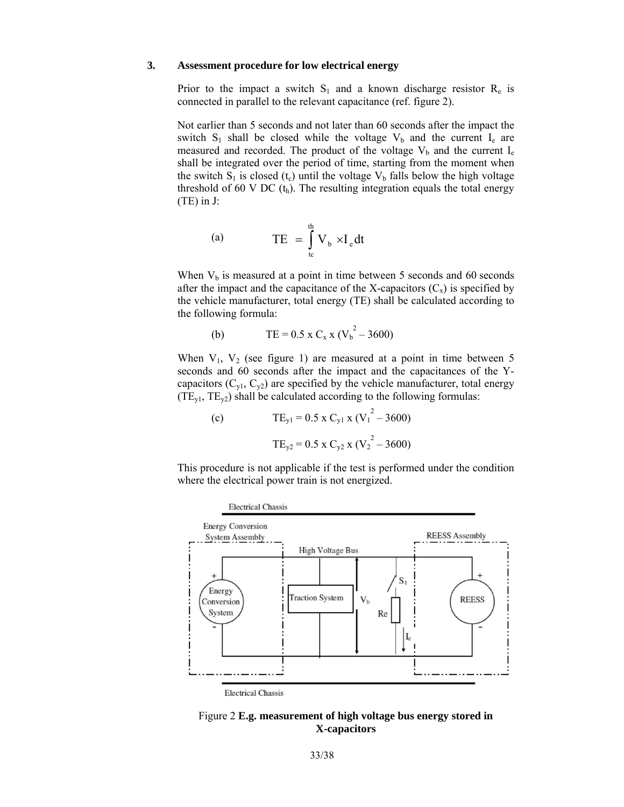#### **3. Assessment procedure for low electrical energy**

Prior to the impact a switch  $S_1$  and a known discharge resistor  $R_e$  is connected in parallel to the relevant capacitance (ref. figure 2).

Not earlier than 5 seconds and not later than 60 seconds after the impact the switch  $S_1$  shall be closed while the voltage  $V_b$  and the current  $I_e$  are measured and recorded. The product of the voltage  $V_b$  and the current  $I_e$ shall be integrated over the period of time, starting from the moment when the switch  $S_1$  is closed (t<sub>c</sub>) until the voltage  $V_b$  falls below the high voltage threshold of 60 V DC  $(t_h)$ . The resulting integration equals the total energy (TE) in J:

(a) 
$$
TE = \int_{t_c}^{t_h} V_b \times I_e dt
$$

When  $V_b$  is measured at a point in time between 5 seconds and 60 seconds after the impact and the capacitance of the X-capacitors  $(C_x)$  is specified by the vehicle manufacturer, total energy (TE) shall be calculated according to the following formula:

(b) 
$$
TE = 0.5 \times C_x \times (V_b^2 - 3600)
$$

When  $V_1$ ,  $V_2$  (see figure 1) are measured at a point in time between 5 seconds and 60 seconds after the impact and the capacitances of the Ycapacitors  $(C_{y1}, C_{y2})$  are specified by the vehicle manufacturer, total energy  $(TE_{y1}, TE_{y2})$  shall be calculated according to the following formulas:

(c) 
$$
TE_{y1} = 0.5 \times C_{y1} \times (V_1^2 - 3600)
$$

$$
TE_{y2} = 0.5 \times C_{y2} \times (V_2^2 - 3600)
$$

This procedure is not applicable if the test is performed under the condition where the electrical power train is not energized.



Figure 2 **E.g. measurement of high voltage bus energy stored in X-capacitors**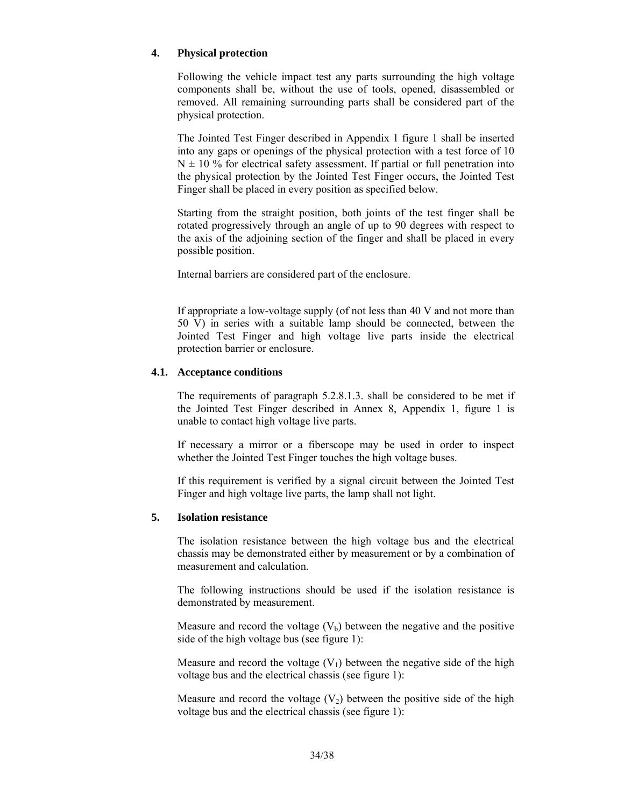### **4. Physical protection**

Following the vehicle impact test any parts surrounding the high voltage components shall be, without the use of tools, opened, disassembled or removed. All remaining surrounding parts shall be considered part of the physical protection.

The Jointed Test Finger described in Appendix 1 figure 1 shall be inserted into any gaps or openings of the physical protection with a test force of 10  $N \pm 10$  % for electrical safety assessment. If partial or full penetration into the physical protection by the Jointed Test Finger occurs, the Jointed Test Finger shall be placed in every position as specified below.

Starting from the straight position, both joints of the test finger shall be rotated progressively through an angle of up to 90 degrees with respect to the axis of the adjoining section of the finger and shall be placed in every possible position.

Internal barriers are considered part of the enclosure.

If appropriate a low-voltage supply (of not less than 40 V and not more than 50 V) in series with a suitable lamp should be connected, between the Jointed Test Finger and high voltage live parts inside the electrical protection barrier or enclosure.

### **4.1. Acceptance conditions**

The requirements of paragraph 5.2.8.1.3. shall be considered to be met if the Jointed Test Finger described in Annex 8, Appendix 1, figure 1 is unable to contact high voltage live parts.

If necessary a mirror or a fiberscope may be used in order to inspect whether the Jointed Test Finger touches the high voltage buses.

If this requirement is verified by a signal circuit between the Jointed Test Finger and high voltage live parts, the lamp shall not light.

### **5. Isolation resistance**

The isolation resistance between the high voltage bus and the electrical chassis may be demonstrated either by measurement or by a combination of measurement and calculation.

The following instructions should be used if the isolation resistance is demonstrated by measurement.

Measure and record the voltage  $(V_b)$  between the negative and the positive side of the high voltage bus (see figure 1):

Measure and record the voltage  $(V_1)$  between the negative side of the high voltage bus and the electrical chassis (see figure 1):

Measure and record the voltage  $(V_2)$  between the positive side of the high voltage bus and the electrical chassis (see figure 1):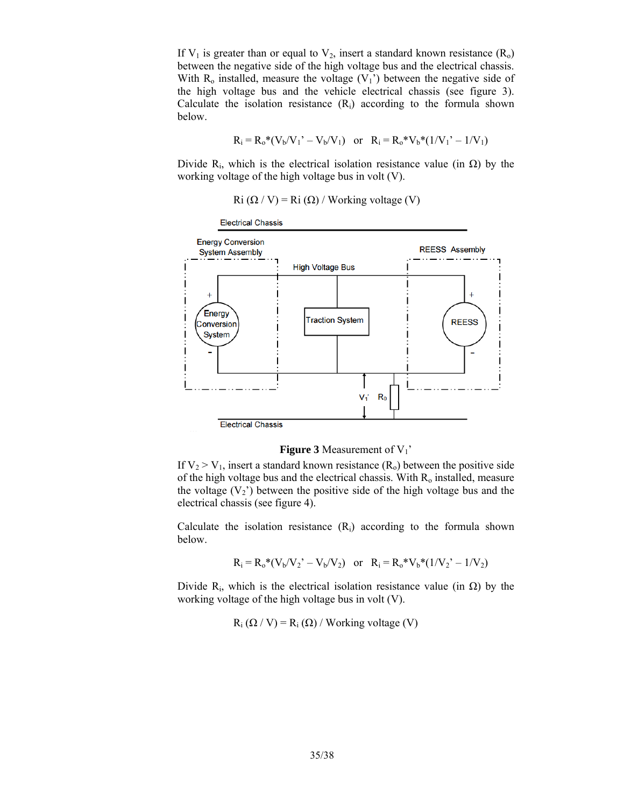If  $V_1$  is greater than or equal to  $V_2$ , insert a standard known resistance  $(R_0)$ between the negative side of the high voltage bus and the electrical chassis. With  $R_0$  installed, measure the voltage  $(V_1)$  between the negative side of the high voltage bus and the vehicle electrical chassis (see figure 3). Calculate the isolation resistance  $(R_i)$  according to the formula shown below.

$$
R_i = R_o^*(V_b/V_1' - V_b/V_1)
$$
 or  $R_i = R_o^*V_b^*(1/V_1' - 1/V_1)$ 

Divide R<sub>i</sub>, which is the electrical isolation resistance value (in  $\Omega$ ) by the working voltage of the high voltage bus in volt (V).

Ri  $(\Omega / V) = Ri(\Omega) / Working voltage(V)$ 

**Electrical Chassis Energy Conversion REESS Assembly System Assembly High Voltage Bus** Energy **Traction System REESS** Conversion System  $V_1'$  $R_0$ **Electrical Chassis** 

#### **Figure 3** Measurement of V<sub>1</sub>'

If  $V_2 > V_1$ , insert a standard known resistance  $(R_0)$  between the positive side of the high voltage bus and the electrical chassis. With  $R_0$  installed, measure the voltage  $(V_2)$  between the positive side of the high voltage bus and the electrical chassis (see figure 4).

Calculate the isolation resistance  $(R_i)$  according to the formula shown below.

$$
R_i = R_o * (V_b/V_2' - V_b/V_2)
$$
 or  $R_i = R_o * V_b * (1/V_2' - 1/V_2)$ 

Divide  $R_i$ , which is the electrical isolation resistance value (in  $\Omega$ ) by the working voltage of the high voltage bus in volt (V).

 $R_i$  ( $\Omega$  / V) =  $R_i$  ( $\Omega$ ) / Working voltage (V)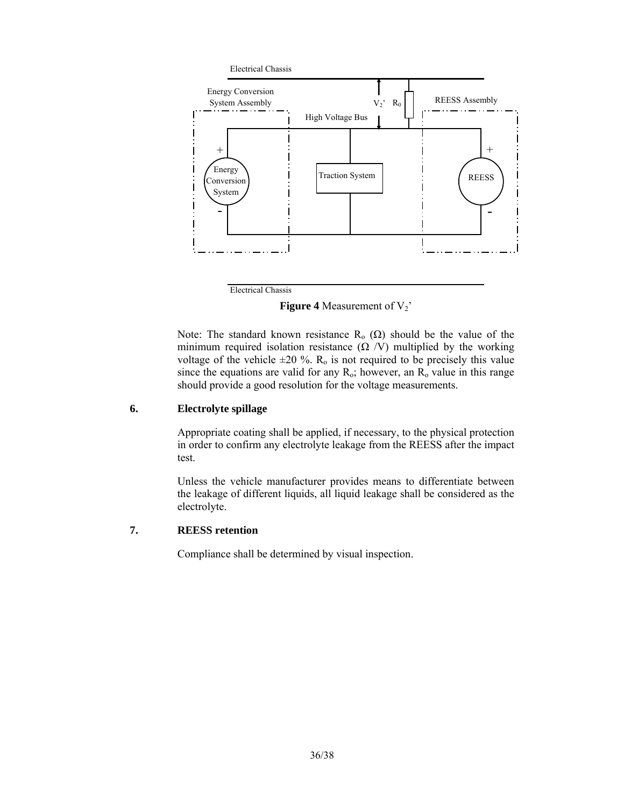

Electrical Chassis

**Figure 4** Measurement of  $V_2$ <sup>'</sup>

Note: The standard known resistance R<sub>o</sub> (Ω) should be the value of the minimum required isolation resistance  $(\Omega / V)$  multiplied by the working voltage of the vehicle  $\pm 20$  %. R<sub>0</sub> is not required to be precisely this value since the equations are valid for any  $R_0$ ; however, an  $R_0$  value in this range should provide a good resolution for the voltage measurements.

#### **6. Electrolyte spillage**

Appropriate coating shall be applied, if necessary, to the physical protection in order to confirm any electrolyte leakage from the REESS after the impact test.

Unless the vehicle manufacturer provides means to differentiate between the leakage of different liquids, all liquid leakage shall be considered as the electrolyte.

### **7. REESS retention**

Compliance shall be determined by visual inspection.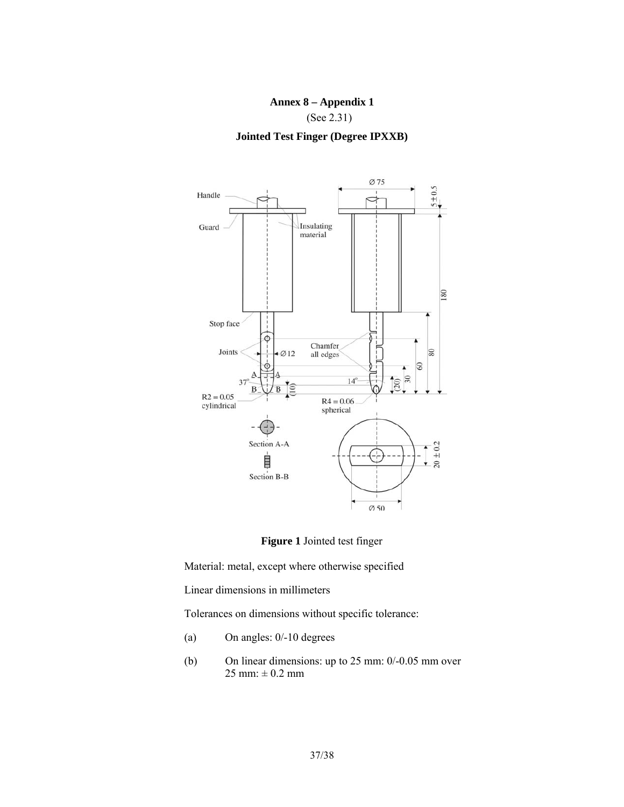# **Annex 8 – Appendix 1**

(See 2.31)

**Jointed Test Finger (Degree IPXXB)** 





Material: metal, except where otherwise specified

Linear dimensions in millimeters

Tolerances on dimensions without specific tolerance:

- (a) On angles: 0/-10 degrees
- (b) On linear dimensions: up to 25 mm: 0/-0.05 mm over  $25 \text{ mm}$ :  $\pm 0.2 \text{ mm}$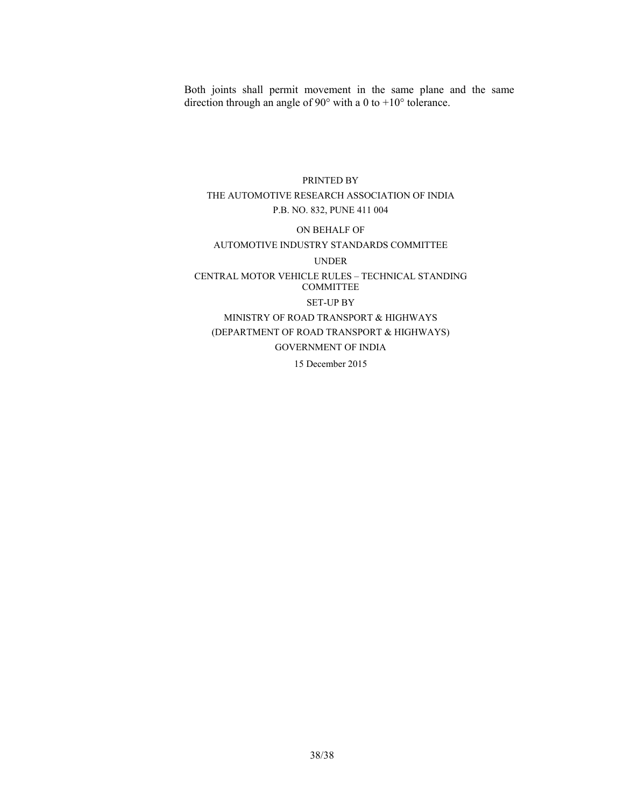Both joints shall permit movement in the same plane and the same direction through an angle of 90° with a 0 to +10° tolerance.

# PRINTED BY THE AUTOMOTIVE RESEARCH ASSOCIATION OF INDIA P.B. NO. 832, PUNE 411 004

#### ON BEHALF OF

#### AUTOMOTIVE INDUSTRY STANDARDS COMMITTEE

#### UNDER

# CENTRAL MOTOR VEHICLE RULES – TECHNICAL STANDING COMMITTEE SET-UP BY MINISTRY OF ROAD TRANSPORT & HIGHWAYS (DEPARTMENT OF ROAD TRANSPORT & HIGHWAYS) GOVERNMENT OF INDIA 15 December 2015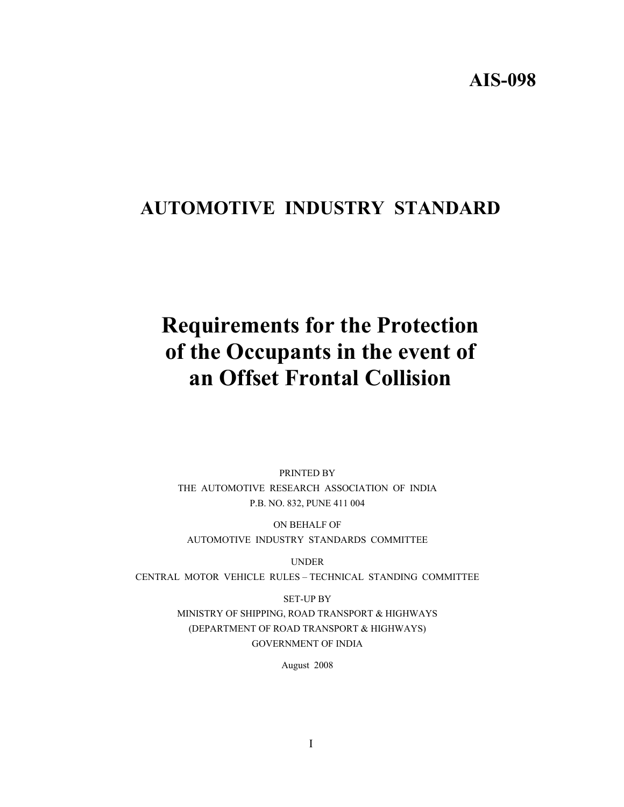# **AIS-098**

# **AUTOMOTIVE INDUSTRY STANDARD**

# **Requirements for the Protection of the Occupants in the event of an Offset Frontal Collision**

PRINTED BY THE AUTOMOTIVE RESEARCH ASSOCIATION OF INDIA P.B. NO. 832, PUNE 411 004

ON BEHALF OF AUTOMOTIVE INDUSTRY STANDARDS COMMITTEE

UNDER

CENTRAL MOTOR VEHICLE RULES – TECHNICAL STANDING COMMITTEE

SET-UP BY MINISTRY OF SHIPPING, ROAD TRANSPORT & HIGHWAYS (DEPARTMENT OF ROAD TRANSPORT & HIGHWAYS) GOVERNMENT OF INDIA

August 2008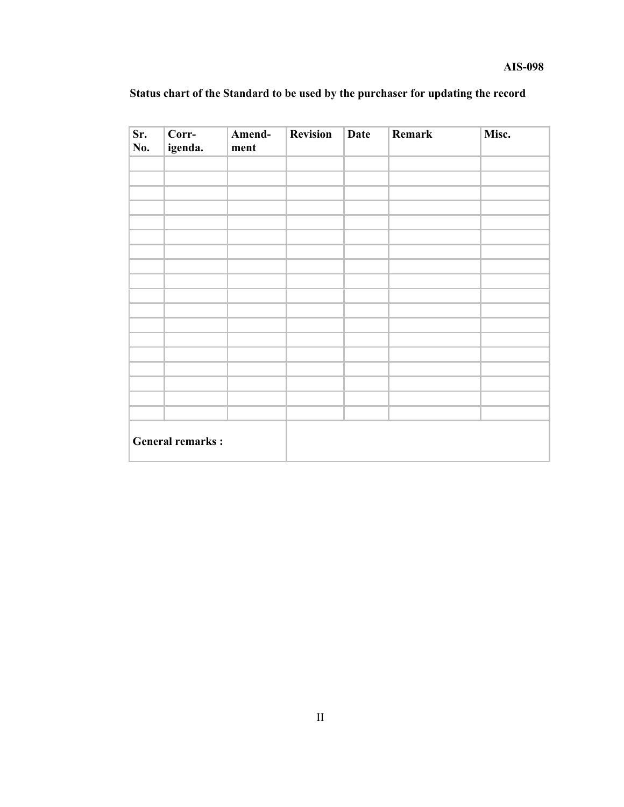| Status chart of the Standard to be used by the purchaser for updating the record |  |
|----------------------------------------------------------------------------------|--|
|----------------------------------------------------------------------------------|--|

| Sr.<br>No.              | Corr-<br>igenda. | Amend-<br>ment | <b>Revision</b> | Date | Remark | Misc. |
|-------------------------|------------------|----------------|-----------------|------|--------|-------|
|                         |                  |                |                 |      |        |       |
|                         |                  |                |                 |      |        |       |
|                         |                  |                |                 |      |        |       |
|                         |                  |                |                 |      |        |       |
|                         |                  |                |                 |      |        |       |
|                         |                  |                |                 |      |        |       |
|                         |                  |                |                 |      |        |       |
|                         |                  |                |                 |      |        |       |
|                         |                  |                |                 |      |        |       |
|                         |                  |                |                 |      |        |       |
|                         |                  |                |                 |      |        |       |
|                         |                  |                |                 |      |        |       |
|                         |                  |                |                 |      |        |       |
|                         |                  |                |                 |      |        |       |
|                         |                  |                |                 |      |        |       |
|                         |                  |                |                 |      |        |       |
|                         |                  |                |                 |      |        |       |
|                         |                  |                |                 |      |        |       |
| <b>General remarks:</b> |                  |                |                 |      |        |       |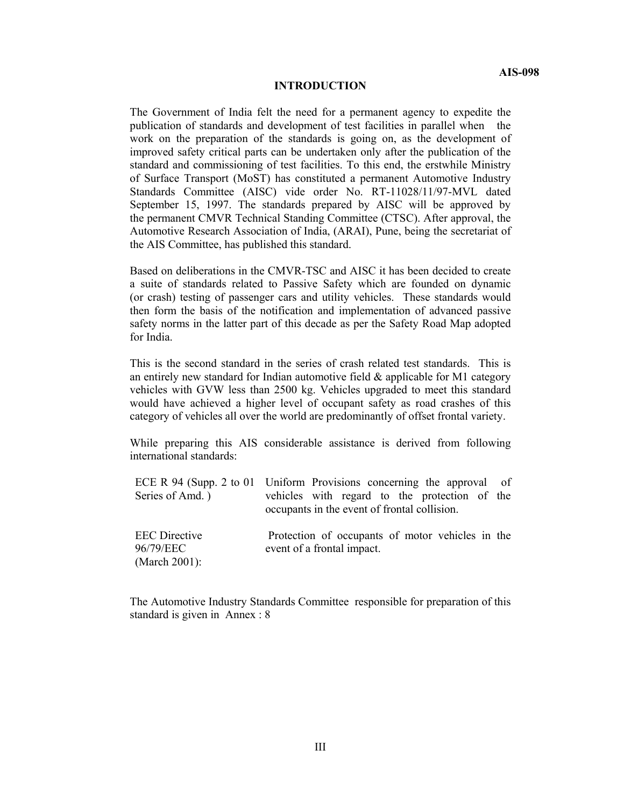#### **INTRODUCTION**

The Government of India felt the need for a permanent agency to expedite the publication of standards and development of test facilities in parallel when the work on the preparation of the standards is going on, as the development of improved safety critical parts can be undertaken only after the publication of the standard and commissioning of test facilities. To this end, the erstwhile Ministry of Surface Transport (MoST) has constituted a permanent Automotive Industry Standards Committee (AISC) vide order No. RT-11028/11/97-MVL dated September 15, 1997. The standards prepared by AISC will be approved by the permanent CMVR Technical Standing Committee (CTSC). After approval, the Automotive Research Association of India, (ARAI), Pune, being the secretariat of the AIS Committee, has published this standard.

Based on deliberations in the CMVR-TSC and AISC it has been decided to create a suite of standards related to Passive Safety which are founded on dynamic (or crash) testing of passenger cars and utility vehicles. These standards would then form the basis of the notification and implementation of advanced passive safety norms in the latter part of this decade as per the Safety Road Map adopted for India.

This is the second standard in the series of crash related test standards. This is an entirely new standard for Indian automotive field  $\&$  applicable for M1 category vehicles with GVW less than 2500 kg. Vehicles upgraded to meet this standard would have achieved a higher level of occupant safety as road crashes of this category of vehicles all over the world are predominantly of offset frontal variety.

While preparing this AIS considerable assistance is derived from following international standards:

|                      | ECE R 94 (Supp. 2 to 01 Uniform Provisions concerning the approval of |
|----------------------|-----------------------------------------------------------------------|
| Series of Amd.)      | vehicles with regard to the protection of the                         |
|                      | occupants in the event of frontal collision.                          |
| <b>EEC</b> Directive | Protection of occupants of motor vehicles in the                      |
| 96/79/EEC            | event of a frontal impact.                                            |
| (March 2001):        |                                                                       |

The Automotive Industry Standards Committee responsible for preparation of this standard is given in Annex : 8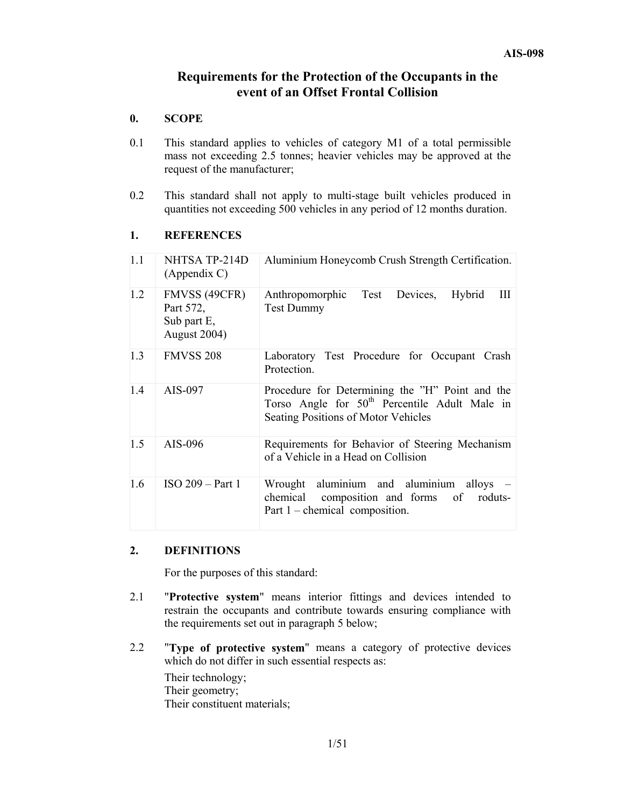# **Requirements for the Protection of the Occupants in the event of an Offset Frontal Collision**

# **0. SCOPE**

- 0.1 This standard applies to vehicles of category M1 of a total permissible mass not exceeding 2.5 tonnes; heavier vehicles may be approved at the request of the manufacturer;
- 0.2 This standard shall not apply to multi-stage built vehicles produced in quantities not exceeding 500 vehicles in any period of 12 months duration.

#### **1. REFERENCES**

| 1.1 | NHTSA TP-214D<br>(Appendix C)                             | Aluminium Honeycomb Crush Strength Certification.                                                                                                   |
|-----|-----------------------------------------------------------|-----------------------------------------------------------------------------------------------------------------------------------------------------|
| 1.2 | FMVSS (49CFR)<br>Part 572,<br>Sub part E,<br>August 2004) | Test<br>Anthropomorphic<br>Hybrid<br>Ш<br>Devices,<br><b>Test Dummy</b>                                                                             |
| 1.3 | <b>FMVSS 208</b>                                          | Laboratory Test Procedure for Occupant Crash<br>Protection.                                                                                         |
| 1.4 | AIS-097                                                   | Procedure for Determining the "H" Point and the<br>Torso Angle for 50 <sup>th</sup> Percentile Adult Male in<br>Seating Positions of Motor Vehicles |
| 1.5 | AIS-096                                                   | Requirements for Behavior of Steering Mechanism<br>of a Vehicle in a Head on Collision                                                              |
| 1.6 | $ISO 209 - Part 1$                                        | aluminium and aluminium alloys –<br>Wrought<br>composition and forms of<br>chemical<br>roduts-<br>Part $1$ – chemical composition.                  |

# **2. DEFINITIONS**

For the purposes of this standard:

- 2.1 "**Protective system**" means interior fittings and devices intended to restrain the occupants and contribute towards ensuring compliance with the requirements set out in paragraph 5 below;
- 2.2 "**Type of protective system**" means a category of protective devices which do not differ in such essential respects as:

Their technology; Their geometry; Their constituent materials;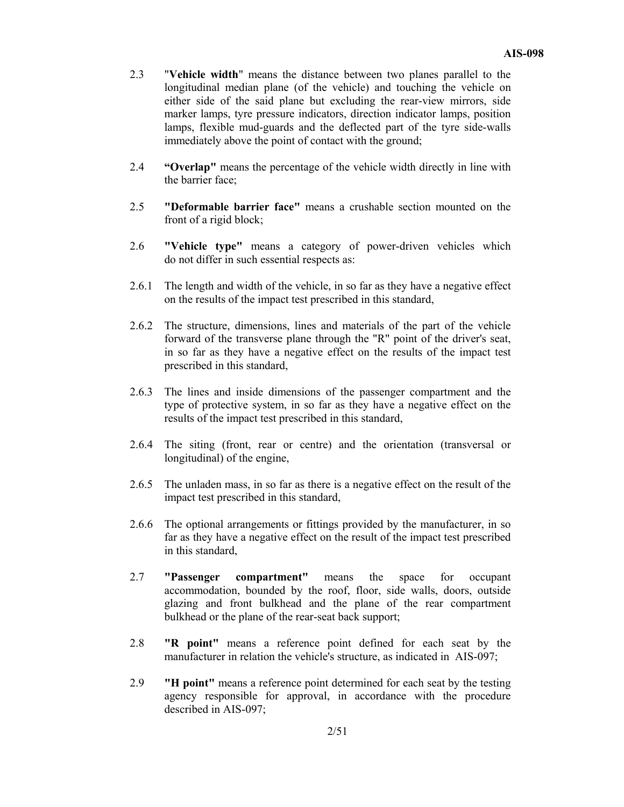- 2.3 "**Vehicle width**" means the distance between two planes parallel to the longitudinal median plane (of the vehicle) and touching the vehicle on either side of the said plane but excluding the rear-view mirrors, side marker lamps, tyre pressure indicators, direction indicator lamps, position lamps, flexible mud-guards and the deflected part of the tyre side-walls immediately above the point of contact with the ground;
- 2.4 **"Overlap"** means the percentage of the vehicle width directly in line with the barrier face;
- 2.5 **"Deformable barrier face"** means a crushable section mounted on the front of a rigid block;
- 2.6 **"Vehicle type"** means a category of power-driven vehicles which do not differ in such essential respects as:
- 2.6.1 The length and width of the vehicle, in so far as they have a negative effect on the results of the impact test prescribed in this standard,
- 2.6.2 The structure, dimensions, lines and materials of the part of the vehicle forward of the transverse plane through the "R" point of the driver's seat, in so far as they have a negative effect on the results of the impact test prescribed in this standard,
- 2.6.3 The lines and inside dimensions of the passenger compartment and the type of protective system, in so far as they have a negative effect on the results of the impact test prescribed in this standard,
- 2.6.4 The siting (front, rear or centre) and the orientation (transversal or longitudinal) of the engine,
- 2.6.5 The unladen mass, in so far as there is a negative effect on the result of the impact test prescribed in this standard,
- 2.6.6 The optional arrangements or fittings provided by the manufacturer, in so far as they have a negative effect on the result of the impact test prescribed in this standard,
- 2.7 **"Passenger compartment"** means the space for occupant accommodation, bounded by the roof, floor, side walls, doors, outside glazing and front bulkhead and the plane of the rear compartment bulkhead or the plane of the rear-seat back support;
- 2.8 **"R point"** means a reference point defined for each seat by the manufacturer in relation the vehicle's structure, as indicated in AIS-097;
- 2.9 **"H point"** means a reference point determined for each seat by the testing agency responsible for approval, in accordance with the procedure described in AIS-097;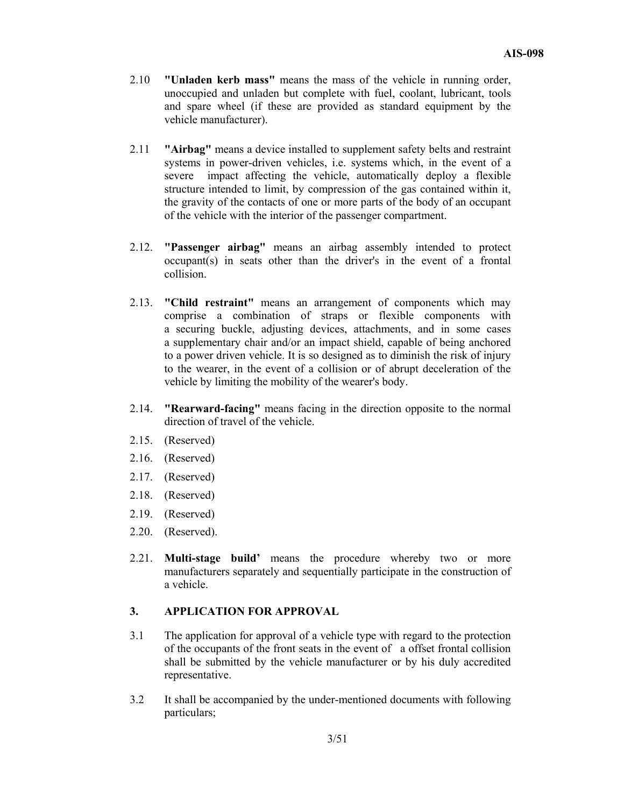- 2.10 **"Unladen kerb mass"** means the mass of the vehicle in running order, unoccupied and unladen but complete with fuel, coolant, lubricant, tools and spare wheel (if these are provided as standard equipment by the vehicle manufacturer).
- 2.11 **"Airbag"** means a device installed to supplement safety belts and restraint systems in power-driven vehicles, i.e. systems which, in the event of a severe impact affecting the vehicle, automatically deploy a flexible structure intended to limit, by compression of the gas contained within it, the gravity of the contacts of one or more parts of the body of an occupant of the vehicle with the interior of the passenger compartment.
- 2.12. **"Passenger airbag"** means an airbag assembly intended to protect occupant(s) in seats other than the driver's in the event of a frontal collision.
- 2.13. **"Child restraint"** means an arrangement of components which may comprise a combination of straps or flexible components with a securing buckle, adjusting devices, attachments, and in some cases a supplementary chair and/or an impact shield, capable of being anchored to a power driven vehicle. It is so designed as to diminish the risk of injury to the wearer, in the event of a collision or of abrupt deceleration of the vehicle by limiting the mobility of the wearer's body.
- 2.14. **"Rearward-facing"** means facing in the direction opposite to the normal direction of travel of the vehicle.
- 2.15. (Reserved)
- 2.16. (Reserved)
- 2.17. (Reserved)
- 2.18. (Reserved)
- 2.19. (Reserved)
- 2.20. (Reserved).
- 2.21. **Multi-stage build'** means the procedure whereby two or more manufacturers separately and sequentially participate in the construction of a vehicle.

#### **3. APPLICATION FOR APPROVAL**

- 3.1 The application for approval of a vehicle type with regard to the protection of the occupants of the front seats in the event of a offset frontal collision shall be submitted by the vehicle manufacturer or by his duly accredited representative.
- 3.2 It shall be accompanied by the under-mentioned documents with following particulars;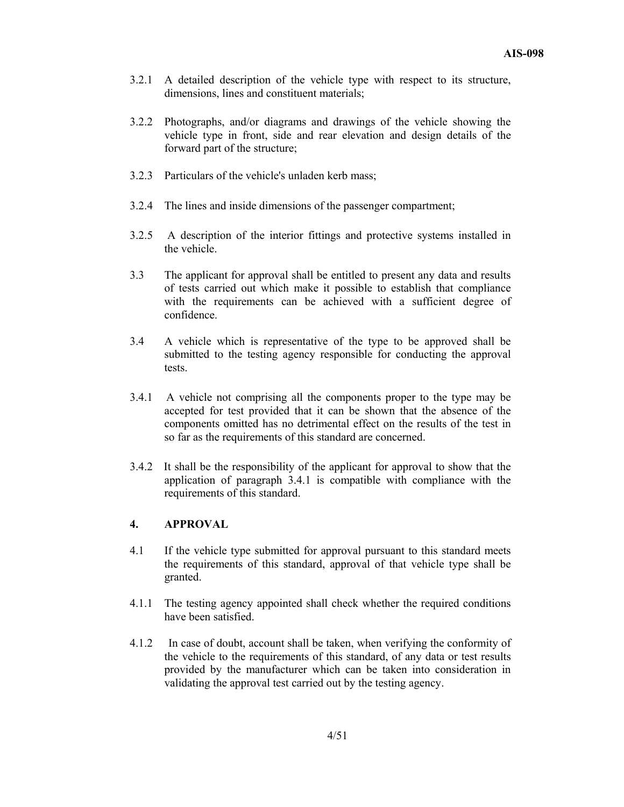- 3.2.1 A detailed description of the vehicle type with respect to its structure, dimensions, lines and constituent materials;
- 3.2.2 Photographs, and/or diagrams and drawings of the vehicle showing the vehicle type in front, side and rear elevation and design details of the forward part of the structure;
- 3.2.3 Particulars of the vehicle's unladen kerb mass;
- 3.2.4 The lines and inside dimensions of the passenger compartment;
- 3.2.5 A description of the interior fittings and protective systems installed in the vehicle.
- 3.3 The applicant for approval shall be entitled to present any data and results of tests carried out which make it possible to establish that compliance with the requirements can be achieved with a sufficient degree of confidence.
- 3.4 A vehicle which is representative of the type to be approved shall be submitted to the testing agency responsible for conducting the approval tests.
- 3.4.1 A vehicle not comprising all the components proper to the type may be accepted for test provided that it can be shown that the absence of the components omitted has no detrimental effect on the results of the test in so far as the requirements of this standard are concerned.
- 3.4.2 It shall be the responsibility of the applicant for approval to show that the application of paragraph 3.4.1 is compatible with compliance with the requirements of this standard.

# **4. APPROVAL**

- 4.1 If the vehicle type submitted for approval pursuant to this standard meets the requirements of this standard, approval of that vehicle type shall be granted.
- 4.1.1 The testing agency appointed shall check whether the required conditions have been satisfied.
- 4.1.2 In case of doubt, account shall be taken, when verifying the conformity of the vehicle to the requirements of this standard, of any data or test results provided by the manufacturer which can be taken into consideration in validating the approval test carried out by the testing agency.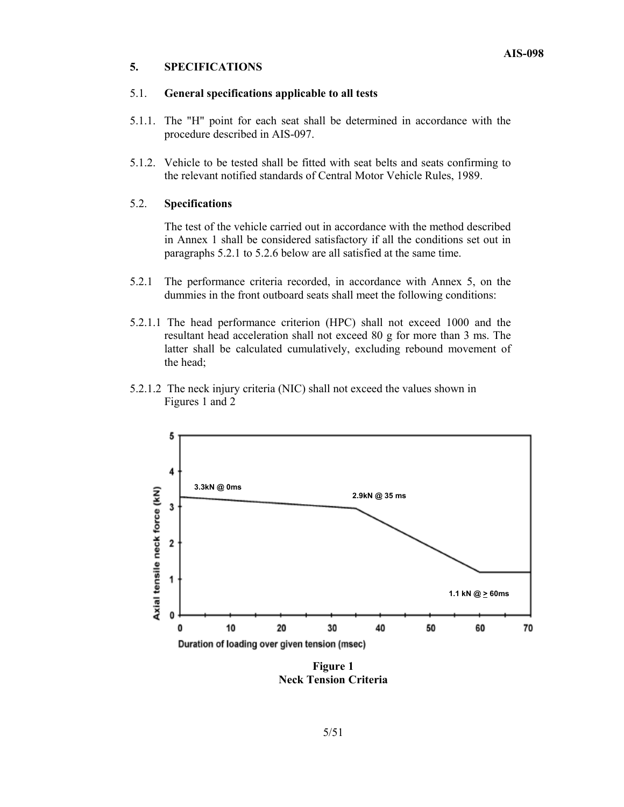#### **5. SPECIFICATIONS**

#### 5.1. **General specifications applicable to all tests**

- 5.1.1. The "H" point for each seat shall be determined in accordance with the procedure described in AIS-097.
- 5.1.2. Vehicle to be tested shall be fitted with seat belts and seats confirming to the relevant notified standards of Central Motor Vehicle Rules, 1989.

#### 5.2. **Specifications**

The test of the vehicle carried out in accordance with the method described in Annex 1 shall be considered satisfactory if all the conditions set out in paragraphs 5.2.1 to 5.2.6 below are all satisfied at the same time.

- 5.2.1 The performance criteria recorded, in accordance with Annex 5, on the dummies in the front outboard seats shall meet the following conditions:
- 5.2.1.1 The head performance criterion (HPC) shall not exceed 1000 and the resultant head acceleration shall not exceed 80 g for more than 3 ms. The latter shall be calculated cumulatively, excluding rebound movement of the head;
- 5.2.1.2 The neck injury criteria (NIC) shall not exceed the values shown in Figures 1 and 2



**Figure 1 Neck Tension Criteria**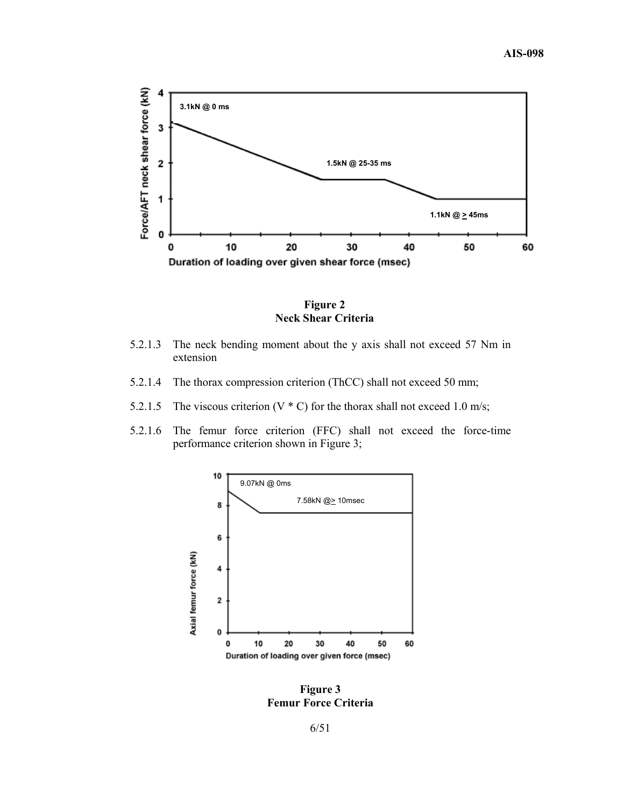

**Figure 2 Neck Shear Criteria** 

- 5.2.1.3 The neck bending moment about the y axis shall not exceed 57 Nm in extension
- 5.2.1.4 The thorax compression criterion (ThCC) shall not exceed 50 mm;
- 5.2.1.5 The viscous criterion (V  $*$  C) for the thorax shall not exceed 1.0 m/s;
- 5.2.1.6 The femur force criterion (FFC) shall not exceed the force-time performance criterion shown in Figure 3;



**Figure 3 Femur Force Criteria** 

6/51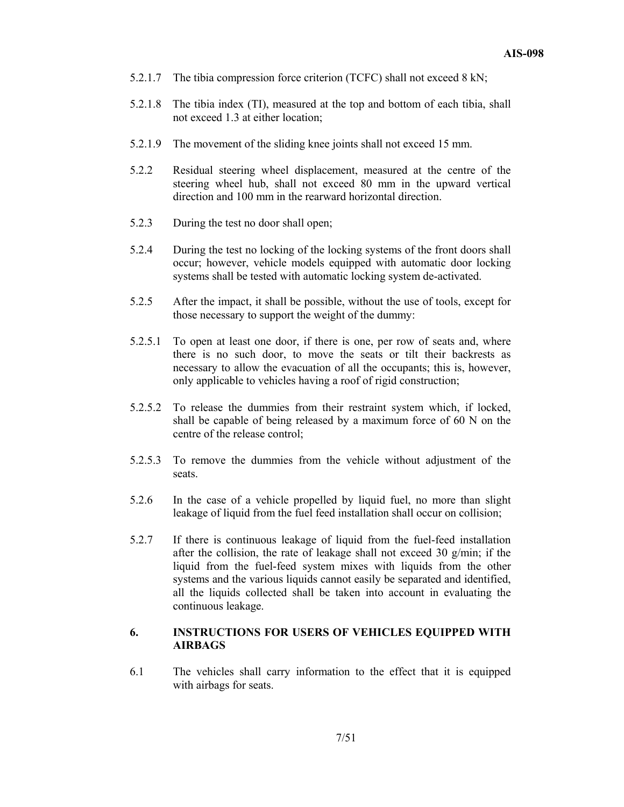- 5.2.1.7 The tibia compression force criterion (TCFC) shall not exceed 8 kN;
- 5.2.1.8 The tibia index (TI), measured at the top and bottom of each tibia, shall not exceed 1.3 at either location;
- 5.2.1.9 The movement of the sliding knee joints shall not exceed 15 mm.
- 5.2.2 Residual steering wheel displacement, measured at the centre of the steering wheel hub, shall not exceed 80 mm in the upward vertical direction and 100 mm in the rearward horizontal direction.
- 5.2.3 During the test no door shall open;
- 5.2.4 During the test no locking of the locking systems of the front doors shall occur; however, vehicle models equipped with automatic door locking systems shall be tested with automatic locking system de-activated.
- 5.2.5 After the impact, it shall be possible, without the use of tools, except for those necessary to support the weight of the dummy:
- 5.2.5.1 To open at least one door, if there is one, per row of seats and, where there is no such door, to move the seats or tilt their backrests as necessary to allow the evacuation of all the occupants; this is, however, only applicable to vehicles having a roof of rigid construction;
- 5.2.5.2 To release the dummies from their restraint system which, if locked, shall be capable of being released by a maximum force of 60 N on the centre of the release control;
- 5.2.5.3 To remove the dummies from the vehicle without adjustment of the seats.
- 5.2.6 In the case of a vehicle propelled by liquid fuel, no more than slight leakage of liquid from the fuel feed installation shall occur on collision;
- 5.2.7 If there is continuous leakage of liquid from the fuel-feed installation after the collision, the rate of leakage shall not exceed 30 g/min; if the liquid from the fuel-feed system mixes with liquids from the other systems and the various liquids cannot easily be separated and identified, all the liquids collected shall be taken into account in evaluating the continuous leakage.

# **6. INSTRUCTIONS FOR USERS OF VEHICLES EQUIPPED WITH AIRBAGS**

6.1 The vehicles shall carry information to the effect that it is equipped with airbags for seats.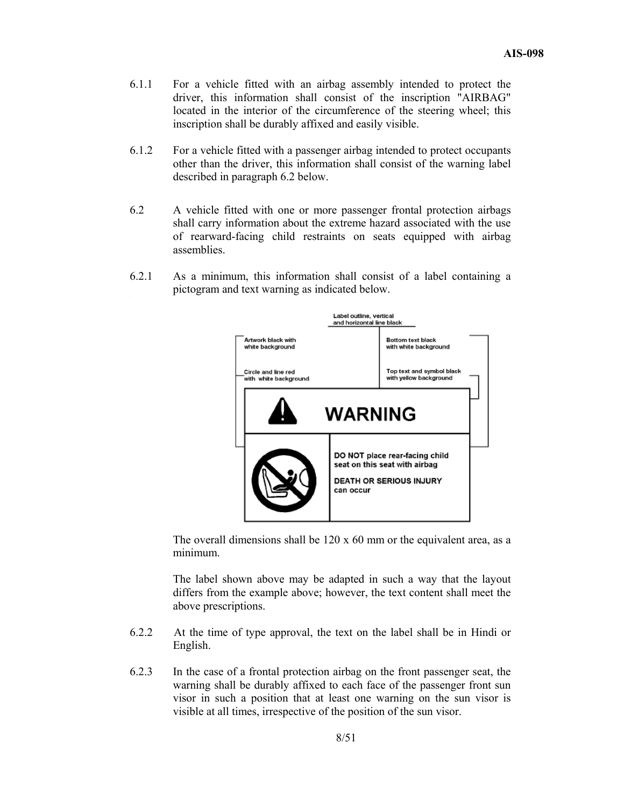- 6.1.1 For a vehicle fitted with an airbag assembly intended to protect the driver, this information shall consist of the inscription "AIRBAG" located in the interior of the circumference of the steering wheel; this inscription shall be durably affixed and easily visible.
- 6.1.2 For a vehicle fitted with a passenger airbag intended to protect occupants other than the driver, this information shall consist of the warning label described in paragraph 6.2 below.
- 6.2 A vehicle fitted with one or more passenger frontal protection airbags shall carry information about the extreme hazard associated with the use of rearward-facing child restraints on seats equipped with airbag assemblies.
- 6.2.1 As a minimum, this information shall consist of a label containing a pictogram and text warning as indicated below. ,



The overall dimensions shall be  $120 \times 60$  mm or the equivalent area, as a minimum.

 The label shown above may be adapted in such a way that the layout differs from the example above; however, the text content shall meet the above prescriptions.

- 6.2.2 At the time of type approval, the text on the label shall be in Hindi or English.
- 6.2.3 In the case of a frontal protection airbag on the front passenger seat, the warning shall be durably affixed to each face of the passenger front sun visor in such a position that at least one warning on the sun visor is visible at all times, irrespective of the position of the sun visor.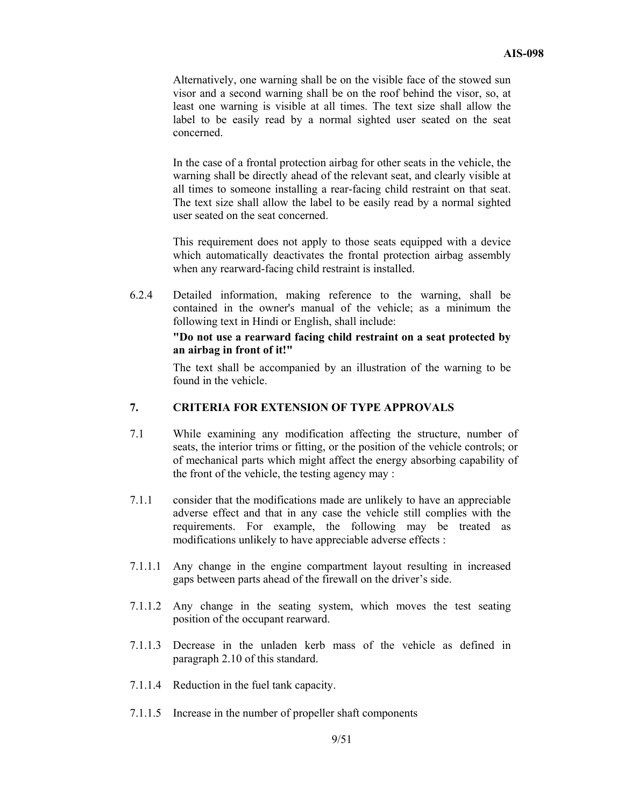Alternatively, one warning shall be on the visible face of the stowed sun visor and a second warning shall be on the roof behind the visor, so, at least one warning is visible at all times. The text size shall allow the label to be easily read by a normal sighted user seated on the seat concerned.

 In the case of a frontal protection airbag for other seats in the vehicle, the warning shall be directly ahead of the relevant seat, and clearly visible at all times to someone installing a rear-facing child restraint on that seat. The text size shall allow the label to be easily read by a normal sighted user seated on the seat concerned.

 This requirement does not apply to those seats equipped with a device which automatically deactivates the frontal protection airbag assembly when any rearward-facing child restraint is installed.

6.2.4 Detailed information, making reference to the warning, shall be contained in the owner's manual of the vehicle; as a minimum the following text in Hindi or English, shall include:

#### **"Do not use a rearward facing child restraint on a seat protected by an airbag in front of it!"**

The text shall be accompanied by an illustration of the warning to be found in the vehicle.

#### **7. CRITERIA FOR EXTENSION OF TYPE APPROVALS**

- 7.1 While examining any modification affecting the structure, number of seats, the interior trims or fitting, or the position of the vehicle controls; or of mechanical parts which might affect the energy absorbing capability of the front of the vehicle, the testing agency may :
- 7.1.1 consider that the modifications made are unlikely to have an appreciable adverse effect and that in any case the vehicle still complies with the requirements. For example, the following may be treated as modifications unlikely to have appreciable adverse effects :
- 7.1.1.1 Any change in the engine compartment layout resulting in increased gaps between parts ahead of the firewall on the driver's side.
- 7.1.1.2 Any change in the seating system, which moves the test seating position of the occupant rearward.
- 7.1.1.3 Decrease in the unladen kerb mass of the vehicle as defined in paragraph 2.10 of this standard.
- 7.1.1.4 Reduction in the fuel tank capacity.
- 7.1.1.5 Increase in the number of propeller shaft components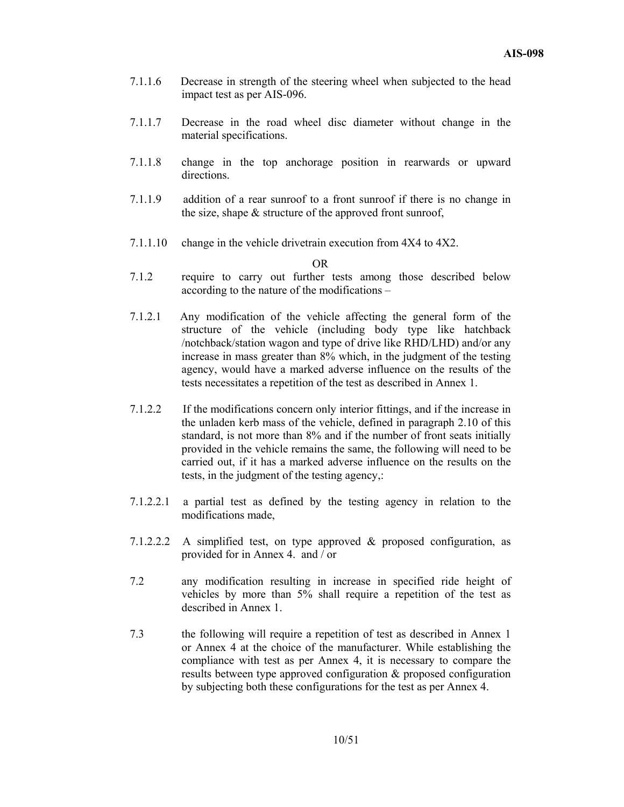- 7.1.1.6 Decrease in strength of the steering wheel when subjected to the head impact test as per AIS-096.
- 7.1.1.7 Decrease in the road wheel disc diameter without change in the material specifications.
- 7.1.1.8 change in the top anchorage position in rearwards or upward directions.
- 7.1.1.9 addition of a rear sunroof to a front sunroof if there is no change in the size, shape  $&$  structure of the approved front sunroof,
- 7.1.1.10 change in the vehicle drivetrain execution from 4X4 to 4X2.

OR

- 7.1.2 require to carry out further tests among those described below according to the nature of the modifications –
- 7.1.2.1 Any modification of the vehicle affecting the general form of the structure of the vehicle (including body type like hatchback /notchback/station wagon and type of drive like RHD/LHD) and/or any increase in mass greater than 8% which, in the judgment of the testing agency, would have a marked adverse influence on the results of the tests necessitates a repetition of the test as described in Annex 1.
- 7.1.2.2 If the modifications concern only interior fittings, and if the increase in the unladen kerb mass of the vehicle, defined in paragraph 2.10 of this standard, is not more than 8% and if the number of front seats initially provided in the vehicle remains the same, the following will need to be carried out, if it has a marked adverse influence on the results on the tests, in the judgment of the testing agency,:
- 7.1.2.2.1 a partial test as defined by the testing agency in relation to the modifications made,
- 7.1.2.2.2 A simplified test, on type approved & proposed configuration, as provided for in Annex 4. and / or
- 7.2 any modification resulting in increase in specified ride height of vehicles by more than 5% shall require a repetition of the test as described in Annex 1.
- 7.3 the following will require a repetition of test as described in Annex 1 or Annex 4 at the choice of the manufacturer. While establishing the compliance with test as per Annex 4, it is necessary to compare the results between type approved configuration & proposed configuration by subjecting both these configurations for the test as per Annex 4.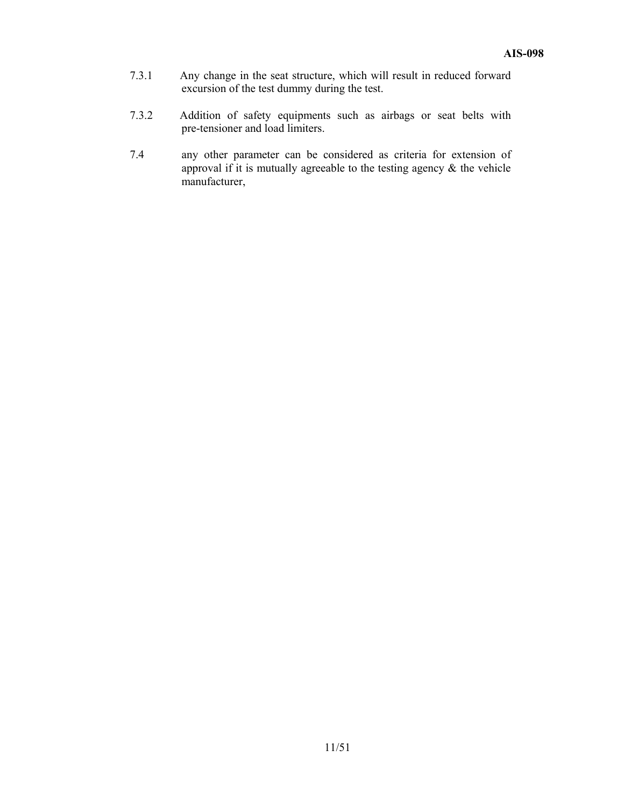- 7.3.1 Any change in the seat structure, which will result in reduced forward excursion of the test dummy during the test.
- 7.3.2 Addition of safety equipments such as airbags or seat belts with pre-tensioner and load limiters.
- 7.4 any other parameter can be considered as criteria for extension of approval if it is mutually agreeable to the testing agency  $\&$  the vehicle manufacturer,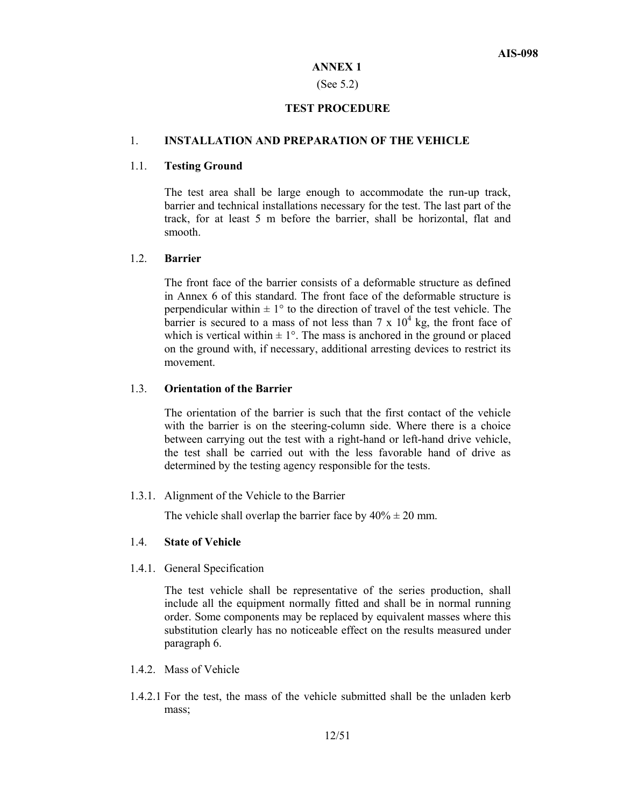#### **ANNEX 1**

#### (See 5.2)

#### **TEST PROCEDURE**

#### 1. **INSTALLATION AND PREPARATION OF THE VEHICLE**

#### 1.1. **Testing Ground**

 The test area shall be large enough to accommodate the run-up track, barrier and technical installations necessary for the test. The last part of the track, for at least 5 m before the barrier, shall be horizontal, flat and smooth.

# 1.2. **Barrier**

 The front face of the barrier consists of a deformable structure as defined in Annex 6 of this standard. The front face of the deformable structure is perpendicular within  $\pm 1^{\circ}$  to the direction of travel of the test vehicle. The barrier is secured to a mass of not less than  $7 \times 10^4$  kg, the front face of which is vertical within  $\pm 1^{\circ}$ . The mass is anchored in the ground or placed on the ground with, if necessary, additional arresting devices to restrict its movement.

# 1.3. **Orientation of the Barrier**

 The orientation of the barrier is such that the first contact of the vehicle with the barrier is on the steering-column side. Where there is a choice between carrying out the test with a right-hand or left-hand drive vehicle, the test shall be carried out with the less favorable hand of drive as determined by the testing agency responsible for the tests.

1.3.1. Alignment of the Vehicle to the Barrier

The vehicle shall overlap the barrier face by  $40\% \pm 20$  mm.

#### 1.4. **State of Vehicle**

1.4.1. General Specification

 The test vehicle shall be representative of the series production, shall include all the equipment normally fitted and shall be in normal running order. Some components may be replaced by equivalent masses where this substitution clearly has no noticeable effect on the results measured under paragraph 6.

- 1.4.2. Mass of Vehicle
- 1.4.2.1 For the test, the mass of the vehicle submitted shall be the unladen kerb mass;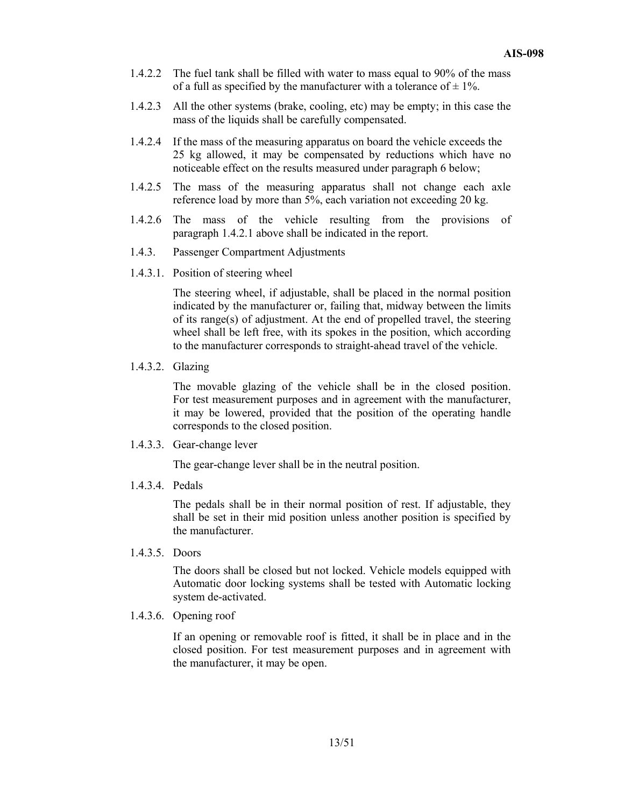- 1.4.2.2 The fuel tank shall be filled with water to mass equal to 90% of the mass of a full as specified by the manufacturer with a tolerance of  $\pm$  1%.
- 1.4.2.3 All the other systems (brake, cooling, etc) may be empty; in this case the mass of the liquids shall be carefully compensated.
- 1.4.2.4 If the mass of the measuring apparatus on board the vehicle exceeds the 25 kg allowed, it may be compensated by reductions which have no noticeable effect on the results measured under paragraph 6 below;
- 1.4.2.5 The mass of the measuring apparatus shall not change each axle reference load by more than 5%, each variation not exceeding 20 kg.
- 1.4.2.6 The mass of the vehicle resulting from the provisions of paragraph 1.4.2.1 above shall be indicated in the report.
- 1.4.3. Passenger Compartment Adjustments
- 1.4.3.1. Position of steering wheel

 The steering wheel, if adjustable, shall be placed in the normal position indicated by the manufacturer or, failing that, midway between the limits of its range(s) of adjustment. At the end of propelled travel, the steering wheel shall be left free, with its spokes in the position, which according to the manufacturer corresponds to straight-ahead travel of the vehicle.

1.4.3.2. Glazing

 The movable glazing of the vehicle shall be in the closed position. For test measurement purposes and in agreement with the manufacturer, it may be lowered, provided that the position of the operating handle corresponds to the closed position.

1.4.3.3. Gear-change lever

The gear-change lever shall be in the neutral position.

1.4.3.4. Pedals

 The pedals shall be in their normal position of rest. If adjustable, they shall be set in their mid position unless another position is specified by the manufacturer.

1.4.3.5. Doors

 The doors shall be closed but not locked. Vehicle models equipped with Automatic door locking systems shall be tested with Automatic locking system de-activated.

1.4.3.6. Opening roof

 If an opening or removable roof is fitted, it shall be in place and in the closed position. For test measurement purposes and in agreement with the manufacturer, it may be open.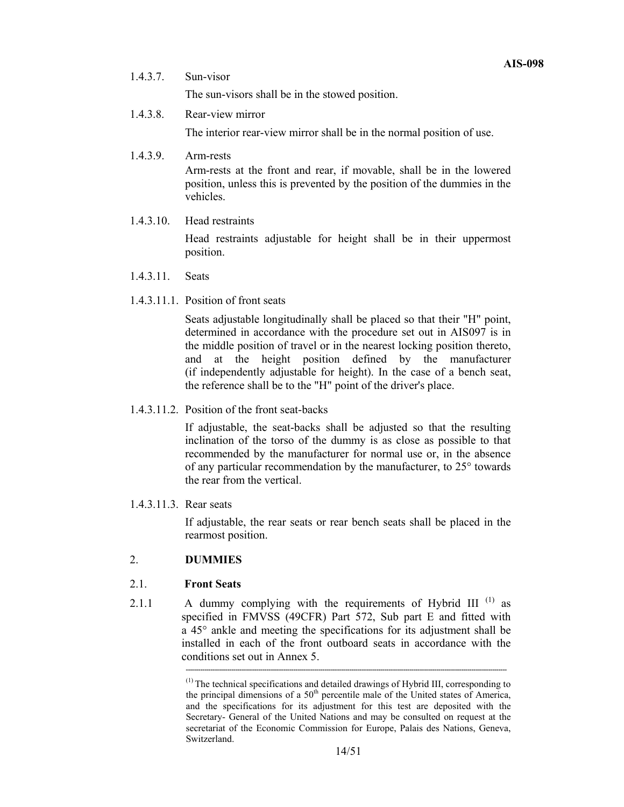1.4.3.7. Sun-visor

The sun-visors shall be in the stowed position.

1.4.3.8. Rear-view mirror

The interior rear-view mirror shall be in the normal position of use.

1.4.3.9. Arm-rests

Arm-rests at the front and rear, if movable, shall be in the lowered position, unless this is prevented by the position of the dummies in the vehicles.

1.4.3.10. Head restraints

Head restraints adjustable for height shall be in their uppermost position.

- 1.4.3.11. Seats
- 1.4.3.11.1. Position of front seats

Seats adjustable longitudinally shall be placed so that their "H" point, determined in accordance with the procedure set out in AIS097 is in the middle position of travel or in the nearest locking position thereto, and at the height position defined by the manufacturer (if independently adjustable for height). In the case of a bench seat, the reference shall be to the "H" point of the driver's place.

1.4.3.11.2. Position of the front seat-backs

If adjustable, the seat-backs shall be adjusted so that the resulting inclination of the torso of the dummy is as close as possible to that recommended by the manufacturer for normal use or, in the absence of any particular recommendation by the manufacturer, to 25° towards the rear from the vertical.

1.4.3.11.3. Rear seats

If adjustable, the rear seats or rear bench seats shall be placed in the rearmost position.

# 2. **DUMMIES**

# 2.1. **Front Seats**

2.1.1 A dummy complying with the requirements of Hybrid III<sup>(1)</sup> as specified in FMVSS (49CFR) Part 572, Sub part E and fitted with a 45° ankle and meeting the specifications for its adjustment shall be installed in each of the front outboard seats in accordance with the conditions set out in Annex 5.

**-----------------------------------------------------------------------------------------------------------------------------------------------------------** 

<sup>(1)</sup> The technical specifications and detailed drawings of Hybrid III, corresponding to the principal dimensions of a 50<sup>th</sup> percentile male of the United states of America, and the specifications for its adjustment for this test are deposited with the Secretary- General of the United Nations and may be consulted on request at the secretariat of the Economic Commission for Europe, Palais des Nations, Geneva, Switzerland.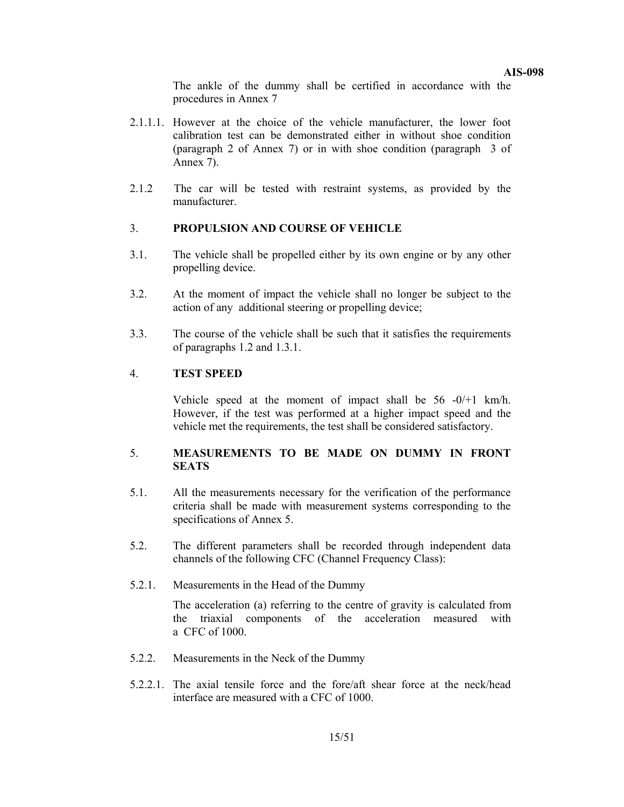**AIS-098** 

 The ankle of the dummy shall be certified in accordance with the procedures in Annex 7

- 2.1.1.1. However at the choice of the vehicle manufacturer, the lower foot calibration test can be demonstrated either in without shoe condition (paragraph 2 of Annex 7) or in with shoe condition (paragraph 3 of Annex 7).
- 2.1.2 The car will be tested with restraint systems, as provided by the manufacturer.

# 3. **PROPULSION AND COURSE OF VEHICLE**

- 3.1. The vehicle shall be propelled either by its own engine or by any other propelling device.
- 3.2. At the moment of impact the vehicle shall no longer be subject to the action of any additional steering or propelling device;
- 3.3. The course of the vehicle shall be such that it satisfies the requirements of paragraphs 1.2 and 1.3.1.

#### 4. **TEST SPEED**

Vehicle speed at the moment of impact shall be 56 -0/+1 km/h. However, if the test was performed at a higher impact speed and the vehicle met the requirements, the test shall be considered satisfactory.

#### 5. **MEASUREMENTS TO BE MADE ON DUMMY IN FRONT SEATS**

- 5.1. All the measurements necessary for the verification of the performance criteria shall be made with measurement systems corresponding to the specifications of Annex 5.
- 5.2. The different parameters shall be recorded through independent data channels of the following CFC (Channel Frequency Class):
- 5.2.1. Measurements in the Head of the Dummy

 The acceleration (a) referring to the centre of gravity is calculated from the triaxial components of the acceleration measured with a CFC of 1000.

- 5.2.2. Measurements in the Neck of the Dummy
- 5.2.2.1. The axial tensile force and the fore/aft shear force at the neck/head interface are measured with a CFC of 1000.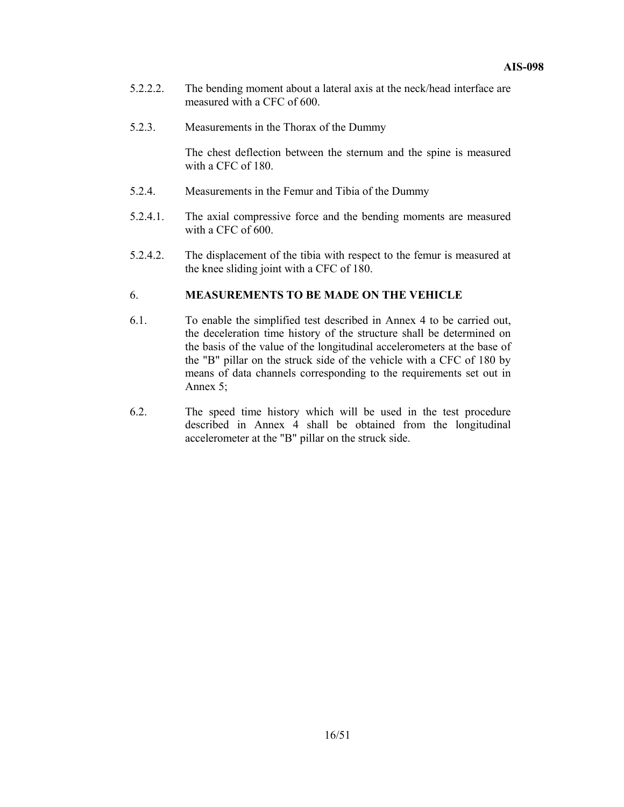- 5.2.2.2. The bending moment about a lateral axis at the neck/head interface are measured with a CFC of 600.
- 5.2.3. Measurements in the Thorax of the Dummy

The chest deflection between the sternum and the spine is measured with a CFC of 180.

- 5.2.4. Measurements in the Femur and Tibia of the Dummy
- 5.2.4.1. The axial compressive force and the bending moments are measured with a CFC of 600.
- 5.2.4.2. The displacement of the tibia with respect to the femur is measured at the knee sliding joint with a CFC of 180.

#### 6. **MEASUREMENTS TO BE MADE ON THE VEHICLE**

- 6.1. To enable the simplified test described in Annex 4 to be carried out, the deceleration time history of the structure shall be determined on the basis of the value of the longitudinal accelerometers at the base of the "B" pillar on the struck side of the vehicle with a CFC of 180 by means of data channels corresponding to the requirements set out in Annex 5;
- 6.2. The speed time history which will be used in the test procedure described in Annex 4 shall be obtained from the longitudinal accelerometer at the "B" pillar on the struck side.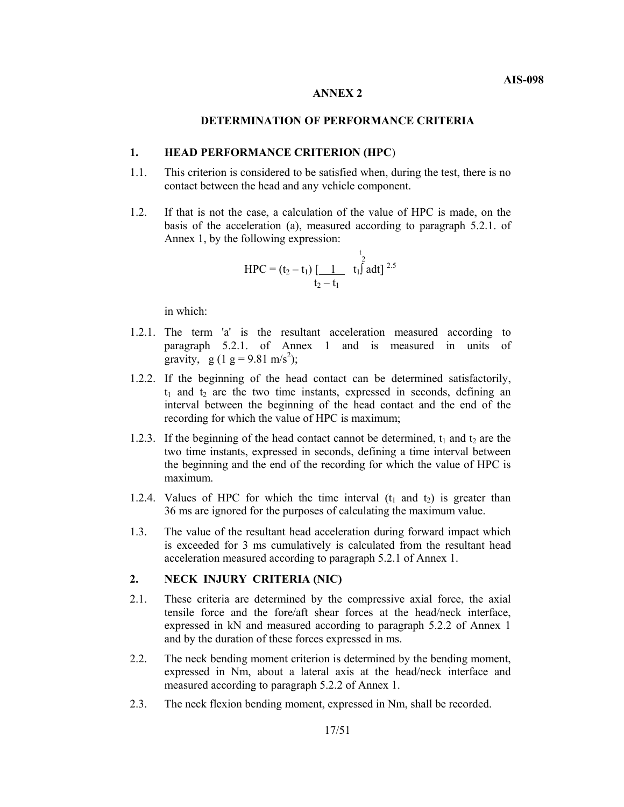#### **ANNEX 2**

# **DETERMINATION OF PERFORMANCE CRITERIA**

#### **1. HEAD PERFORMANCE CRITERION (HPC**)

- 1.1. This criterion is considered to be satisfied when, during the test, there is no contact between the head and any vehicle component.
- 1.2. If that is not the case, a calculation of the value of HPC is made, on the basis of the acceleration (a), measured according to paragraph 5.2.1. of Annex 1, by the following expression:

$$
HPC = (t_2 - t_1) \underbrace{1 \atop t_2 - t_1} \left( \underbrace{1 \atop t_1 \int_1^{t_2} a dt \right)^{2.5}
$$

in which:

- 1.2.1. The term 'a' is the resultant acceleration measured according to paragraph 5.2.1. of Annex 1 and is measured in units of gravity, g (1 g = 9.81 m/s<sup>2</sup>);
- 1.2.2. If the beginning of the head contact can be determined satisfactorily,  $t_1$  and  $t_2$  are the two time instants, expressed in seconds, defining an interval between the beginning of the head contact and the end of the recording for which the value of HPC is maximum;
- 1.2.3. If the beginning of the head contact cannot be determined,  $t_1$  and  $t_2$  are the two time instants, expressed in seconds, defining a time interval between the beginning and the end of the recording for which the value of HPC is maximum.
- 1.2.4. Values of HPC for which the time interval  $(t_1$  and  $t_2$ ) is greater than 36 ms are ignored for the purposes of calculating the maximum value.
- 1.3. The value of the resultant head acceleration during forward impact which is exceeded for 3 ms cumulatively is calculated from the resultant head acceleration measured according to paragraph 5.2.1 of Annex 1.

#### **2. NECK INJURY CRITERIA (NIC)**

- 2.1. These criteria are determined by the compressive axial force, the axial tensile force and the fore/aft shear forces at the head/neck interface, expressed in kN and measured according to paragraph 5.2.2 of Annex 1 and by the duration of these forces expressed in ms.
- 2.2. The neck bending moment criterion is determined by the bending moment, expressed in Nm, about a lateral axis at the head/neck interface and measured according to paragraph 5.2.2 of Annex 1.
- 2.3. The neck flexion bending moment, expressed in Nm, shall be recorded.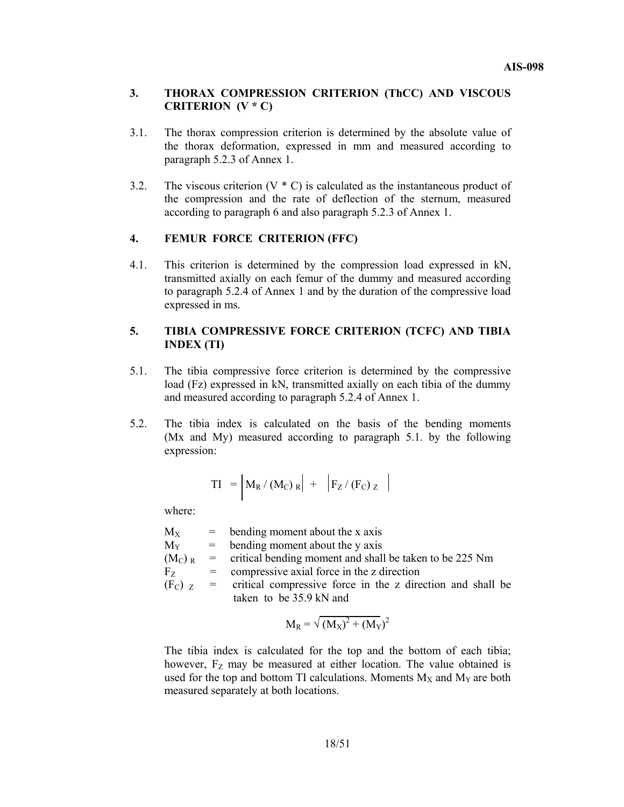#### **3. THORAX COMPRESSION CRITERION (ThCC) AND VISCOUS CRITERION (V \* C)**

- 3.1. The thorax compression criterion is determined by the absolute value of the thorax deformation, expressed in mm and measured according to paragraph 5.2.3 of Annex 1.
- 3.2. The viscous criterion  $(V * C)$  is calculated as the instantaneous product of the compression and the rate of deflection of the sternum, measured according to paragraph 6 and also paragraph 5.2.3 of Annex 1.

# **4. FEMUR FORCE CRITERION (FFC)**

4.1. This criterion is determined by the compression load expressed in kN, transmitted axially on each femur of the dummy and measured according to paragraph 5.2.4 of Annex 1 and by the duration of the compressive load expressed in ms.

# **5. TIBIA COMPRESSIVE FORCE CRITERION (TCFC) AND TIBIA INDEX (TI)**

- 5.1. The tibia compressive force criterion is determined by the compressive load (Fz) expressed in kN, transmitted axially on each tibia of the dummy and measured according to paragraph 5.2.4 of Annex 1.
- 5.2. The tibia index is calculated on the basis of the bending moments (Mx and My) measured according to paragraph 5.1. by the following expression:

$$
TI = \left| M_R / (M_C)_R \right| + \left| F_Z / (F_C)_Z \right|
$$

where:

| $M_{X}$   | $=$ bending moment about the x axis                                   |
|-----------|-----------------------------------------------------------------------|
| $M_{Y}$   | $=$ bending moment about the y axis                                   |
| $(M_C)$ R | = critical bending moment and shall be taken to be 225 Nm             |
| $F_{Z}$   | $=$ compressive axial force in the z direction                        |
|           | $(FC)$ z = critical compressive force in the z direction and shall be |
|           | taken to be 35.9 kN and                                               |

$$
M_R = \sqrt{(M_X)^2 + (M_Y)^2}
$$

 The tibia index is calculated for the top and the bottom of each tibia; however,  $F<sub>Z</sub>$  may be measured at either location. The value obtained is used for the top and bottom TI calculations. Moments  $M_X$  and  $M_Y$  are both measured separately at both locations.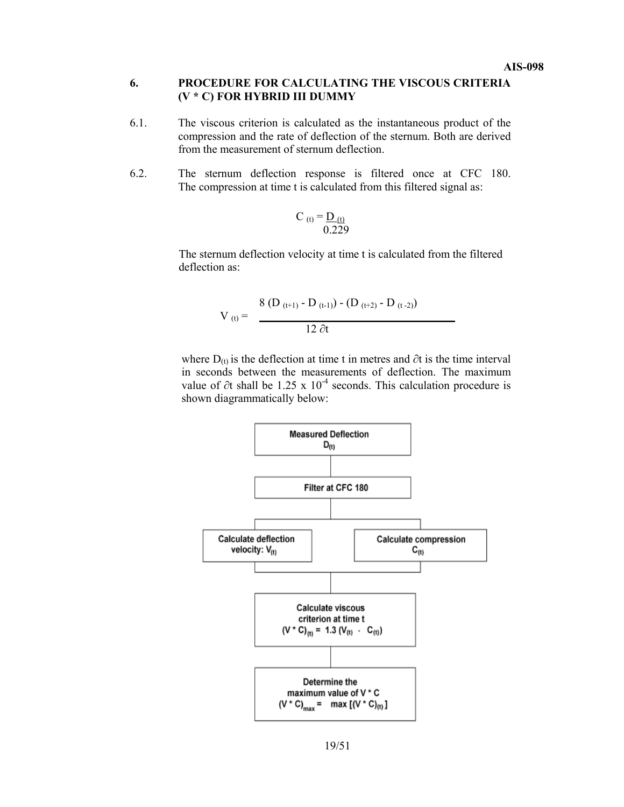#### **6. PROCEDURE FOR CALCULATING THE VISCOUS CRITERIA (V \* C) FOR HYBRID III DUMMY**

- 6.1. The viscous criterion is calculated as the instantaneous product of the compression and the rate of deflection of the sternum. Both are derived from the measurement of sternum deflection.
- 6.2. The sternum deflection response is filtered once at CFC 180. The compression at time t is calculated from this filtered signal as:

$$
C_{(t)} = \frac{D_{(t)}}{0.229}
$$

 The sternum deflection velocity at time t is calculated from the filtered deflection as:

$$
V_{(t)} = \frac{8 (D_{(t+1)} - D_{(t-1)}) - (D_{(t+2)} - D_{(t-2)})}{12 \partial t}
$$

where  $D_{(t)}$  is the deflection at time t in metres and ∂t is the time interval in seconds between the measurements of deflection. The maximum value of ∂t shall be 1.25 x  $10^{-4}$  seconds. This calculation procedure is shown diagrammatically below:

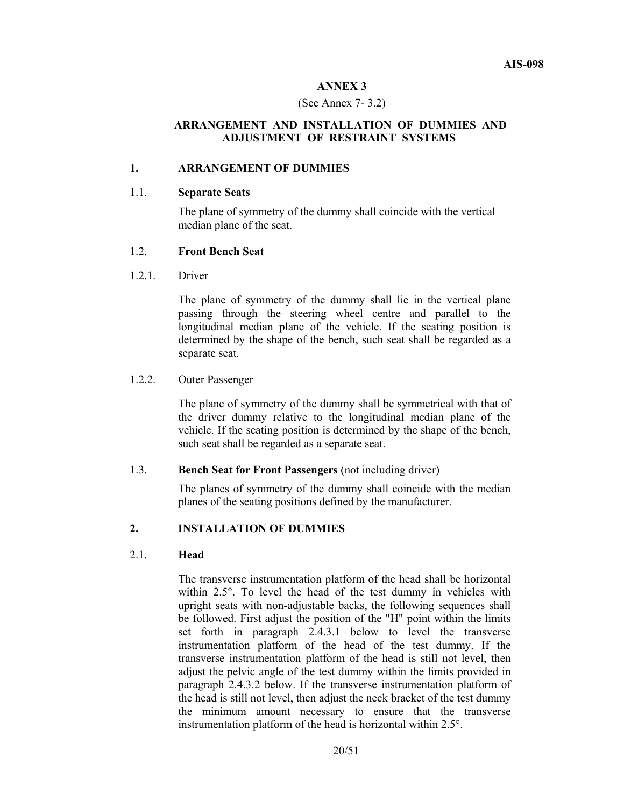#### **ANNEX 3**

#### (See Annex 7- 3.2)

# **ARRANGEMENT AND INSTALLATION OF DUMMIES AND ADJUSTMENT OF RESTRAINT SYSTEMS**

#### **1. ARRANGEMENT OF DUMMIES**

#### 1.1. **Separate Seats**

The plane of symmetry of the dummy shall coincide with the vertical median plane of the seat.

## 1.2. **Front Bench Seat**

1.2.1. Driver

The plane of symmetry of the dummy shall lie in the vertical plane passing through the steering wheel centre and parallel to the longitudinal median plane of the vehicle. If the seating position is determined by the shape of the bench, such seat shall be regarded as a separate seat.

#### 1.2.2. Outer Passenger

The plane of symmetry of the dummy shall be symmetrical with that of the driver dummy relative to the longitudinal median plane of the vehicle. If the seating position is determined by the shape of the bench, such seat shall be regarded as a separate seat.

# 1.3. **Bench Seat for Front Passengers** (not including driver)

The planes of symmetry of the dummy shall coincide with the median planes of the seating positions defined by the manufacturer.

# **2. INSTALLATION OF DUMMIES**

#### 2.1. **Head**

The transverse instrumentation platform of the head shall be horizontal within 2.5°. To level the head of the test dummy in vehicles with upright seats with non-adjustable backs, the following sequences shall be followed. First adjust the position of the "H" point within the limits set forth in paragraph 2.4.3.1 below to level the transverse instrumentation platform of the head of the test dummy. If the transverse instrumentation platform of the head is still not level, then adjust the pelvic angle of the test dummy within the limits provided in paragraph 2.4.3.2 below. If the transverse instrumentation platform of the head is still not level, then adjust the neck bracket of the test dummy the minimum amount necessary to ensure that the transverse instrumentation platform of the head is horizontal within 2.5°.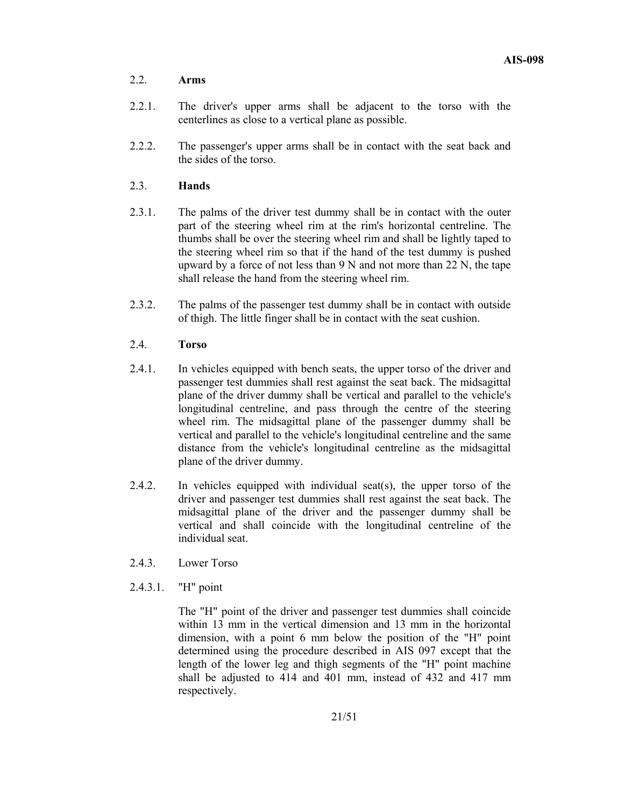# 2.2. **Arms**

- 2.2.1. The driver's upper arms shall be adjacent to the torso with the centerlines as close to a vertical plane as possible.
- 2.2.2. The passenger's upper arms shall be in contact with the seat back and the sides of the torso.

# 2.3. **Hands**

- 2.3.1. The palms of the driver test dummy shall be in contact with the outer part of the steering wheel rim at the rim's horizontal centreline. The thumbs shall be over the steering wheel rim and shall be lightly taped to the steering wheel rim so that if the hand of the test dummy is pushed upward by a force of not less than 9 N and not more than 22 N, the tape shall release the hand from the steering wheel rim.
- 2.3.2. The palms of the passenger test dummy shall be in contact with outside of thigh. The little finger shall be in contact with the seat cushion.

# 2.4. **Torso**

- 2.4.1. In vehicles equipped with bench seats, the upper torso of the driver and passenger test dummies shall rest against the seat back. The midsagittal plane of the driver dummy shall be vertical and parallel to the vehicle's longitudinal centreline, and pass through the centre of the steering wheel rim. The midsagittal plane of the passenger dummy shall be vertical and parallel to the vehicle's longitudinal centreline and the same distance from the vehicle's longitudinal centreline as the midsagittal plane of the driver dummy.
- 2.4.2. In vehicles equipped with individual seat(s), the upper torso of the driver and passenger test dummies shall rest against the seat back. The midsagittal plane of the driver and the passenger dummy shall be vertical and shall coincide with the longitudinal centreline of the individual seat.
- 2.4.3 Lower Torso

# 2.4.3.1. "H" point

The "H" point of the driver and passenger test dummies shall coincide within 13 mm in the vertical dimension and 13 mm in the horizontal dimension, with a point 6 mm below the position of the "H" point determined using the procedure described in AIS 097 except that the length of the lower leg and thigh segments of the "H" point machine shall be adjusted to 414 and 401 mm, instead of 432 and 417 mm respectively.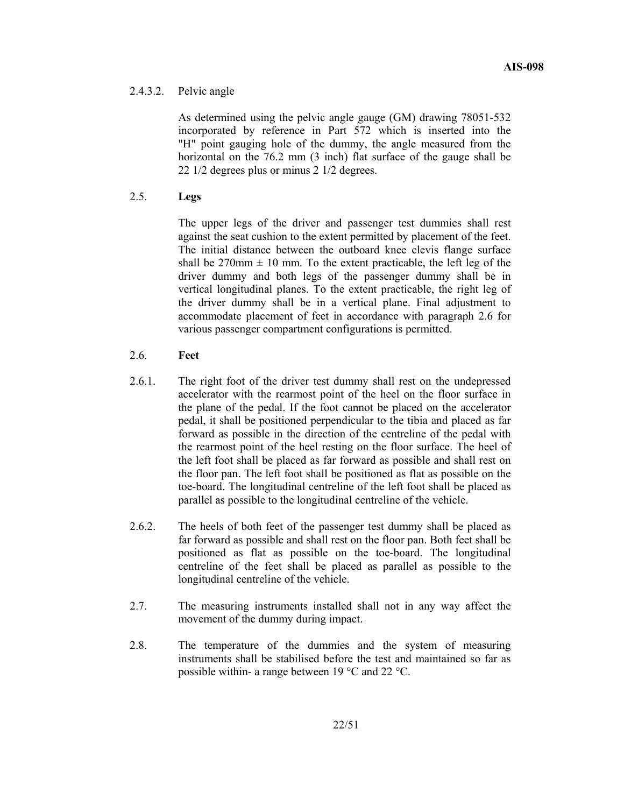# 2.4.3.2. Pelvic angle

As determined using the pelvic angle gauge (GM) drawing 78051-532 incorporated by reference in Part 572 which is inserted into the "H" point gauging hole of the dummy, the angle measured from the horizontal on the 76.2 mm (3 inch) flat surface of the gauge shall be 22 1/2 degrees plus or minus 2 1/2 degrees.

# 2.5. **Legs**

The upper legs of the driver and passenger test dummies shall rest against the seat cushion to the extent permitted by placement of the feet. The initial distance between the outboard knee clevis flange surface shall be  $270$ mm  $\pm 10$  mm. To the extent practicable, the left leg of the driver dummy and both legs of the passenger dummy shall be in vertical longitudinal planes. To the extent practicable, the right leg of the driver dummy shall be in a vertical plane. Final adjustment to accommodate placement of feet in accordance with paragraph 2.6 for various passenger compartment configurations is permitted.

# 2.6. **Feet**

- 2.6.1. The right foot of the driver test dummy shall rest on the undepressed accelerator with the rearmost point of the heel on the floor surface in the plane of the pedal. If the foot cannot be placed on the accelerator pedal, it shall be positioned perpendicular to the tibia and placed as far forward as possible in the direction of the centreline of the pedal with the rearmost point of the heel resting on the floor surface. The heel of the left foot shall be placed as far forward as possible and shall rest on the floor pan. The left foot shall be positioned as flat as possible on the toe-board. The longitudinal centreline of the left foot shall be placed as parallel as possible to the longitudinal centreline of the vehicle.
- 2.6.2. The heels of both feet of the passenger test dummy shall be placed as far forward as possible and shall rest on the floor pan. Both feet shall be positioned as flat as possible on the toe-board. The longitudinal centreline of the feet shall be placed as parallel as possible to the longitudinal centreline of the vehicle.
- 2.7. The measuring instruments installed shall not in any way affect the movement of the dummy during impact.
- 2.8. The temperature of the dummies and the system of measuring instruments shall be stabilised before the test and maintained so far as possible within- a range between 19 °C and 22 °C.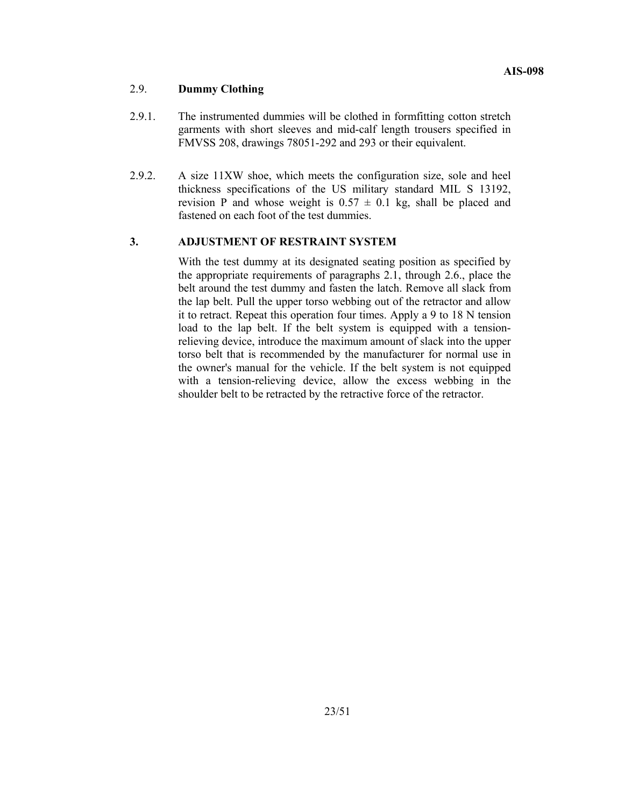# 2.9. **Dummy Clothing**

- 2.9.1. The instrumented dummies will be clothed in formfitting cotton stretch garments with short sleeves and mid-calf length trousers specified in FMVSS 208, drawings 78051-292 and 293 or their equivalent.
- 2.9.2. A size 11XW shoe, which meets the configuration size, sole and heel thickness specifications of the US military standard MIL S 13192, revision P and whose weight is  $0.57 \pm 0.1$  kg, shall be placed and fastened on each foot of the test dummies.

#### **3. ADJUSTMENT OF RESTRAINT SYSTEM**

With the test dummy at its designated seating position as specified by the appropriate requirements of paragraphs 2.1, through 2.6., place the belt around the test dummy and fasten the latch. Remove all slack from the lap belt. Pull the upper torso webbing out of the retractor and allow it to retract. Repeat this operation four times. Apply a 9 to 18 N tension load to the lap belt. If the belt system is equipped with a tensionrelieving device, introduce the maximum amount of slack into the upper torso belt that is recommended by the manufacturer for normal use in the owner's manual for the vehicle. If the belt system is not equipped with a tension-relieving device, allow the excess webbing in the shoulder belt to be retracted by the retractive force of the retractor.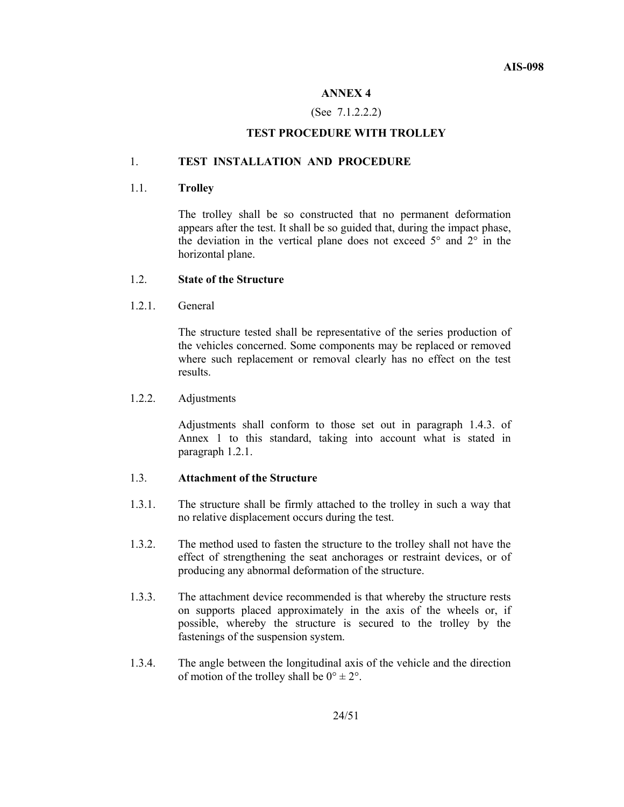# **ANNEX 4**

# (See 7.1.2.2.2)

# **TEST PROCEDURE WITH TROLLEY**

#### 1. **TEST INSTALLATION AND PROCEDURE**

#### 1.1. **Trolley**

The trolley shall be so constructed that no permanent deformation appears after the test. It shall be so guided that, during the impact phase, the deviation in the vertical plane does not exceed 5° and 2° in the horizontal plane.

# 1.2. **State of the Structure**

1.2.1. General

The structure tested shall be representative of the series production of the vehicles concerned. Some components may be replaced or removed where such replacement or removal clearly has no effect on the test results.

# 1.2.2. Adjustments

Adjustments shall conform to those set out in paragraph 1.4.3. of Annex 1 to this standard, taking into account what is stated in paragraph 1.2.1.

### 1.3. **Attachment of the Structure**

- 1.3.1. The structure shall be firmly attached to the trolley in such a way that no relative displacement occurs during the test.
- 1.3.2. The method used to fasten the structure to the trolley shall not have the effect of strengthening the seat anchorages or restraint devices, or of producing any abnormal deformation of the structure.
- 1.3.3. The attachment device recommended is that whereby the structure rests on supports placed approximately in the axis of the wheels or, if possible, whereby the structure is secured to the trolley by the fastenings of the suspension system.
- 1.3.4. The angle between the longitudinal axis of the vehicle and the direction of motion of the trolley shall be  $0^{\circ} \pm 2^{\circ}$ .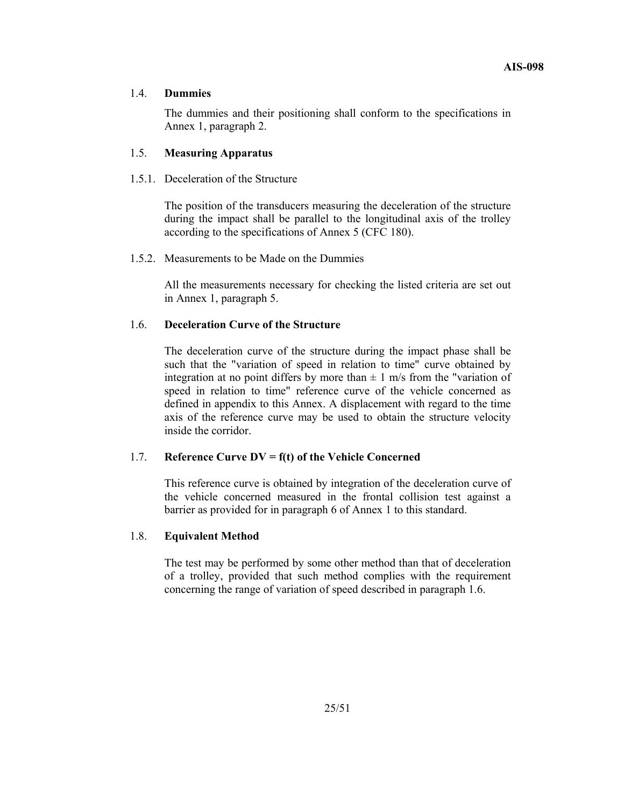## 1.4. **Dummies**

 The dummies and their positioning shall conform to the specifications in Annex 1, paragraph 2.

# 1.5. **Measuring Apparatus**

1.5.1. Deceleration of the Structure

 The position of the transducers measuring the deceleration of the structure during the impact shall be parallel to the longitudinal axis of the trolley according to the specifications of Annex 5 (CFC 180).

1.5.2. Measurements to be Made on the Dummies

 All the measurements necessary for checking the listed criteria are set out in Annex 1, paragraph 5.

# 1.6. **Deceleration Curve of the Structure**

 The deceleration curve of the structure during the impact phase shall be such that the "variation of speed in relation to time" curve obtained by integration at no point differs by more than  $\pm$  1 m/s from the "variation of speed in relation to time" reference curve of the vehicle concerned as defined in appendix to this Annex. A displacement with regard to the time axis of the reference curve may be used to obtain the structure velocity inside the corridor.

#### 1.7. **Reference Curve DV = f(t) of the Vehicle Concerned**

 This reference curve is obtained by integration of the deceleration curve of the vehicle concerned measured in the frontal collision test against a barrier as provided for in paragraph 6 of Annex 1 to this standard.

#### 1.8. **Equivalent Method**

 The test may be performed by some other method than that of deceleration of a trolley, provided that such method complies with the requirement concerning the range of variation of speed described in paragraph 1.6.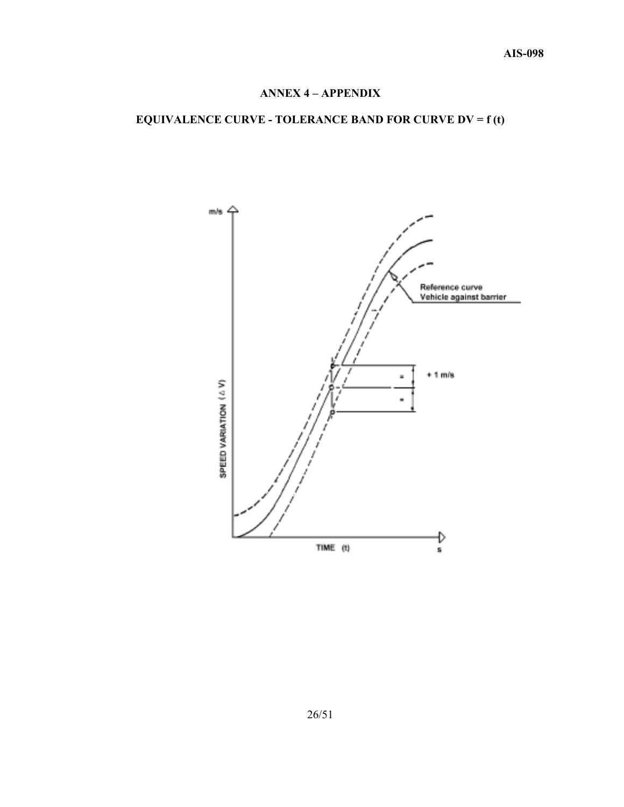# **ANNEX 4 – APPENDIX**

# **EQUIVALENCE CURVE - TOLERANCE BAND FOR CURVE DV = f (t)**

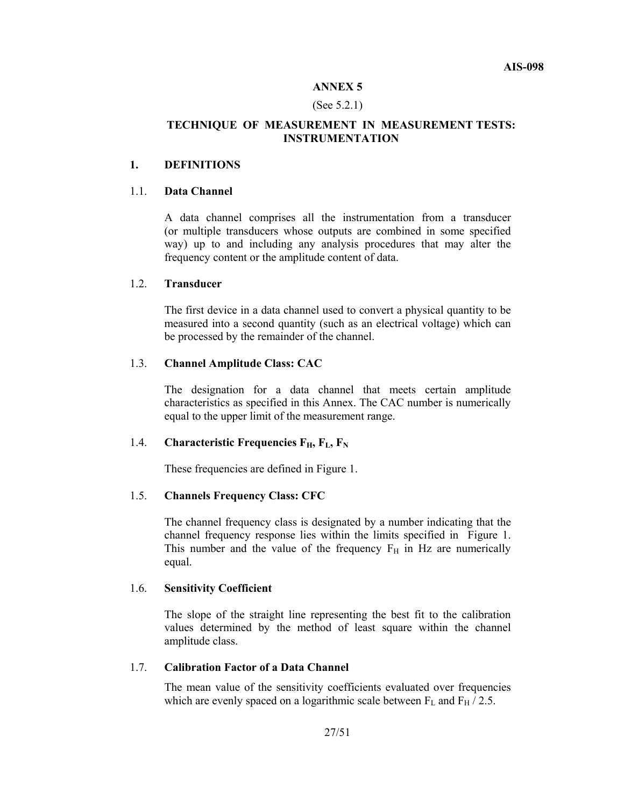#### **ANNEX 5**

#### (See 5.2.1)

# **TECHNIQUE OF MEASUREMENT IN MEASUREMENT TESTS: INSTRUMENTATION**

# **1. DEFINITIONS**

#### 1.1. **Data Channel**

 A data channel comprises all the instrumentation from a transducer (or multiple transducers whose outputs are combined in some specified way) up to and including any analysis procedures that may alter the frequency content or the amplitude content of data.

#### 1.2. **Transducer**

 The first device in a data channel used to convert a physical quantity to be measured into a second quantity (such as an electrical voltage) which can be processed by the remainder of the channel.

#### 1.3. **Channel Amplitude Class: CAC**

 The designation for a data channel that meets certain amplitude characteristics as specified in this Annex. The CAC number is numerically equal to the upper limit of the measurement range.

# 1.4. **Characteristic Frequencies F<sub>H</sub>, F<sub>L</sub>, F<sub>N</sub>**

These frequencies are defined in Figure 1.

#### 1.5. **Channels Frequency Class: CFC**

 The channel frequency class is designated by a number indicating that the channel frequency response lies within the limits specified in Figure 1. This number and the value of the frequency  $F_H$  in Hz are numerically equal.

#### 1.6. **Sensitivity Coefficient**

 The slope of the straight line representing the best fit to the calibration values determined by the method of least square within the channel amplitude class.

#### 1.7. **Calibration Factor of a Data Channel**

 The mean value of the sensitivity coefficients evaluated over frequencies which are evenly spaced on a logarithmic scale between  $F_L$  and  $F_H / 2.5$ .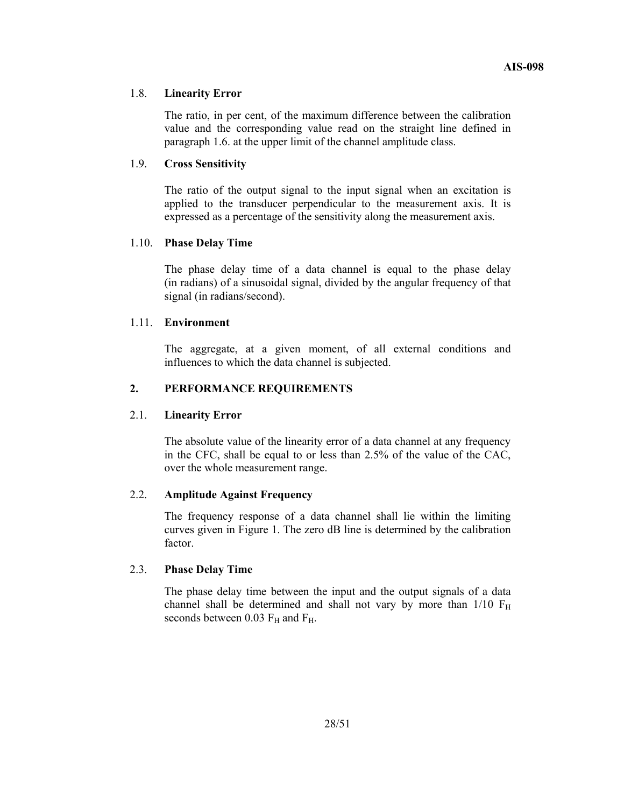# 1.8. **Linearity Error**

 The ratio, in per cent, of the maximum difference between the calibration value and the corresponding value read on the straight line defined in paragraph 1.6. at the upper limit of the channel amplitude class.

# 1.9. **Cross Sensitivity**

 The ratio of the output signal to the input signal when an excitation is applied to the transducer perpendicular to the measurement axis. It is expressed as a percentage of the sensitivity along the measurement axis.

#### 1.10. **Phase Delay Time**

 The phase delay time of a data channel is equal to the phase delay (in radians) of a sinusoidal signal, divided by the angular frequency of that signal (in radians/second).

#### 1.11. **Environment**

 The aggregate, at a given moment, of all external conditions and influences to which the data channel is subjected.

# **2. PERFORMANCE REQUIREMENTS**

# 2.1. **Linearity Error**

 The absolute value of the linearity error of a data channel at any frequency in the CFC, shall be equal to or less than 2.5% of the value of the CAC, over the whole measurement range.

# 2.2. **Amplitude Against Frequency**

 The frequency response of a data channel shall lie within the limiting curves given in Figure 1. The zero dB line is determined by the calibration factor.

# 2.3. **Phase Delay Time**

 The phase delay time between the input and the output signals of a data channel shall be determined and shall not vary by more than  $1/10$   $F_H$ seconds between 0.03  $F_H$  and  $F_H$ .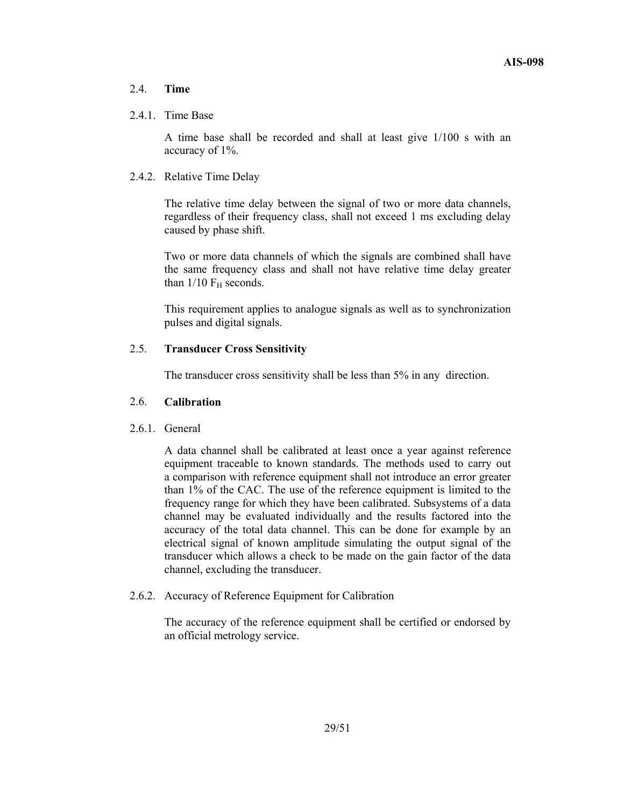# 2.4. **Time**

#### 2.4.1. Time Base

A time base shall be recorded and shall at least give 1/100 s with an accuracy of 1%.

# 2.4.2. Relative Time Delay

The relative time delay between the signal of two or more data channels, regardless of their frequency class, shall not exceed 1 ms excluding delay caused by phase shift.

Two or more data channels of which the signals are combined shall have the same frequency class and shall not have relative time delay greater than  $1/10$  F<sub>H</sub> seconds.

This requirement applies to analogue signals as well as to synchronization pulses and digital signals.

# 2.5. **Transducer Cross Sensitivity**

The transducer cross sensitivity shall be less than 5% in any direction.

#### 2.6. **Calibration**

#### 2.6.1 General

 A data channel shall be calibrated at least once a year against reference equipment traceable to known standards. The methods used to carry out a comparison with reference equipment shall not introduce an error greater than 1% of the CAC. The use of the reference equipment is limited to the frequency range for which they have been calibrated. Subsystems of a data channel may be evaluated individually and the results factored into the accuracy of the total data channel. This can be done for example by an electrical signal of known amplitude simulating the output signal of the transducer which allows a check to be made on the gain factor of the data channel, excluding the transducer.

#### 2.6.2. Accuracy of Reference Equipment for Calibration

The accuracy of the reference equipment shall be certified or endorsed by an official metrology service.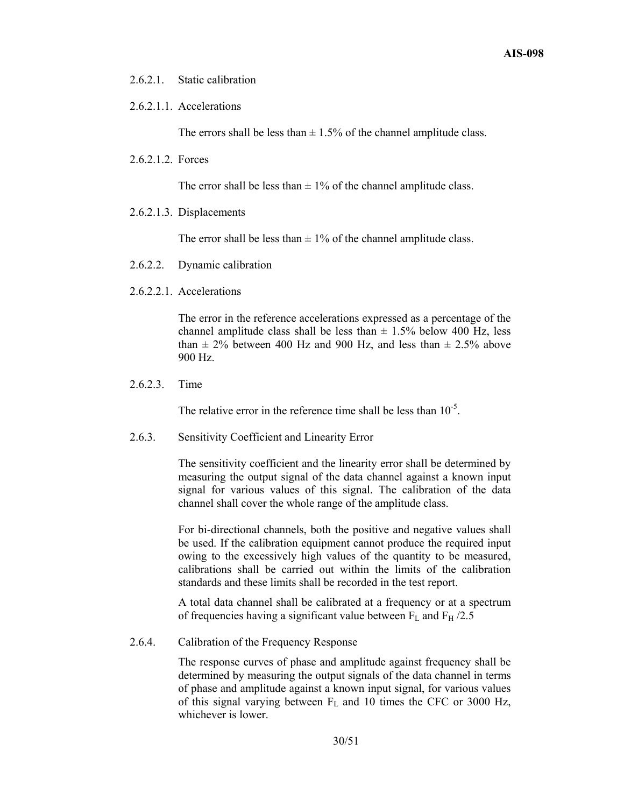2.6.2.1. Static calibration

# 2.6.2.1.1. Accelerations

The errors shall be less than  $\pm$  1.5% of the channel amplitude class.

2.6.2.1.2. Forces

The error shall be less than  $\pm$  1% of the channel amplitude class.

2.6.2.1.3. Displacements

The error shall be less than  $\pm$  1% of the channel amplitude class.

- 2.6.2.2. Dynamic calibration
- 2.6.2.2.1. Accelerations

The error in the reference accelerations expressed as a percentage of the channel amplitude class shall be less than  $\pm$  1.5% below 400 Hz, less than  $\pm$  2% between 400 Hz and 900 Hz, and less than  $\pm$  2.5% above 900 Hz.

2.6.2.3. Time

The relative error in the reference time shall be less than  $10^{-5}$ .

2.6.3. Sensitivity Coefficient and Linearity Error

The sensitivity coefficient and the linearity error shall be determined by measuring the output signal of the data channel against a known input signal for various values of this signal. The calibration of the data channel shall cover the whole range of the amplitude class.

For bi-directional channels, both the positive and negative values shall be used. If the calibration equipment cannot produce the required input owing to the excessively high values of the quantity to be measured, calibrations shall be carried out within the limits of the calibration standards and these limits shall be recorded in the test report.

A total data channel shall be calibrated at a frequency or at a spectrum of frequencies having a significant value between  $F_L$  and  $F_H$  /2.5

2.6.4. Calibration of the Frequency Response

The response curves of phase and amplitude against frequency shall be determined by measuring the output signals of the data channel in terms of phase and amplitude against a known input signal, for various values of this signal varying between  $F<sub>L</sub>$  and 10 times the CFC or 3000 Hz, whichever is lower.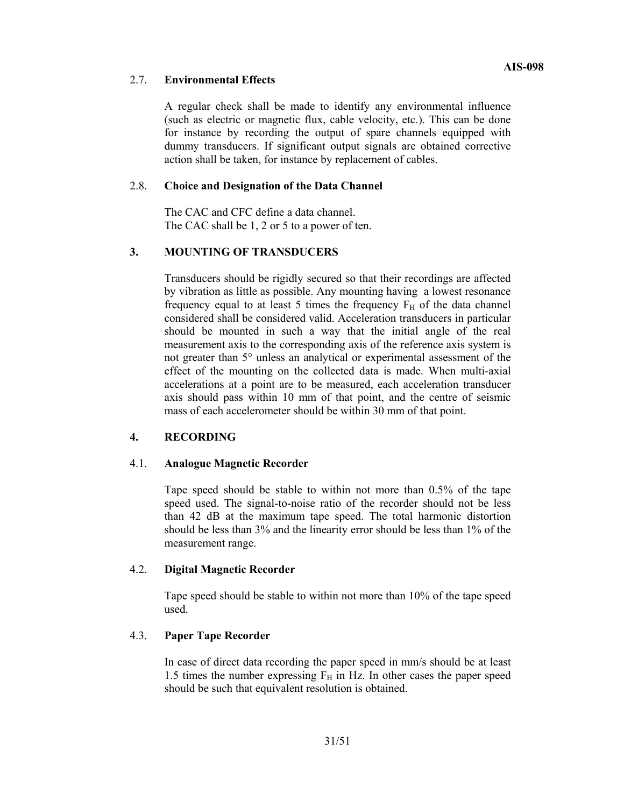# 2.7. **Environmental Effects**

A regular check shall be made to identify any environmental influence (such as electric or magnetic flux, cable velocity, etc.). This can be done for instance by recording the output of spare channels equipped with dummy transducers. If significant output signals are obtained corrective action shall be taken, for instance by replacement of cables.

# 2.8. **Choice and Designation of the Data Channel**

The CAC and CFC define a data channel. The CAC shall be 1, 2 or 5 to a power of ten.

# **3. MOUNTING OF TRANSDUCERS**

Transducers should be rigidly secured so that their recordings are affected by vibration as little as possible. Any mounting having a lowest resonance frequency equal to at least 5 times the frequency  $F_H$  of the data channel considered shall be considered valid. Acceleration transducers in particular should be mounted in such a way that the initial angle of the real measurement axis to the corresponding axis of the reference axis system is not greater than 5° unless an analytical or experimental assessment of the effect of the mounting on the collected data is made. When multi-axial accelerations at a point are to be measured, each acceleration transducer axis should pass within 10 mm of that point, and the centre of seismic mass of each accelerometer should be within 30 mm of that point.

# **4. RECORDING**

# 4.1. **Analogue Magnetic Recorder**

Tape speed should be stable to within not more than 0.5% of the tape speed used. The signal-to-noise ratio of the recorder should not be less than 42 dB at the maximum tape speed. The total harmonic distortion should be less than 3% and the linearity error should be less than 1% of the measurement range.

# 4.2. **Digital Magnetic Recorder**

Tape speed should be stable to within not more than 10% of the tape speed used.

# 4.3. **Paper Tape Recorder**

In case of direct data recording the paper speed in mm/s should be at least 1.5 times the number expressing  $F_H$  in Hz. In other cases the paper speed should be such that equivalent resolution is obtained.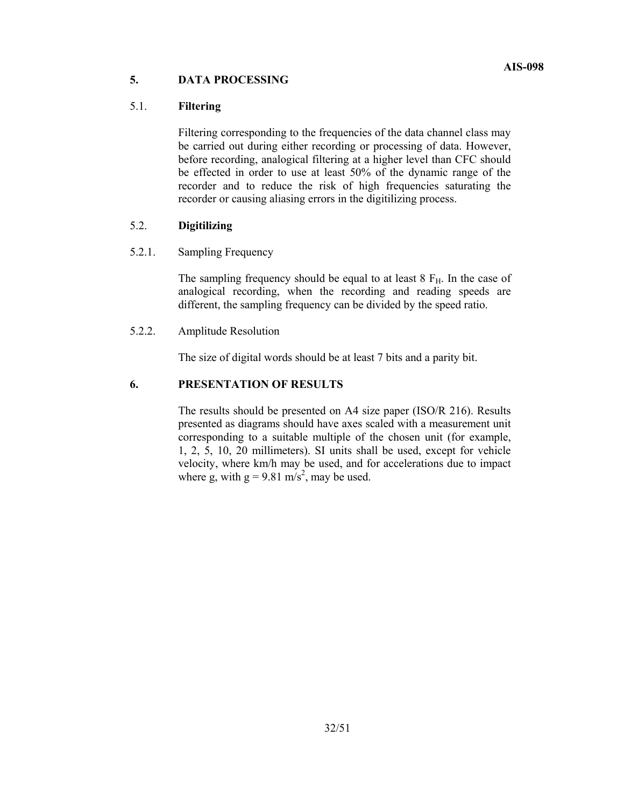## **5. DATA PROCESSING**

### 5.1. **Filtering**

Filtering corresponding to the frequencies of the data channel class may be carried out during either recording or processing of data. However, before recording, analogical filtering at a higher level than CFC should be effected in order to use at least 50% of the dynamic range of the recorder and to reduce the risk of high frequencies saturating the recorder or causing aliasing errors in the digitilizing process.

## 5.2. **Digitilizing**

## 5.2.1. Sampling Frequency

The sampling frequency should be equal to at least  $8 F<sub>H</sub>$ . In the case of analogical recording, when the recording and reading speeds are different, the sampling frequency can be divided by the speed ratio.

## 5.2.2. Amplitude Resolution

The size of digital words should be at least 7 bits and a parity bit.

## **6. PRESENTATION OF RESULTS**

The results should be presented on A4 size paper (ISO/R 216). Results presented as diagrams should have axes scaled with a measurement unit corresponding to a suitable multiple of the chosen unit (for example, 1, 2, 5, 10, 20 millimeters). SI units shall be used, except for vehicle velocity, where km/h may be used, and for accelerations due to impact where g, with  $g = 9.81$  m/s<sup>2</sup>, may be used.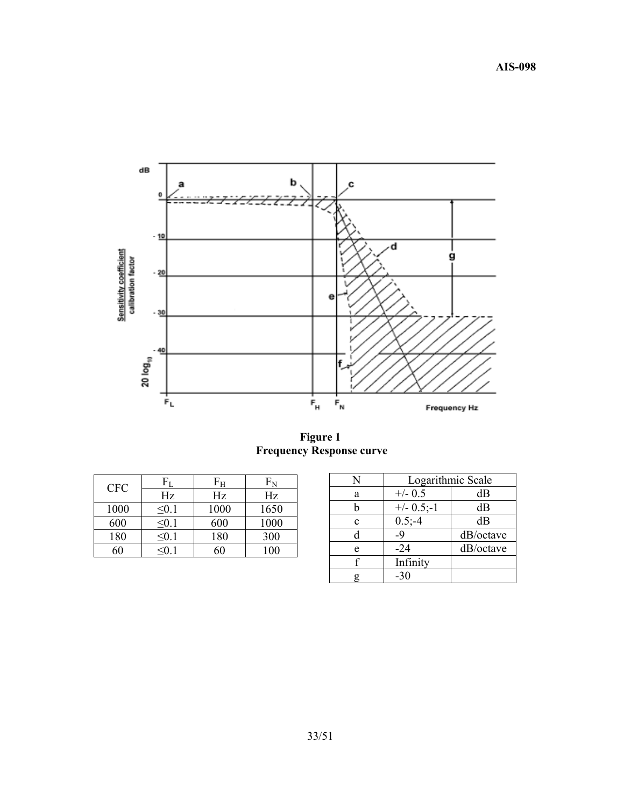

**Figure 1 Frequency Response curve** 

| <b>CFC</b> |            | Fн   | ${\rm F}_{\rm N}$ |
|------------|------------|------|-------------------|
|            | Hz         | Hz   | Hz                |
| 1000       | $\leq 0.1$ | 1000 | 1650              |
| 600        | ≤0.1       | 600  | 1000              |
| 180        | < 0.1      | 180  | 300               |
|            |            |      | 00                |

| N           | Logarithmic Scale |           |
|-------------|-------------------|-----------|
| a           | $+/-$ 0.5         | dВ        |
|             | $+/- 0.5,-1$      | dВ        |
| $\mathbf c$ | $0.5,-4$          | dB        |
|             | -9                | dB/octave |
| e           | $-24$             | dB/octave |
|             | Infinity          |           |
|             | $-30$             |           |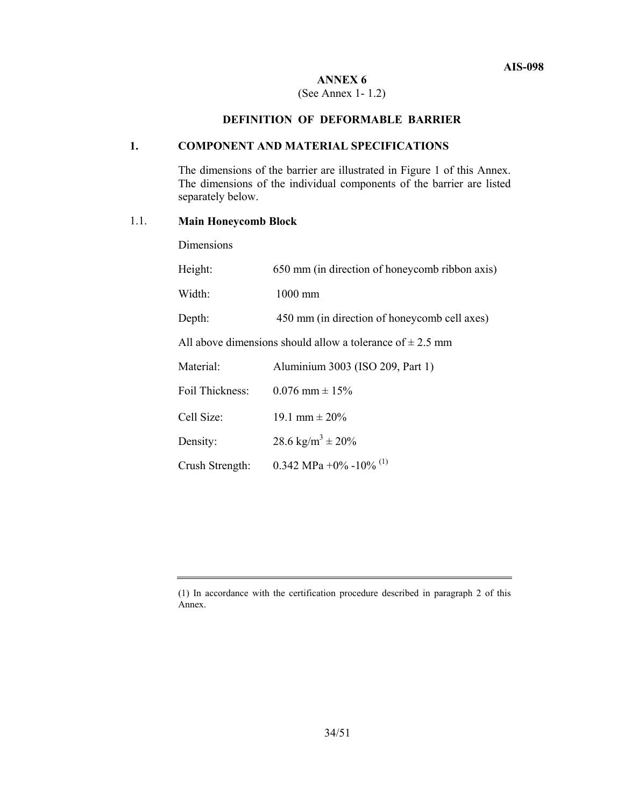## **ANNEX 6**

### (See Annex 1- 1.2)

## **DEFINITION OF DEFORMABLE BARRIER**

### **1. COMPONENT AND MATERIAL SPECIFICATIONS**

The dimensions of the barrier are illustrated in Figure 1 of this Annex. The dimensions of the individual components of the barrier are listed separately below.

### 1.1. **Main Honeycomb Block**

Dimensions

| Height:                                                       | 650 mm (in direction of honeycomb ribbon axis) |  |
|---------------------------------------------------------------|------------------------------------------------|--|
| Width:                                                        | $1000$ mm                                      |  |
| Depth:                                                        | 450 mm (in direction of honeycomb cell axes)   |  |
| All above dimensions should allow a tolerance of $\pm$ 2.5 mm |                                                |  |
| Material:                                                     | Aluminium 3003 (ISO 209, Part 1)               |  |
| Foil Thickness:                                               | $0.076$ mm $\pm 15\%$                          |  |
| Cell Size:                                                    | 19.1 mm $\pm 20\%$                             |  |
| Density:                                                      | 28.6 kg/m <sup>3</sup> $\pm$ 20%               |  |
| Crush Strength:                                               | 0.342 MPa +0% -10% <sup>(1)</sup>              |  |

<sup>(1)</sup> In accordance with the certification procedure described in paragraph 2 of this Annex.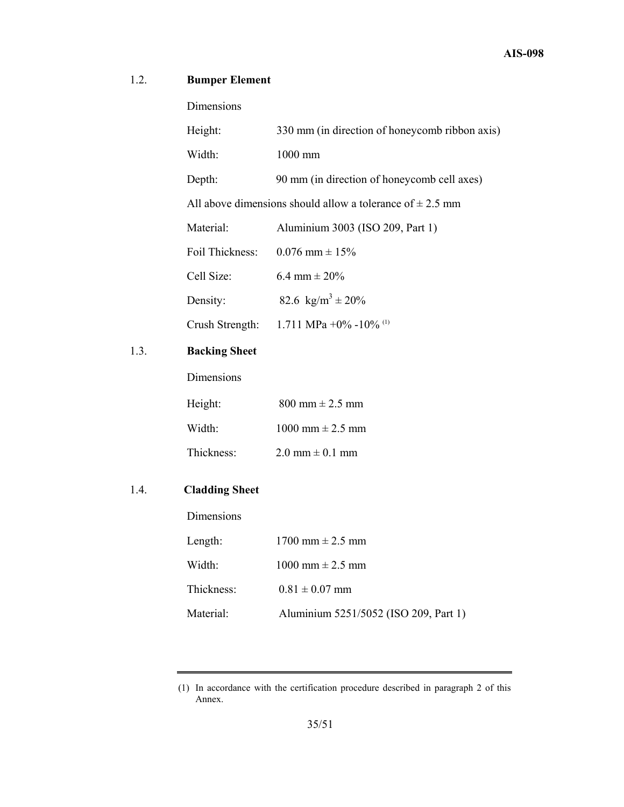## 1.2. **Bumper Element**

 $1.3.$ 

1.4. **Cladding Sheet** 

Dimensions

| Height:                                                       | 330 mm (in direction of honeycomb ribbon axis) |  |
|---------------------------------------------------------------|------------------------------------------------|--|
| Width:                                                        | 1000 mm                                        |  |
| Depth:                                                        | 90 mm (in direction of honeycomb cell axes)    |  |
| All above dimensions should allow a tolerance of $\pm$ 2.5 mm |                                                |  |
| Material:                                                     | Aluminium 3003 (ISO 209, Part 1)               |  |
| Foil Thickness:                                               | $0.076$ mm $\pm 15\%$                          |  |
| Cell Size:                                                    | 6.4 mm $\pm$ 20%                               |  |
| Density:                                                      | 82.6 kg/m <sup>3</sup> ± 20%                   |  |
| Crush Strength:                                               | 1.711 MPa +0% -10% (1)                         |  |
| <b>Backing Sheet</b>                                          |                                                |  |
| Dimensions                                                    |                                                |  |
| Height:                                                       | $800 \text{ mm} \pm 2.5 \text{ mm}$            |  |
| Width:                                                        | $1000$ mm $\pm 2.5$ mm                         |  |
| Thickness:                                                    | $2.0 \text{ mm} \pm 0.1 \text{ mm}$            |  |
| <b>Cladding Sheet</b>                                         |                                                |  |
| Dimensions                                                    |                                                |  |
| Length:                                                       | $1700$ mm $\pm 2.5$ mm                         |  |
| Width:                                                        | 1000 mm $\pm 2.5$ mm                           |  |
| Thickness:                                                    | $0.81 \pm 0.07$ mm                             |  |
|                                                               |                                                |  |

Material: Aluminium 5251/5052 (ISO 209, Part 1)

<sup>(1)</sup> In accordance with the certification procedure described in paragraph 2 of this Annex.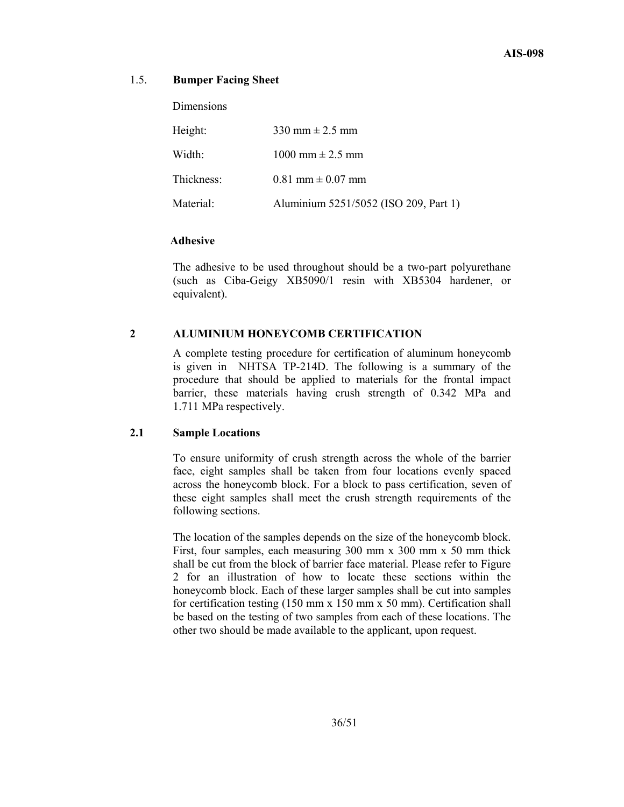### 1.5. **Bumper Facing Sheet**

**Dimensions** 

| Height:    | 330 mm $\pm$ 2.5 mm                   |
|------------|---------------------------------------|
| Width:     | 1000 mm $\pm$ 2.5 mm                  |
| Thickness: | $0.81$ mm $\pm 0.07$ mm               |
| Material:  | Aluminium 5251/5052 (ISO 209, Part 1) |

### **Adhesive**

 The adhesive to be used throughout should be a two-part polyurethane (such as Ciba-Geigy XB5090/1 resin with XB5304 hardener, or equivalent).

## **2 ALUMINIUM HONEYCOMB CERTIFICATION**

 A complete testing procedure for certification of aluminum honeycomb is given in NHTSA TP-214D. The following is a summary of the procedure that should be applied to materials for the frontal impact barrier, these materials having crush strength of 0.342 MPa and 1.711 MPa respectively.

### **2.1 Sample Locations**

 To ensure uniformity of crush strength across the whole of the barrier face, eight samples shall be taken from four locations evenly spaced across the honeycomb block. For a block to pass certification, seven of these eight samples shall meet the crush strength requirements of the following sections.

 The location of the samples depends on the size of the honeycomb block. First, four samples, each measuring 300 mm x 300 mm x 50 mm thick shall be cut from the block of barrier face material. Please refer to Figure 2 for an illustration of how to locate these sections within the honeycomb block. Each of these larger samples shall be cut into samples for certification testing (150 mm x 150 mm x 50 mm). Certification shall be based on the testing of two samples from each of these locations. The other two should be made available to the applicant, upon request.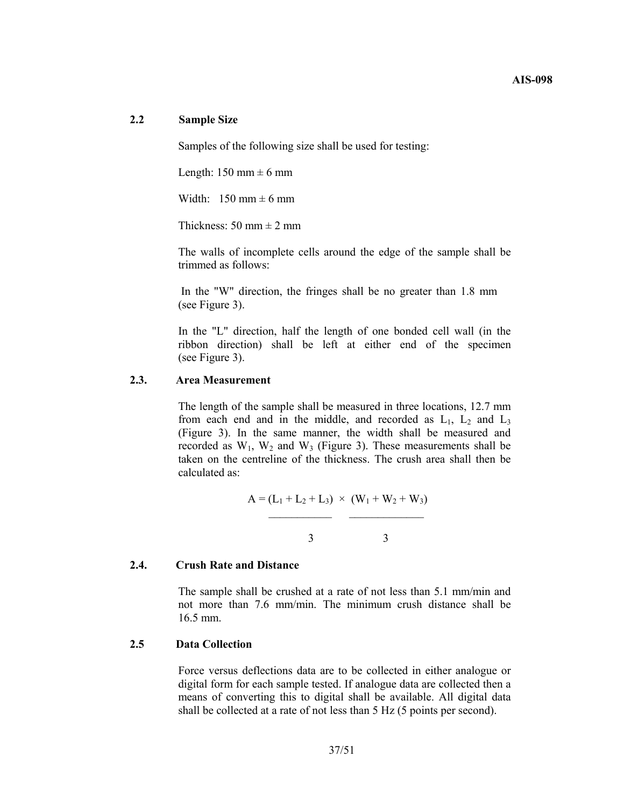### **2.2 Sample Size**

Samples of the following size shall be used for testing:

Length:  $150 \text{ mm} \pm 6 \text{ mm}$ 

Width:  $150 \text{ mm} \pm 6 \text{ mm}$ 

Thickness:  $50 \text{ mm} \pm 2 \text{ mm}$ 

The walls of incomplete cells around the edge of the sample shall be trimmed as follows:

 In the "W" direction, the fringes shall be no greater than 1.8 mm (see Figure 3).

In the "L" direction, half the length of one bonded cell wall (in the ribbon direction) shall be left at either end of the specimen (see Figure 3).

#### **2.3. Area Measurement**

The length of the sample shall be measured in three locations, 12.7 mm from each end and in the middle, and recorded as  $L_1$ ,  $L_2$  and  $L_3$ (Figure 3). In the same manner, the width shall be measured and recorded as  $W_1$ ,  $W_2$  and  $W_3$  (Figure 3). These measurements shall be taken on the centreline of the thickness. The crush area shall then be calculated as:

$$
A = (L_1 + L_2 + L_3) \times (W_1 + W_2 + W_3)
$$
  
3

**2.4. Crush Rate and Distance** 

The sample shall be crushed at a rate of not less than 5.1 mm/min and not more than 7.6 mm/min. The minimum crush distance shall be 16.5 mm.

### **2.5 Data Collection**

Force versus deflections data are to be collected in either analogue or digital form for each sample tested. If analogue data are collected then a means of converting this to digital shall be available. All digital data shall be collected at a rate of not less than 5 Hz (5 points per second).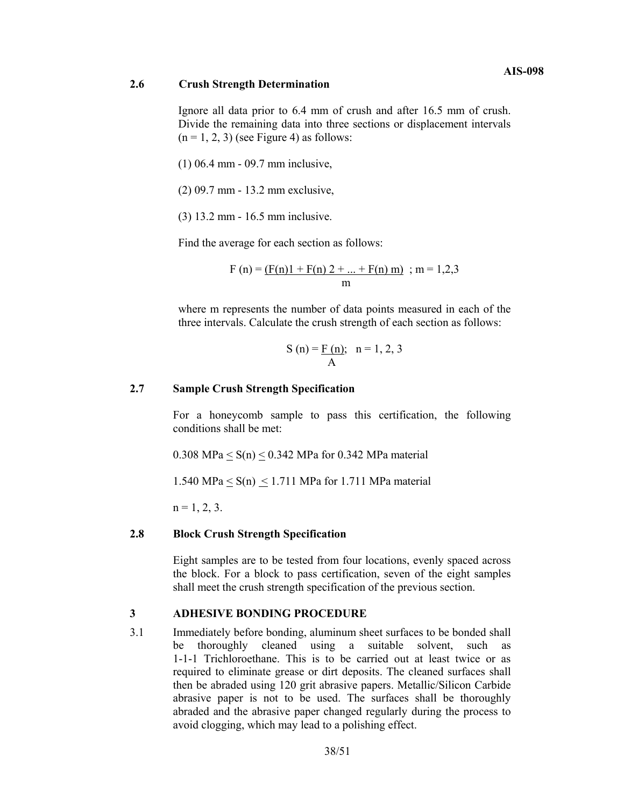### **2.6 Crush Strength Determination**

Ignore all data prior to 6.4 mm of crush and after 16.5 mm of crush. Divide the remaining data into three sections or displacement intervals  $(n = 1, 2, 3)$  (see Figure 4) as follows:

(1) 06.4 mm - 09.7 mm inclusive,

- (2) 09.7 mm 13.2 mm exclusive,
- (3) 13.2 mm 16.5 mm inclusive.

Find the average for each section as follows:

$$
F(n) = \underbrace{(F(n)1 + F(n) 2 + \dots + F(n) m)}_{m}; m = 1,2,3
$$

where m represents the number of data points measured in each of the three intervals. Calculate the crush strength of each section as follows:

$$
S(n) = \frac{F(n)}{A}; n = 1, 2, 3
$$

## **2.7 Sample Crush Strength Specification**

 For a honeycomb sample to pass this certification, the following conditions shall be met:

0.308 MPa  $\leq S(n) \leq 0.342$  MPa for 0.342 MPa material

1.540 MPa  $\leq$  S(n)  $\leq$  1.711 MPa for 1.711 MPa material

 $n = 1, 2, 3$ .

### **2.8 Block Crush Strength Specification**

Eight samples are to be tested from four locations, evenly spaced across the block. For a block to pass certification, seven of the eight samples shall meet the crush strength specification of the previous section.

## **3 ADHESIVE BONDING PROCEDURE**

3.1 Immediately before bonding, aluminum sheet surfaces to be bonded shall be thoroughly cleaned using a suitable solvent, such as 1-1-1 Trichloroethane. This is to be carried out at least twice or as required to eliminate grease or dirt deposits. The cleaned surfaces shall then be abraded using 120 grit abrasive papers. Metallic/Silicon Carbide abrasive paper is not to be used. The surfaces shall be thoroughly abraded and the abrasive paper changed regularly during the process to avoid clogging, which may lead to a polishing effect.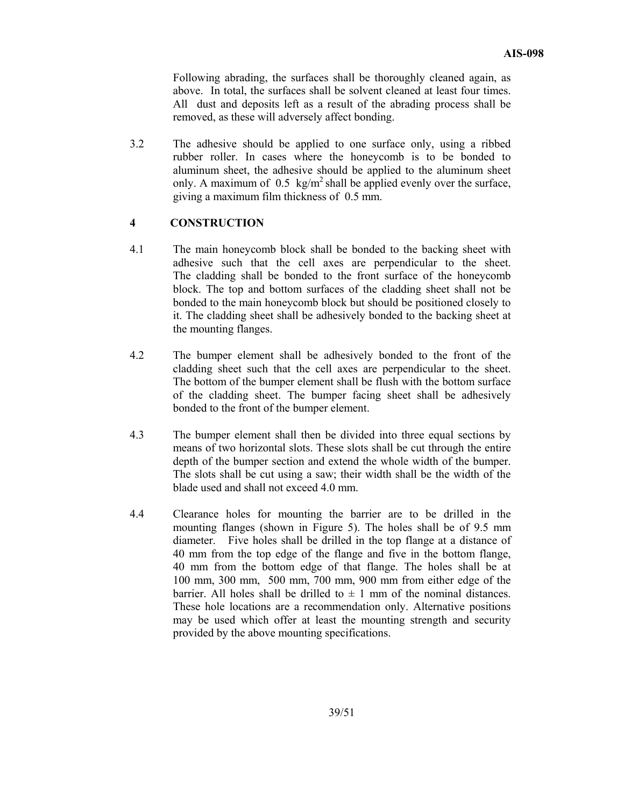Following abrading, the surfaces shall be thoroughly cleaned again, as above. In total, the surfaces shall be solvent cleaned at least four times. All dust and deposits left as a result of the abrading process shall be removed, as these will adversely affect bonding.

3.2 The adhesive should be applied to one surface only, using a ribbed rubber roller. In cases where the honeycomb is to be bonded to aluminum sheet, the adhesive should be applied to the aluminum sheet only. A maximum of 0.5 kg/m<sup>2</sup> shall be applied evenly over the surface, giving a maximum film thickness of 0.5 mm.

### **4 CONSTRUCTION**

- 4.1 The main honeycomb block shall be bonded to the backing sheet with adhesive such that the cell axes are perpendicular to the sheet. The cladding shall be bonded to the front surface of the honeycomb block. The top and bottom surfaces of the cladding sheet shall not be bonded to the main honeycomb block but should be positioned closely to it. The cladding sheet shall be adhesively bonded to the backing sheet at the mounting flanges.
- 4.2 The bumper element shall be adhesively bonded to the front of the cladding sheet such that the cell axes are perpendicular to the sheet. The bottom of the bumper element shall be flush with the bottom surface of the cladding sheet. The bumper facing sheet shall be adhesively bonded to the front of the bumper element.
- 4.3 The bumper element shall then be divided into three equal sections by means of two horizontal slots. These slots shall be cut through the entire depth of the bumper section and extend the whole width of the bumper. The slots shall be cut using a saw; their width shall be the width of the blade used and shall not exceed 4.0 mm.
- 4.4 Clearance holes for mounting the barrier are to be drilled in the mounting flanges (shown in Figure 5). The holes shall be of 9.5 mm diameter. Five holes shall be drilled in the top flange at a distance of 40 mm from the top edge of the flange and five in the bottom flange, 40 mm from the bottom edge of that flange. The holes shall be at 100 mm, 300 mm, 500 mm, 700 mm, 900 mm from either edge of the barrier. All holes shall be drilled to  $\pm$  1 mm of the nominal distances. These hole locations are a recommendation only. Alternative positions may be used which offer at least the mounting strength and security provided by the above mounting specifications.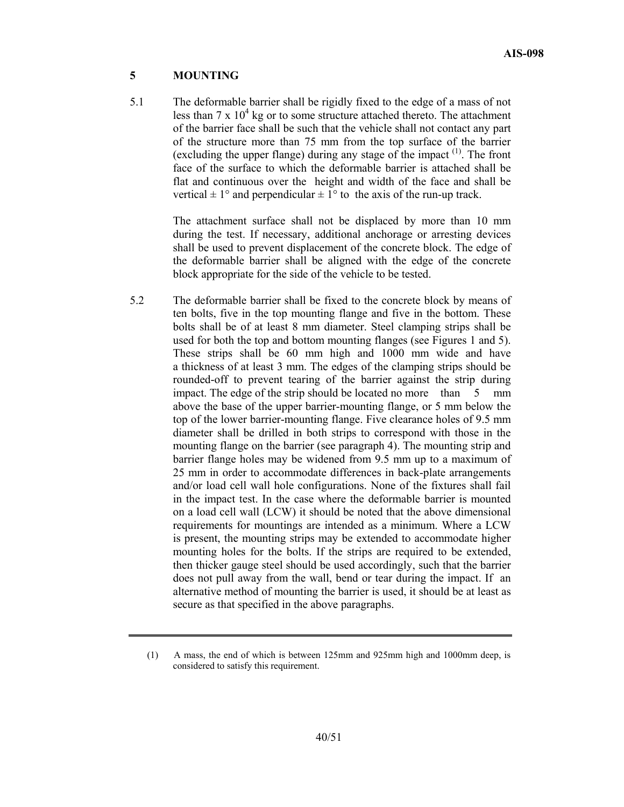### **5 MOUNTING**

5.1 The deformable barrier shall be rigidly fixed to the edge of a mass of not less than  $7 \times 10^4$  kg or to some structure attached thereto. The attachment of the barrier face shall be such that the vehicle shall not contact any part of the structure more than 75 mm from the top surface of the barrier (excluding the upper flange) during any stage of the impact  $(1)$ . The front face of the surface to which the deformable barrier is attached shall be flat and continuous over the height and width of the face and shall be vertical  $\pm 1^{\circ}$  and perpendicular  $\pm 1^{\circ}$  to the axis of the run-up track.

> The attachment surface shall not be displaced by more than 10 mm during the test. If necessary, additional anchorage or arresting devices shall be used to prevent displacement of the concrete block. The edge of the deformable barrier shall be aligned with the edge of the concrete block appropriate for the side of the vehicle to be tested.

5.2 The deformable barrier shall be fixed to the concrete block by means of ten bolts, five in the top mounting flange and five in the bottom. These bolts shall be of at least 8 mm diameter. Steel clamping strips shall be used for both the top and bottom mounting flanges (see Figures 1 and 5). These strips shall be 60 mm high and 1000 mm wide and have a thickness of at least 3 mm. The edges of the clamping strips should be rounded-off to prevent tearing of the barrier against the strip during impact. The edge of the strip should be located no more than 5 mm above the base of the upper barrier-mounting flange, or 5 mm below the top of the lower barrier-mounting flange. Five clearance holes of 9.5 mm diameter shall be drilled in both strips to correspond with those in the mounting flange on the barrier (see paragraph 4). The mounting strip and barrier flange holes may be widened from 9.5 mm up to a maximum of 25 mm in order to accommodate differences in back-plate arrangements and/or load cell wall hole configurations. None of the fixtures shall fail in the impact test. In the case where the deformable barrier is mounted on a load cell wall (LCW) it should be noted that the above dimensional requirements for mountings are intended as a minimum. Where a LCW is present, the mounting strips may be extended to accommodate higher mounting holes for the bolts. If the strips are required to be extended, then thicker gauge steel should be used accordingly, such that the barrier does not pull away from the wall, bend or tear during the impact. If an alternative method of mounting the barrier is used, it should be at least as secure as that specified in the above paragraphs.

<sup>(1)</sup> A mass, the end of which is between 125mm and 925mm high and 1000mm deep, is considered to satisfy this requirement.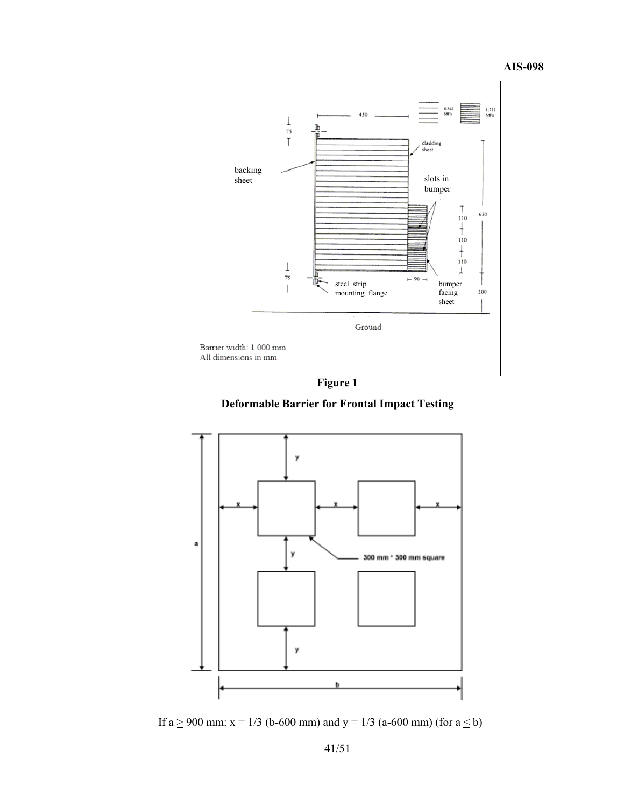**AIS-098** 





**Deformable Barrier for Frontal Impact Testing**



If  $a \ge 900$  mm:  $x = 1/3$  (b-600 mm) and  $y = 1/3$  (a-600 mm) (for  $a \le b$ )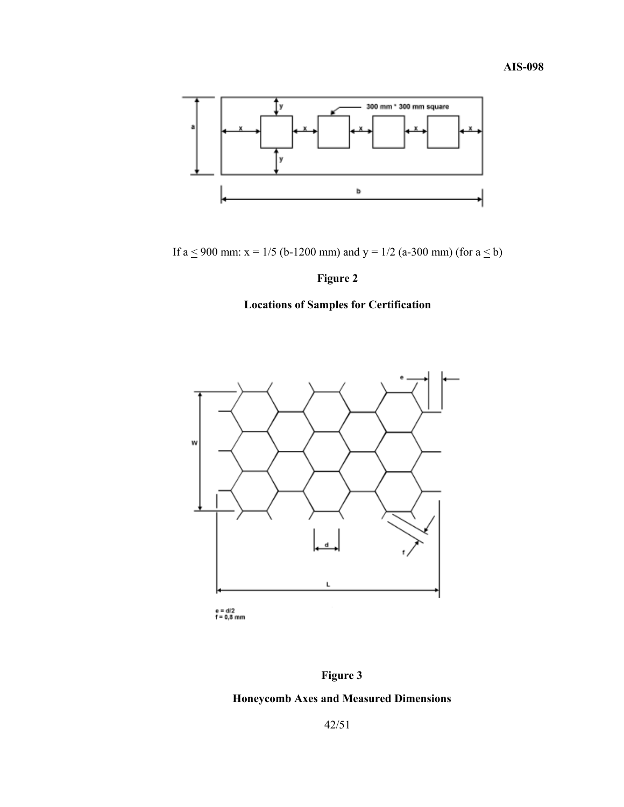

If a  $\leq$  900 mm: x = 1/5 (b-1200 mm) and y = 1/2 (a-300 mm) (for a  $\leq$  b)

## **Figure 2**

# **Locations of Samples for Certification**



e = d/2<br>f = 0,8 mm

## **Figure 3**

## **Honeycomb Axes and Measured Dimensions**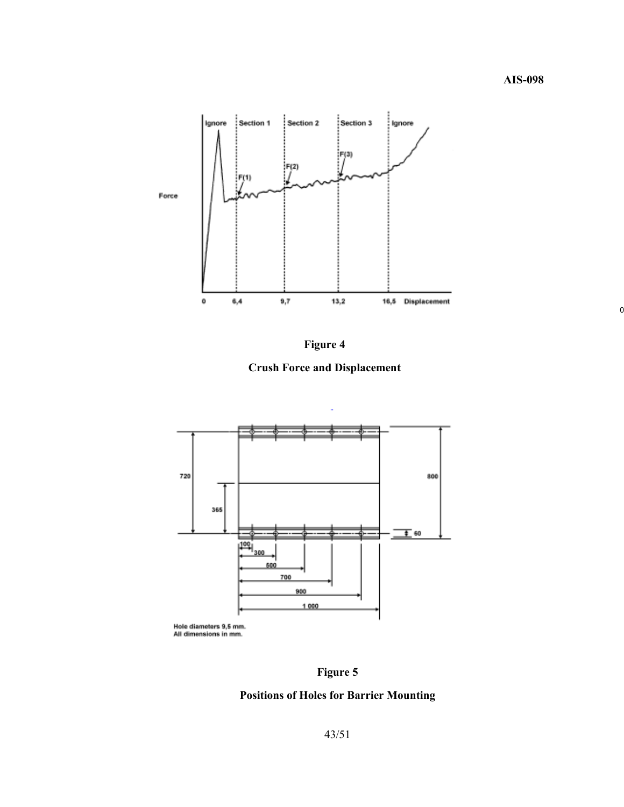



**Crush Force and Displacement** 



**Figure 5** 

## **Positions of Holes for Barrier Mounting**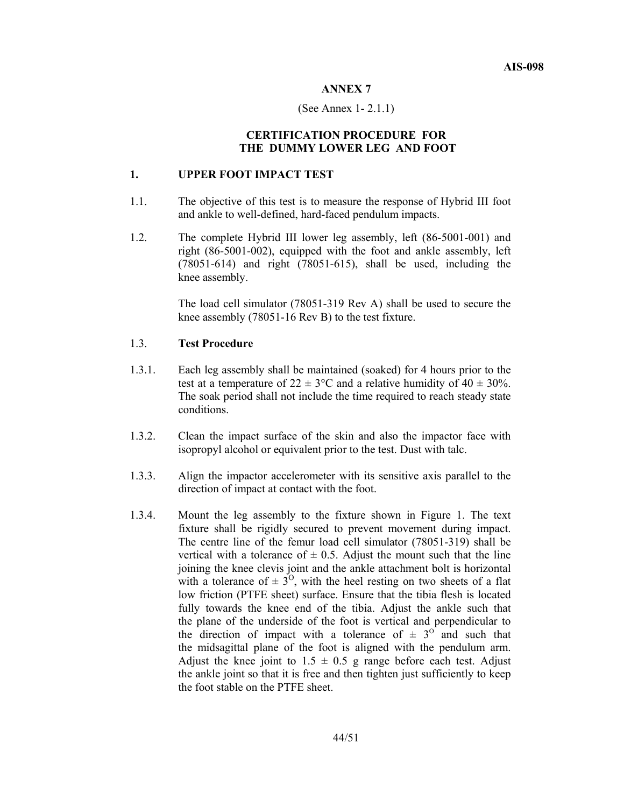#### **ANNEX 7**

#### (See Annex 1- 2.1.1)

### **CERTIFICATION PROCEDURE FOR THE DUMMY LOWER LEG AND FOOT**

### **1. UPPER FOOT IMPACT TEST**

- 1.1. The objective of this test is to measure the response of Hybrid III foot and ankle to well-defined, hard-faced pendulum impacts.
- 1.2. The complete Hybrid III lower leg assembly, left (86-5001-001) and right (86-5001-002), equipped with the foot and ankle assembly, left (78051-614) and right (78051-615), shall be used, including the knee assembly.

The load cell simulator (78051-319 Rev A) shall be used to secure the knee assembly (78051-16 Rev B) to the test fixture.

### 1.3. **Test Procedure**

- 1.3.1. Each leg assembly shall be maintained (soaked) for 4 hours prior to the test at a temperature of  $22 \pm 3$ °C and a relative humidity of  $40 \pm 30$ %. The soak period shall not include the time required to reach steady state conditions.
- 1.3.2. Clean the impact surface of the skin and also the impactor face with isopropyl alcohol or equivalent prior to the test. Dust with talc.
- 1.3.3. Align the impactor accelerometer with its sensitive axis parallel to the direction of impact at contact with the foot.
- 1.3.4. Mount the leg assembly to the fixture shown in Figure 1. The text fixture shall be rigidly secured to prevent movement during impact. The centre line of the femur load cell simulator (78051-319) shall be vertical with a tolerance of  $\pm$  0.5. Adjust the mount such that the line joining the knee clevis joint and the ankle attachment bolt is horizontal with a tolerance of  $\pm 3^0$ , with the heel resting on two sheets of a flat low friction (PTFE sheet) surface. Ensure that the tibia flesh is located fully towards the knee end of the tibia. Adjust the ankle such that the plane of the underside of the foot is vertical and perpendicular to the direction of impact with a tolerance of  $\pm$  3<sup>0</sup> and such that the midsagittal plane of the foot is aligned with the pendulum arm. Adjust the knee joint to  $1.5 \pm 0.5$  g range before each test. Adjust the ankle joint so that it is free and then tighten just sufficiently to keep the foot stable on the PTFE sheet.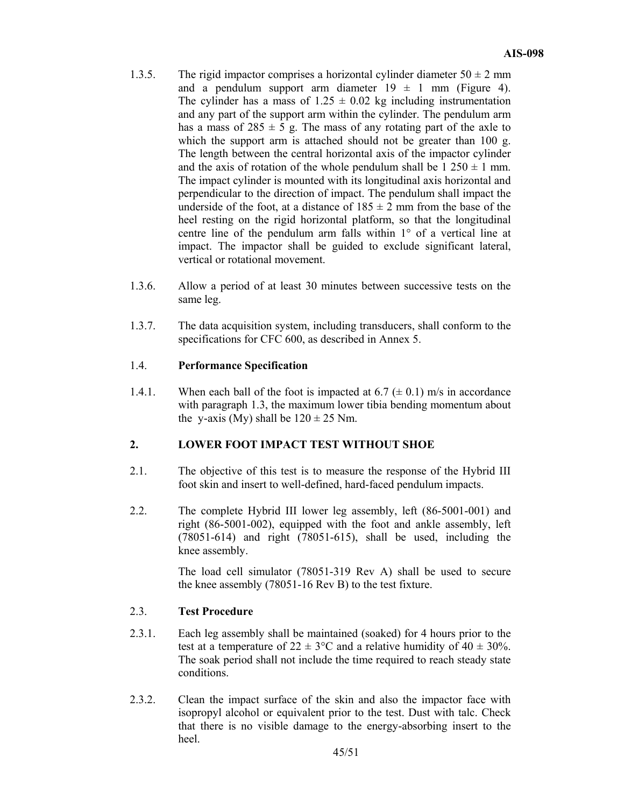- 1.3.5. The rigid impactor comprises a horizontal cylinder diameter  $50 \pm 2$  mm and a pendulum support arm diameter  $19 \pm 1$  mm (Figure 4). The cylinder has a mass of  $1.25 \pm 0.02$  kg including instrumentation and any part of the support arm within the cylinder. The pendulum arm has a mass of  $285 \pm 5$  g. The mass of any rotating part of the axle to which the support arm is attached should not be greater than 100 g. The length between the central horizontal axis of the impactor cylinder and the axis of rotation of the whole pendulum shall be  $1\,250 \pm 1$  mm. The impact cylinder is mounted with its longitudinal axis horizontal and perpendicular to the direction of impact. The pendulum shall impact the underside of the foot, at a distance of  $185 \pm 2$  mm from the base of the heel resting on the rigid horizontal platform, so that the longitudinal centre line of the pendulum arm falls within 1° of a vertical line at impact. The impactor shall be guided to exclude significant lateral, vertical or rotational movement.
- 1.3.6. Allow a period of at least 30 minutes between successive tests on the same leg.
- 1.3.7. The data acquisition system, including transducers, shall conform to the specifications for CFC 600, as described in Annex 5.

## 1.4. **Performance Specification**

1.4.1. When each ball of the foot is impacted at 6.7 ( $\pm$  0.1) m/s in accordance with paragraph 1.3, the maximum lower tibia bending momentum about the y-axis (My) shall be  $120 \pm 25$  Nm.

## **2. LOWER FOOT IMPACT TEST WITHOUT SHOE**

- 2.1. The objective of this test is to measure the response of the Hybrid III foot skin and insert to well-defined, hard-faced pendulum impacts.
- 2.2. The complete Hybrid III lower leg assembly, left (86-5001-001) and right (86-5001-002), equipped with the foot and ankle assembly, left (78051-614) and right (78051-615), shall be used, including the knee assembly.

The load cell simulator (78051-319 Rev A) shall be used to secure the knee assembly (78051-16 Rev B) to the test fixture.

## 2.3. **Test Procedure**

- 2.3.1. Each leg assembly shall be maintained (soaked) for 4 hours prior to the test at a temperature of  $22 \pm 3$ °C and a relative humidity of  $40 \pm 30$ %. The soak period shall not include the time required to reach steady state conditions.
- 2.3.2. Clean the impact surface of the skin and also the impactor face with isopropyl alcohol or equivalent prior to the test. Dust with talc. Check that there is no visible damage to the energy-absorbing insert to the heel.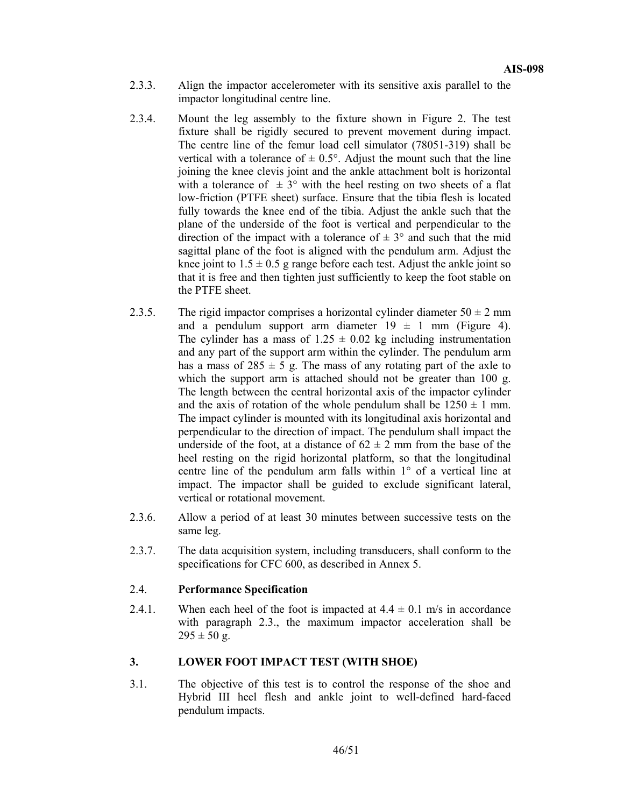- 2.3.3. Align the impactor accelerometer with its sensitive axis parallel to the impactor longitudinal centre line.
- 2.3.4. Mount the leg assembly to the fixture shown in Figure 2. The test fixture shall be rigidly secured to prevent movement during impact. The centre line of the femur load cell simulator (78051-319) shall be vertical with a tolerance of  $\pm$  0.5°. Adjust the mount such that the line joining the knee clevis joint and the ankle attachment bolt is horizontal with a tolerance of  $\pm 3^{\circ}$  with the heel resting on two sheets of a flat low-friction (PTFE sheet) surface. Ensure that the tibia flesh is located fully towards the knee end of the tibia. Adjust the ankle such that the plane of the underside of the foot is vertical and perpendicular to the direction of the impact with a tolerance of  $\pm 3^{\circ}$  and such that the mid sagittal plane of the foot is aligned with the pendulum arm. Adjust the knee joint to  $1.5 \pm 0.5$  g range before each test. Adjust the ankle joint so that it is free and then tighten just sufficiently to keep the foot stable on the PTFE sheet.
- 2.3.5. The rigid impactor comprises a horizontal cylinder diameter  $50 \pm 2$  mm and a pendulum support arm diameter  $19 \pm 1$  mm (Figure 4). The cylinder has a mass of  $1.25 \pm 0.02$  kg including instrumentation and any part of the support arm within the cylinder. The pendulum arm has a mass of  $285 \pm 5$  g. The mass of any rotating part of the axle to which the support arm is attached should not be greater than 100 g. The length between the central horizontal axis of the impactor cylinder and the axis of rotation of the whole pendulum shall be  $1250 \pm 1$  mm. The impact cylinder is mounted with its longitudinal axis horizontal and perpendicular to the direction of impact. The pendulum shall impact the underside of the foot, at a distance of  $62 \pm 2$  mm from the base of the heel resting on the rigid horizontal platform, so that the longitudinal centre line of the pendulum arm falls within 1° of a vertical line at impact. The impactor shall be guided to exclude significant lateral, vertical or rotational movement.
- 2.3.6. Allow a period of at least 30 minutes between successive tests on the same leg.
- 2.3.7. The data acquisition system, including transducers, shall conform to the specifications for CFC 600, as described in Annex 5.

### 2.4. **Performance Specification**

2.4.1. When each heel of the foot is impacted at  $4.4 \pm 0.1$  m/s in accordance with paragraph 2.3., the maximum impactor acceleration shall be  $295 \pm 50$  g.

## **3. LOWER FOOT IMPACT TEST (WITH SHOE)**

3.1. The objective of this test is to control the response of the shoe and Hybrid III heel flesh and ankle joint to well-defined hard-faced pendulum impacts.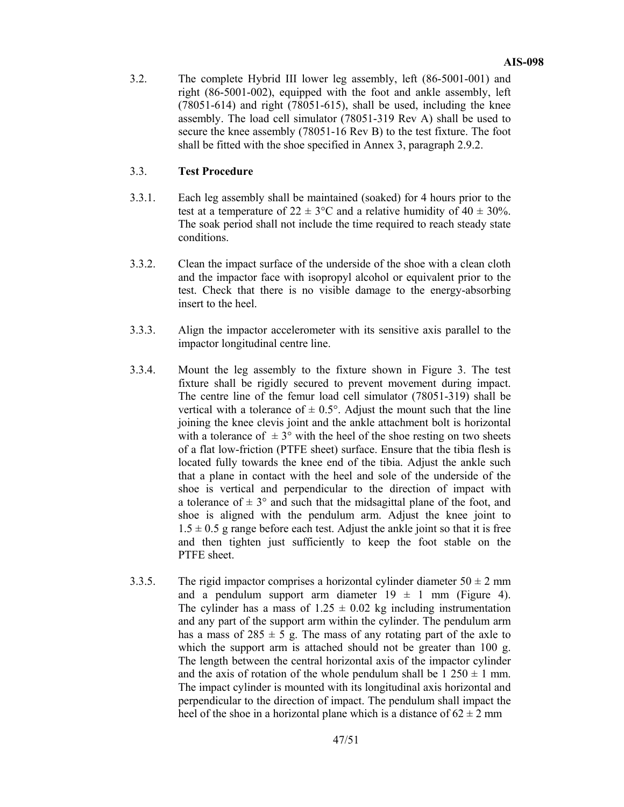3.2. The complete Hybrid III lower leg assembly, left (86-5001-001) and right (86-5001-002), equipped with the foot and ankle assembly, left (78051-614) and right (78051-615), shall be used, including the knee assembly. The load cell simulator (78051-319 Rev A) shall be used to secure the knee assembly (78051-16 Rev B) to the test fixture. The foot shall be fitted with the shoe specified in Annex 3, paragraph 2.9.2.

### 3.3. **Test Procedure**

- 3.3.1. Each leg assembly shall be maintained (soaked) for 4 hours prior to the test at a temperature of  $22 \pm 3$ °C and a relative humidity of  $40 \pm 30$ %. The soak period shall not include the time required to reach steady state conditions.
- 3.3.2. Clean the impact surface of the underside of the shoe with a clean cloth and the impactor face with isopropyl alcohol or equivalent prior to the test. Check that there is no visible damage to the energy-absorbing insert to the heel.
- 3.3.3. Align the impactor accelerometer with its sensitive axis parallel to the impactor longitudinal centre line.
- 3.3.4. Mount the leg assembly to the fixture shown in Figure 3. The test fixture shall be rigidly secured to prevent movement during impact. The centre line of the femur load cell simulator (78051-319) shall be vertical with a tolerance of  $\pm$  0.5°. Adjust the mount such that the line joining the knee clevis joint and the ankle attachment bolt is horizontal with a tolerance of  $\pm 3^{\circ}$  with the heel of the shoe resting on two sheets of a flat low-friction (PTFE sheet) surface. Ensure that the tibia flesh is located fully towards the knee end of the tibia. Adjust the ankle such that a plane in contact with the heel and sole of the underside of the shoe is vertical and perpendicular to the direction of impact with a tolerance of  $\pm 3^{\circ}$  and such that the midsagittal plane of the foot, and shoe is aligned with the pendulum arm. Adjust the knee joint to  $1.5 \pm 0.5$  g range before each test. Adjust the ankle joint so that it is free and then tighten just sufficiently to keep the foot stable on the PTFE sheet.
- 3.3.5. The rigid impactor comprises a horizontal cylinder diameter  $50 \pm 2$  mm and a pendulum support arm diameter  $19 \pm 1$  mm (Figure 4). The cylinder has a mass of  $1.25 \pm 0.02$  kg including instrumentation and any part of the support arm within the cylinder. The pendulum arm has a mass of  $285 \pm 5$  g. The mass of any rotating part of the axle to which the support arm is attached should not be greater than 100 g. The length between the central horizontal axis of the impactor cylinder and the axis of rotation of the whole pendulum shall be  $1\,250 \pm 1$  mm. The impact cylinder is mounted with its longitudinal axis horizontal and perpendicular to the direction of impact. The pendulum shall impact the heel of the shoe in a horizontal plane which is a distance of  $62 \pm 2$  mm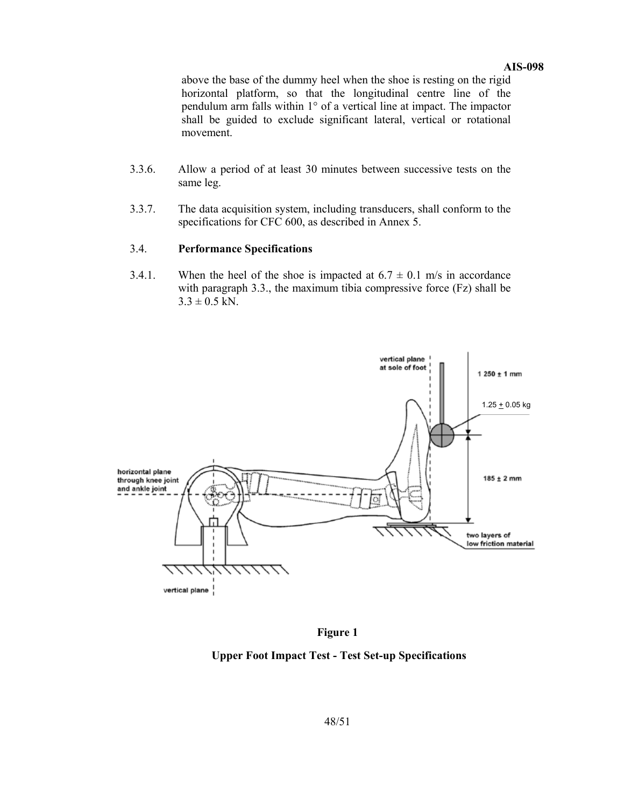#### **AIS-098**

above the base of the dummy heel when the shoe is resting on the rigid horizontal platform, so that the longitudinal centre line of the pendulum arm falls within 1° of a vertical line at impact. The impactor shall be guided to exclude significant lateral, vertical or rotational movement.

- 3.3.6. Allow a period of at least 30 minutes between successive tests on the same leg.
- 3.3.7. The data acquisition system, including transducers, shall conform to the specifications for CFC 600, as described in Annex 5.

#### 3.4. **Performance Specifications**

3.4.1. When the heel of the shoe is impacted at  $6.7 \pm 0.1$  m/s in accordance with paragraph 3.3., the maximum tibia compressive force (Fz) shall be  $3.3 \pm 0.5$  kN.



**Figure 1** 

### **Upper Foot Impact Test - Test Set-up Specifications**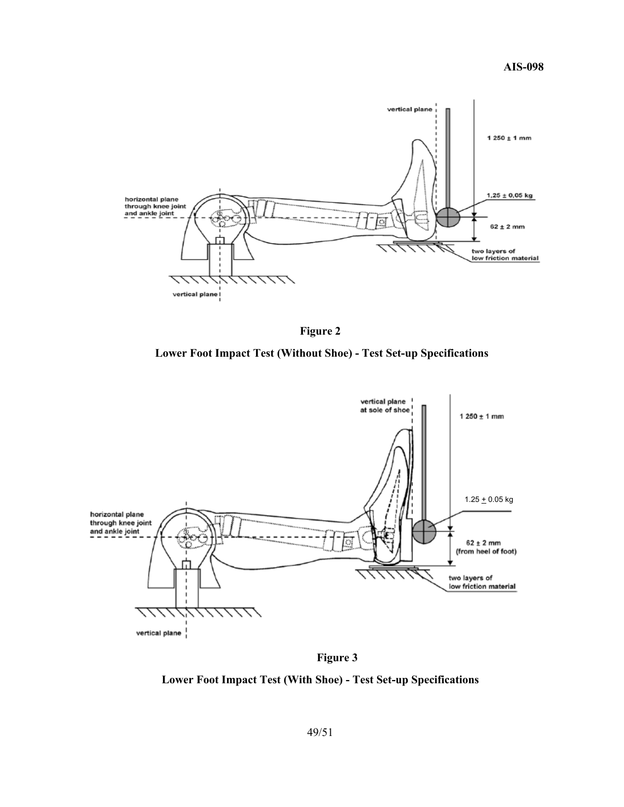**AIS-098** 





 **Lower Foot Impact Test (Without Shoe) - Test Set-up Specifications** 



 **Figure 3** 

**Lower Foot Impact Test (With Shoe) - Test Set-up Specifications**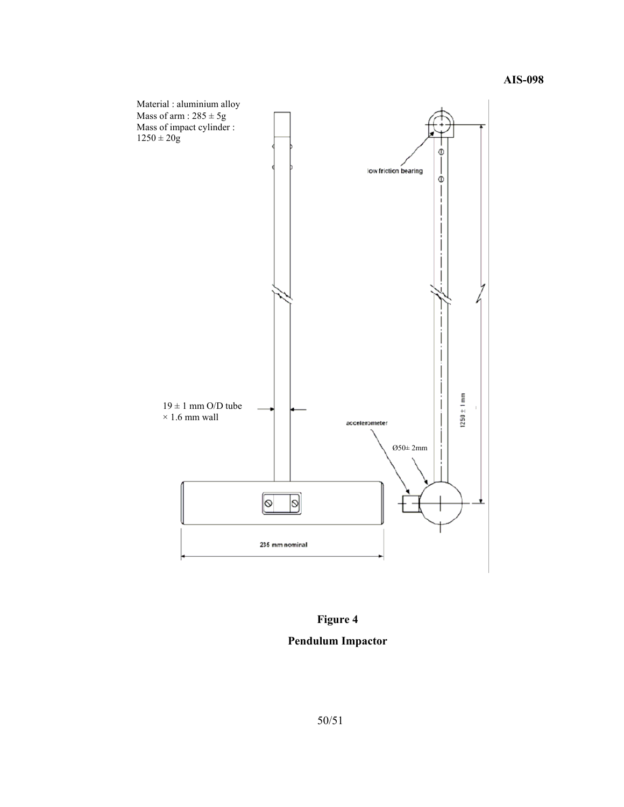

## **Figure 4**

## **Pendulum Impactor**